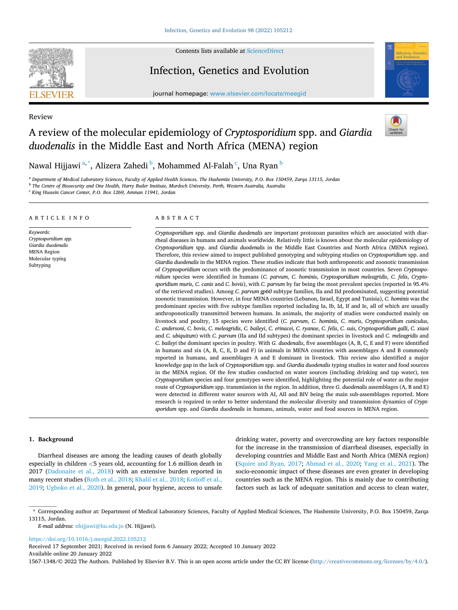

Review

Contents lists available at [ScienceDirect](www.sciencedirect.com/science/journal/15671348)

# Infection, Genetics and Evolution

journal homepage: [www.elsevier.com/locate/meegid](https://www.elsevier.com/locate/meegid)



# A review of the molecular epidemiology of *Cryptosporidium* spp. and *Giardia duodenalis* in the Middle East and North Africa (MENA) region



Nawal Hijjawi <sup>a,\*</sup>, Alizera Zahedi <sup>b</sup>, Mohammed Al-Falah <sup>c</sup>, Una Ryan <sup>b</sup>

<sup>a</sup> *Department of Medical Laboratory Sciences, Faculty of Applied Health Sciences, The Hashemite University, P.O. Box 150459, Zarqa 13115, Jordan* 

<sup>b</sup> *The Centre of Biosecurity and One Health, Harry Butler Institute, Murdoch University, Perth, Western Australia, Australia* 

<sup>c</sup> *King Hussein Cancer Center, P.O. Box 1269, Amman 11941, Jordan* 

#### ARTICLE INFO

*Keywords: Cryptosporidium spp. Giardia duodenalis*  **MENA** Region Molecular typing Subtyping

### ABSTRACT

*Cryptosporidium* spp. and *Giardia duodenalis* are important protozoan parasites which are associated with diarrheal diseases in humans and animals worldwide. Relatively little is known about the molecular epidemiology of *Cryptosporidium* spp. and *Giardia duodenalis* in the Middle East Countries and North Africa (MENA region). Therefore, this review aimed to inspect published genotyping and subtyping studies on *Cryptosporidium* spp. and *Giardia duodenalis* in the MENA region. These studies indicate that both anthroponotic and zoonotic transmission of *Cryptosporidium* occurs with the predominance of zoonotic transmission in most countries. Seven *Cryptosporidium* species were identified in humans (*C. parvum*, *C. hominis*, *Cryptosporidium meleagridis*, *C. felis*, *Cryptosporidium muris*, *C. canis* and *C. bovis*), with *C. parvum* by far being the most prevalent species (reported in 95.4% of the retrieved studies). Among *C. parvum gp60* subtype families, IIa and IId predominated, suggesting potential zoonotic transmission. However, in four MENA countries (Lebanon, Israel, Egypt and Tunisia), *C. hominis* was the predominant species with five subtype families reported including Ia, Ib, Id, If and Ie, all of which are usually anthroponotically transmitted between humans. In animals, the majority of studies were conducted mainly on livestock and poultry, 15 species were identified (*C. parvum*, *C. hominis*, *C. muris*, *Cryptosporidium cuniculus*, *C. andersoni*, *C. bovis*, *C. meleagridis*, *C. baileyi*, *C. erinacei*, *C. ryanae*, *C. felis*, *C. suis*, *Cryptosporidium galli*, *C. xiaoi*  and *C. ubiquitum*) with *C. parvum* (IIa and IId subtypes) the dominant species in livestock and *C. meleagridis* and *C. baileyi* the dominant species in poultry. With *G. duodenalis*, five assemblages (A, B, C, E and F) were identified in humans and six (A, B, C, E, D and F) in animals in MENA countries with assemblages A and B commonly reported in humans, and assemblages A and E dominant in livestock. This review also identified a major knowledge gap in the lack of *Cryptosporidium* spp. and *Giardia duodenalis* typing studies in water and food sources in the MENA region. Of the few studies conducted on water sources (including drinking and tap water), ten *Cryptosporidium* species and four genotypes were identified, highlighting the potential role of water as the major route of *Cryptosporidium* spp. transmission in the region. In addition, three *G. duodenalis* assemblages (A, B and E) were detected in different water sources with AI, AII and BIV being the main sub-assemblages reported. More research is required in order to better understand the molecular diversity and transmission dynamics of *Cryptsporidum* spp. and *Giardia duodenalis* in humans, animals, water and food sources in MENA region.

### **1. Background**

Diarrheal diseases are among the leading causes of death globally especially in children *<*5 years old, accounting for 1.6 million death in 2017 [\(Dadonaite et al., 2018\)](#page-23-0) with an extensive burden reported in many recent studies ([Roth et al., 2018](#page-26-0); [Khalil et al., 2018;](#page-24-0) [Kotloff et al.,](#page-25-0)  [2019;](#page-25-0) [Ugboko et al., 2020](#page-27-0)). In general, poor hygiene, access to unsafe drinking water, poverty and overcrowding are key factors responsible for the increase in the transmission of diarrheal diseases, especially in developing countries and Middle East and North Africa (MENA region) ([Squire and Ryan, 2017;](#page-27-0) [Ahmad et al., 2020](#page-22-0); [Yang et al., 2021](#page-27-0)). The socio-economic impact of these diseases are even greater in developing countries such as the MENA region. This is mainly due to contributing factors such as lack of adequate sanitation and access to clean water,

*E-mail address:* [nhijjawi@hu.edu.jo](mailto:nhijjawi@hu.edu.jo) (N. Hijjawi).

<https://doi.org/10.1016/j.meegid.2022.105212>

Available online 20 January 2022 Received 17 September 2021; Received in revised form 6 January 2022; Accepted 10 January 2022

1567-1348/© 2022 The Authors. Published by Elsevier B.V. This is an open access article under the CC BY license [\(http://creativecommons.org/licenses/by/4.0/\)](http://creativecommons.org/licenses/by/4.0/).

<sup>\*</sup> Corresponding author at: Department of Medical Laboratory Sciences, Faculty of Applied Medical Sciences, The Hashemite University, P.O. Box 150459, Zarqa 13115, Jordan.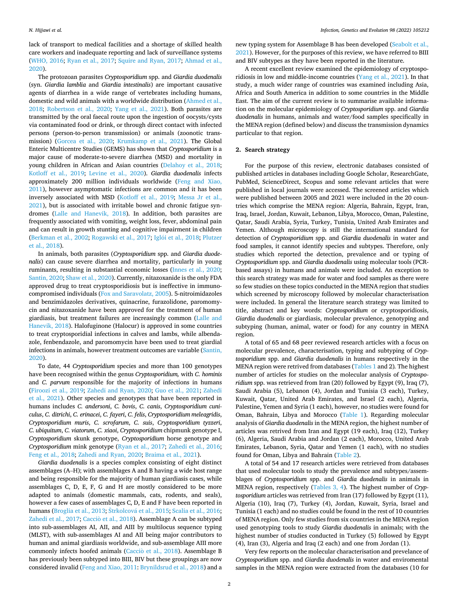lack of transport to medical facilities and a shortage of skilled health care workers and inadequate reporting and lack of surveillance systems ([WHO, 2016;](#page-27-0) [Ryan et al., 2017;](#page-26-0) [Squire and Ryan, 2017;](#page-27-0) [Ahmad et al.,](#page-22-0)  [2020\)](#page-22-0).

The protozoan parasites *Cryptosporidium* spp. and *Giardia duodenalis*  (syn. *Giardia lamblia* and *Giardia intestinalis*) are important causative agents of diarrhea in a wide range of vertebrates including humans, domestic and wild animals with a worldwide distribution [\(Ahmed et al.,](#page-22-0)  [2018;](#page-22-0) [Robertson et al., 2020;](#page-26-0) [Yang et al., 2021\)](#page-27-0). Both parasites are transmitted by the oral faecal route upon the ingestion of oocysts/cysts via contaminated food or drink, or through direct contact with infected persons (person-to-person transmission) or animals (zoonotic transmission) [\(Gorcea et al., 2020](#page-24-0); [Krumkamp et al., 2021](#page-25-0)). The Global Enteric Multicentre Studies (GEMS) has shown that *Cryptosporidium* is a major cause of moderate-to-severe diarrhea (MSD) and mortality in young children in African and Asian countries [\(Delahoy et al., 2018](#page-23-0); [Kotloff et al., 2019;](#page-25-0) [Levine et al., 2020](#page-25-0)). *Giardia duodenalis* infects approximately 200 million individuals worldwide ([Feng and Xiao,](#page-23-0)  [2011\)](#page-23-0), however asymptomatic infections are common and it has been inversely associated with MSD ([Kotloff et al., 2019](#page-25-0); [Messa Jr et al.,](#page-25-0)  [2021\)](#page-25-0), but is associated with irritable bowel and chronic fatigue syndromes ([Lalle and Hanevik, 2018\)](#page-25-0). In addition, both parasites are frequently associated with vomiting, weight loss, fever, abdominal pain and can result in growth stunting and cognitive impairment in children ([Berkman et al., 2002;](#page-23-0) [Rogawski et al., 2017;](#page-26-0) Iglói [et al., 2018](#page-24-0); Plutzer [et al., 2018\)](#page-26-0).

In animals, both parasites (*Cryptosporidium* spp. and *Giardia duodenalis*) can cause severe diarrhea and mortality, particularly in young ruminants, resulting in substantial economic losses [\(Innes et al., 2020](#page-24-0); [Santin, 2020;](#page-26-0) [Shaw et al., 2020](#page-27-0)). Currently, nitazoxanide is the only FDA approved drug to treat cryptosporidiosis but is ineffective in immunocompromised individuals [\(Fox and Saravolatz, 2005\)](#page-23-0). 5-nitroimidazoles and benzimidazoles derivatives, quinacrine, furazolidone, paromomycin and nitazoxanide have been approved for the treatment of human giardiasis, but treatment failures are increasingly common [\(Lalle and](#page-25-0)  [Hanevik, 2018](#page-25-0)). Halofuginone (Halocur) is approved in some countries to treat cryptosporidial infections in calves and lambs, while albendazole, fenbendazole, and paromomycin have been used to treat giardial infections in animals, however treatment outcomes are variable [\(Santin,](#page-26-0)  [2020\)](#page-26-0).

To date, 44 *Cryptosporidium* species and more than 100 genotypes have been recognised within the genus *Cryptosporidium,* with *C. hominis*  and *C. parvum* responsible for the majority of infections in humans ([Firoozi et al., 2019;](#page-23-0) [Zahedi and Ryan, 2020;](#page-27-0) [Guo et al., 2021;](#page-24-0) [Zahedi](#page-27-0)  [et al., 2021\)](#page-27-0). Other species and genotypes that have been reported in humans includes *C. andersoni*, *C. bovis*, *C. canis*, *Cryptosporidium cuniculus*, *C. ditrichi*, *C. erinacei*, *C. fayeri*, *C. felis*, *Cryptosporidium meleagridis*, *Cryptosporidium muris*, *C. scrofarum*, *C. suis*, *Cryptosporidium tyzzeri*, *C. ubiquitum*, *C. viatorum*, *C. xiaoi*, *Cryptosporidium* chipmunk genotype I, *Cryptosporidium* skunk genotype, *Cryptosporidium* horse genotype and *Cryptosporidium* mink genotype [\(Ryan et al., 2017;](#page-26-0) [Zahedi et al., 2016](#page-27-0); [Feng et al., 2018](#page-23-0); [Zahedi and Ryan, 2020](#page-27-0); [Braima et al., 2021\)](#page-23-0).

*Giardia duodenalis* is a species complex consisting of eight distinct assemblages (A–H); with assemblages A and B having a wide host range and being responsible for the majority of human giardiasis cases, while assemblages C, D, E, F, G and H are mostly considered to be more adapted to animals (domestic mammals, cats, rodents, and seals), however a few cases of assemblages C, D, E and F have been reported in humans [\(Broglia et al., 2013](#page-23-0); Strkolcová [et al., 2015](#page-27-0); [Scalia et al., 2016](#page-26-0); [Zahedi et al., 2017;](#page-27-0) Cacciò [et al., 2018](#page-23-0)). Assemblage A can be subtyped into sub-assemblages AI, AII, and AIII by multilocus sequence typing (MLST), with sub-assemblages AI and AII being major contributors to human and animal giardiasis worldwide, and sub-assemblage AIII more commonly infects hoofed animals (Cacciò [et al., 2018](#page-23-0)). Assemblage B has previously been subtyped into BIII, BIV but these groupings are now considered invalid ([Feng and Xiao, 2011](#page-23-0): [Brynildsrud et al., 2018\)](#page-23-0) and a

new typing system for Assemblage B has been developed [\(Seabolt et al.,](#page-26-0)  [2021\)](#page-26-0). However, for the purposes of this review, we have referred to BIII and BIV subtypes as they have been reported in the literature.

A recent excellent review examined the epidemiology of cryptosporidiosis in low and middle-income countries ([Yang et al., 2021\)](#page-27-0). In that study, a much wider range of countries was examined including Asia, Africa and South America in addition to some countries in the Middle East. The aim of the current review is to summarise available information on the molecular epidemiology of *Cryptosporidium* spp. and *Giardia duodenalis* in humans, animals and water/food samples specifically in the MENA region (defined below) and discuss the transmission dynamics particular to that region.

### **2. Search strategy**

For the purpose of this review, electronic databases consisted of published articles in databases including Google Scholar, ResearchGate, PubMed, ScienceDirect, Scopus and some relevant articles that were published in local journals were accessed. The screened articles which were published between 2005 and 2021 were included in the 20 countries which comprise the MENA region: Algeria, Bahrain, Egypt, Iran, Iraq, Israel, Jordan, Kuwait, Lebanon, Libya, Morocco, Oman, Palestine, Qatar, Saudi Arabia, Syria, Turkey, Tunisia, United Arab Emirates and Yemen. Although microscopy is still the international standard for detection of *Cryptosporidium* spp. and *Giardia duodenalis* in water and food samples, it cannot identify species and subtypes. Therefore, only studies which reported the detection, prevalence and or typing of *Cryptosporidium* spp. and *Giardia duodenalis* using molecular tools (PCRbased assays) in humans and animals were included. An exception to this search strategy was made for water and food samples as there were so few studies on these topics conducted in the MENA region that studies which screened by microscopy followed by molecular characterisation were included. In general the literature search strategy was limited to title, abstract and key words: *Cryptosporidium* or cryptosporidiosis, *Giardia duodenalis* or giardiasis, molecular prevalence, genotyping and subtyping (human, animal, water or food) for any country in MENA region.

A total of 65 and 68 peer reviewed research articles with a focus on molecular prevalence, characterisation, typing and subtyping of *Cryptosporidium* spp. and *Giardia duodenalis* in humans respectively in the MENA region were retrived from databases ([Tables 1](#page-2-0) and 2)*.* The highest number of articles for studies on the molecular analysis of *Cryptosporidium* spp. was retrieved from Iran (20) followed by Egypt (9), Iraq (7), Saudi Arabia (5), Lebanon (4), Jordan and Tunisia (3 each), Turkey, Kuwait, Qatar, United Arab Emirates, and Israel (2 each), Algeria, Palestine, Yemen and Syria (1 each), however, no studies were found for Oman, Bahrain, Libya and Morocco [\(Table 1](#page-2-0)). Regarding molecular analysis of *Giardia duodenalis* in the MENA region, the highest number of articles was retrived from Iran and Egypt (19 each), Iraq (12), Turkey (6), Algeria, Saudi Arabia and Jordan (2 each), Morocco, United Arab Emirates, Lebanon, Syria, Qatar and Yemen (1 each), with no studies found for Oman, Libya and Bahrain ([Table 2](#page-8-0)).

A total of 54 and 17 research articles were retrieved from databases that used molecular tools to study the prevalence and subtypes/assemblages of *Cryptosporidium* spp. and *Giardia duodenalis* in animals in MENA region, respectively ([Tables 3, 4](#page-13-0)). The highest number of *Cryptosporidium* articles was retrieved from Iran (17) followed by Egypt (11), Algeria (10), Iraq (7), Turkey (4), Jordan, Kuwait, Syria, Israel and Tunisia (1 each) and no studies could be found in the rest of 10 countries of MENA region. Only few studies from six countries in the MENA region used genotyping tools to study *Giardia duodenalis* in animals; with the highest number of studies conducted in Turkey (5) followed by Egypt (4), Iran (3), Algeria and Iraq (2 each) and one from Jordan (1).

Very few reports on the molecular characterisation and prevelance of *Cryptosporidium* spp. and *Giardia duodenalis* in water and enviromental samples in the MENA region were extracted from the databases (10 for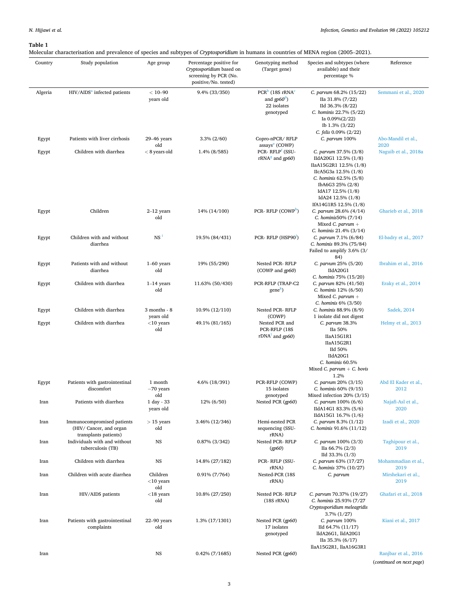<span id="page-2-0"></span>Molecular characterisation and prevalence of species and subtypes of *Cryptosporidium* in humans in countries of MENA region (2005–2021).

|         |                                                                               |                                 | $v$ , $p$ to $p$ or                                                                                  |                                                                            | $\sim$                                                                                                                                                                                                                |                              |
|---------|-------------------------------------------------------------------------------|---------------------------------|------------------------------------------------------------------------------------------------------|----------------------------------------------------------------------------|-----------------------------------------------------------------------------------------------------------------------------------------------------------------------------------------------------------------------|------------------------------|
| Country | Study population                                                              | Age group                       | Percentage positive for<br>Cryptosporidium based on<br>screening by PCR (No.<br>positive/No. tested) | Genotyping method<br>(Target gene)                                         | Species and subtypes (where<br>available) and their<br>percentage %                                                                                                                                                   | Reference                    |
| Algeria | $HIV/AIDSa$ infected patients                                                 | $< 10 - 90$<br>years old        | 9.4% (33/350)                                                                                        | $PCRb$ (18S rRNA <sup>c</sup><br>and $qp60d$ )<br>22 isolates<br>genotyped | C. parvum 68.2% (15/22)<br>IIa 31.8% (7/22)<br>IId 36.3% (8/22)<br>C. hominis 22.7% (5/22)<br>Ia $0.09\%(2/22)$<br>Ib 1.3% (3/22)<br>C. felis $0.09\%$ (2/22)                                                         | Semmani et al., 2020         |
| Egypt   | Patients with liver cirrhosis                                                 | $29-46$ years<br>old            | $3.3\% (2/60)$                                                                                       | Copro-nPCR/RFLP<br>assays <sup>e</sup> (COWP)                              | C. parvum 100%                                                                                                                                                                                                        | Abo-Mandil et al.,<br>2020   |
| Egypt   | Children with diarrhea                                                        | $< 8$ years old                 | 1.4% (8/585)                                                                                         | PCR-RFLP <sup>f</sup> (SSU-<br>$rRNAg$ and $qp60$ )                        | C. parvum 37.5% (3/8)<br>IIdA20G1 12.5% (1/8)<br>IIaA15G2R1 12.5% (1/8)<br>IIcA5G3a 12.5% (1/8)<br>C. hominis $62.5\%$ $(5/8)$<br>IbA6G3 25% (2/8)<br>IdA17 12.5% (1/8)<br>IdA24 12.5% (1/8)<br>IfA14G1R5 12.5% (1/8) | Naguib et al., 2018a         |
| Egypt   | Children                                                                      | $2-12$ years<br>old             | 14% (14/100)                                                                                         | PCR- RFLP (COWP <sup>h</sup> )                                             | C. parvum 28.6% (4/14)<br>C. hominis50% (7/14)<br>Mixed C. $parvum +$<br>C. hominis 21.4% (3/14)                                                                                                                      | Gharieb et al., 2018         |
| Egypt   | Children with and without<br>diarrhea                                         | NS <sup>1</sup>                 | 19.5% (84/431)                                                                                       | PCR-RFLP (HSP90 <sup>)</sup> )                                             | C. parvum 7.1% (6/84)<br>C. hominis 89.3% (75/84)<br>Failed to amplify 3.6% (3/<br>84)                                                                                                                                | El-badry et al., 2017        |
| Egypt   | Patients with and without<br>diarrhea                                         | $1-60$ years<br>old             | 19% (55/290)                                                                                         | Nested PCR-RFLP<br>(COWP and gp60)                                         | C. parvum 25% (5/20)<br>IIdA20G1<br>C. hominis 75% (15/20)                                                                                                                                                            | Ibrahim et al., 2016         |
| Egypt   | Children with diarrhea                                                        | $1-14$ years<br>old             | 11.63% (50/430)                                                                                      | PCR-RFLP (TRAP-C2<br>gene <sup>*</sup> )                                   | C. parvum 82% (41/50)<br>C. hominis $12\%$ (6/50)<br>Mixed C. parvum $+$<br>C. hominis $6\%$ (3/50)                                                                                                                   | Eraky et al., 2014           |
| Egypt   | Children with diarrhea                                                        | $3$ months - $8$<br>years old   | 10.9% (12/110)                                                                                       | Nested PCR-RFLP<br>(COWP)                                                  | C. hominis 88.9% (8/9)<br>1 isolate did not digest                                                                                                                                                                    | Sadek, 2014                  |
| Egypt   | Children with diarrhea                                                        | $<$ 10 years<br>old             | 49.1% (81/165)                                                                                       | Nested PCR and<br>PCR-RFLP (18S<br>$rDNA1$ and $qp60$ )                    | C. parvum 38.3%<br>IIa 50%<br>IIaA15G1R1<br>IIaA15G2R1<br>IId 50%<br>IIdA20G1<br>C. hominis 60.5%<br>Mixed C. parvum $+$ C. bovis<br>1.2%                                                                             | Helmy et al., 2013           |
| Egypt   | Patients with gastrointestinal<br>discomfort                                  | 1 month<br>$-70$ years<br>old   | 4.6% (18/391)                                                                                        | PCR-RFLP (COWP)<br>15 isolates<br>genotyped                                | C. parvum 20% (3/15)<br>C. hominis 60% (9/15)<br>Mixed infection 20% (3/15)                                                                                                                                           | Abd El Kader et al.,<br>2012 |
| Iran    | Patients with diarrhea                                                        | 1 day - 33<br>years old         | 12% (6/50)                                                                                           | Nested PCR (gp60)                                                          | C. parvum 100% (6/6)<br>IIdA14G1 83.3% (5/6)<br>IIdA15G1 16.7% (1/6)                                                                                                                                                  | Najafi-Asl et al.,<br>2020   |
| Iran    | Immunocompromised patients<br>(HIV/Cancer, and organ<br>transplants patients) | $>$ 15 years<br>old             | 3.46% (12/346)                                                                                       | Hemi-nested PCR<br>sequencing (SSU-<br>rRNA)                               | C. parvum 8.3% (1/12)<br>C. hominis $91.6\%$ (11/12)                                                                                                                                                                  | Izadi et al., 2020           |
| Iran    | Individuals with and without<br>tuberculosis (TB)                             | <b>NS</b>                       | 0.87% (3/342)                                                                                        | Nested PCR-RFLP<br>(gp60)                                                  | C. parvum 100% (3/3)<br>IIa 66.7% $(2/3)$<br>IId $33.3\%$ $(1/3)$                                                                                                                                                     | Taghipour et al.,<br>2019    |
| Iran    | Children with diarrhea                                                        | <b>NS</b>                       | 14.8% (27/182)                                                                                       | PCR-RFLP (SSU-<br>rRNA)                                                    | C. parvum 63% (17/27)<br>C. hominis 37% (10/27)                                                                                                                                                                       | Mohammadian et al.,<br>2019  |
| Iran    | Children with acute diarrhea                                                  | Children<br>$<$ 10 years<br>old | $0.91\% (7/764)$                                                                                     | Nested-PCR (18S<br>rRNA)                                                   | C. parvum                                                                                                                                                                                                             | Mirshekari et al.,<br>2019   |
| Iran    | HIV/AIDS patients                                                             | $<$ 18 years<br>old             | 10.8% (27/250)                                                                                       | Nested PCR-RFLP<br>$(18S\,rRNA)$                                           | C. parvum 70.37% (19/27)<br>C. hominis 25.93% (7/27<br>Cryptosporidium meleagridis<br>$3.7\%$ $(1/27)$                                                                                                                | Ghafari et al., 2018         |
| Iran    | Patients with gastrointestinal<br>complaints                                  | $22 - 90$ years<br>old          | 1.3% (17/1301)                                                                                       | Nested PCR (gp60)<br>17 isolates<br>genotyped                              | C. parvum 100%<br>IId 64.7% (11/17)<br>lldA26G1, lldA20G1<br>IIa 35.3% $(6/17)$<br>llaA15G2R1, llaA16G3R1                                                                                                             | Kiani et al., 2017           |
| Iran    |                                                                               | <b>NS</b>                       | $0.42\%$ (7/1685)                                                                                    | Nested PCR (gp60)                                                          |                                                                                                                                                                                                                       | Ranjbar et al., 2016         |
|         |                                                                               |                                 |                                                                                                      |                                                                            |                                                                                                                                                                                                                       | (continued on next page)     |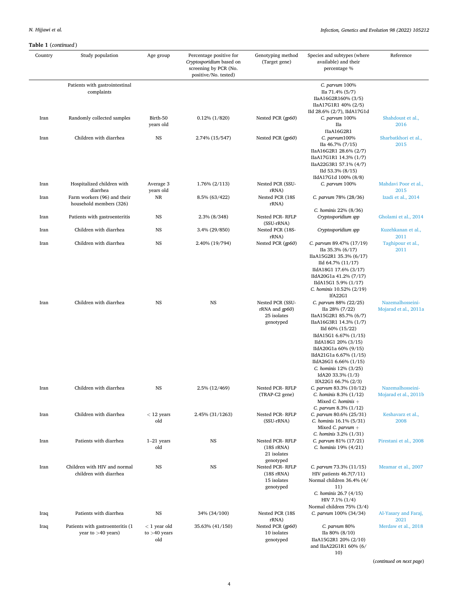## *Infection, Genetics and Evolution 98 (2022) 105212*

| Country | Study population                                         | Age group                               | Percentage positive for<br>Cryptosporidium based on<br>screening by PCR (No.<br>positive/No. tested) | Genotyping method<br>(Target gene)                             | Species and subtypes (where<br>available) and their<br>percentage %                                                                                                                                                                                                                                            | Reference                                 |
|---------|----------------------------------------------------------|-----------------------------------------|------------------------------------------------------------------------------------------------------|----------------------------------------------------------------|----------------------------------------------------------------------------------------------------------------------------------------------------------------------------------------------------------------------------------------------------------------------------------------------------------------|-------------------------------------------|
|         | Patients with gastrointestinal<br>complaints             |                                         |                                                                                                      |                                                                | C. parvum 100%<br>IIa 71.4% (5/7)<br>IIaA16G2R160% (3/5)<br>IIaA17G1R1 40% (2/5)<br>IId 28.6% (2/7), IIdA17G1d                                                                                                                                                                                                 |                                           |
| Iran    | Randomly collected samples                               | Birth-50<br>years old                   | $0.12\%$ (1/820)                                                                                     | Nested PCR (gp60)                                              | C. parvum 100%<br>Пa<br>ПаA16G2R1                                                                                                                                                                                                                                                                              | Shahdoust et al.,<br>2016                 |
| Iran    | Children with diarrhea                                   | <b>NS</b>                               | 2.74% (15/547)                                                                                       | Nested PCR (gp60)                                              | $C.$ parvum $100\%$<br>IIa 46.7% (7/15)<br>IIaA16G2R1 28.6% (2/7)<br>IIaA17G1R1 14.3% (1/7)<br>IIaA22G3R1 57.1% (4/7)<br>IId 53.3% (8/15)<br>IIdA17G1d 100% (8/8)                                                                                                                                              | Sharbatkhori et al.,<br>2015              |
| Iran    | Hospitalized children with<br>diarrhea                   | Average 3<br>years old                  | 1.76% (2/113)                                                                                        | Nested PCR (SSU-<br>rRNA)                                      | C. parvum 100%                                                                                                                                                                                                                                                                                                 | Mahdavi Poor et al.,<br>2015              |
| Iran    | Farm workers (96) and their<br>household members (326)   | NR                                      | 8.5% (63/422)                                                                                        | Nested PCR (18S<br>rRNA)                                       | C. parvum 78% (28/36)                                                                                                                                                                                                                                                                                          | Izadi et al., 2014                        |
| Iran    | Patients with gastroenteritis                            | <b>NS</b>                               | 2.3% (8/348)                                                                                         | Nested PCR-RFLP                                                | C. hominis 22% (8/36)<br>Cryptosporidium spp                                                                                                                                                                                                                                                                   | Gholami et al., 2014                      |
| Iran    | Children with diarrhea                                   | <b>NS</b>                               | 3.4% (29/850)                                                                                        | (SSU-rRNA)<br>Nested PCR (18S-<br>rRNA)                        | Cryptosporidium spp                                                                                                                                                                                                                                                                                            | Kuzehkanan et al.,<br>2011                |
| Iran    | Children with diarrhea                                   | NS                                      | 2.40% (19/794)                                                                                       | Nested PCR (gp60)                                              | C. parvum 89.47% (17/19)<br>IIa 35.3% (6/17)<br>IIaA15G2R1 35.3% (6/17)<br>IId 64.7% (11/17)<br>IIdA18G1 17.6% (3/17)<br>IIdA20G1a 41.2% (7/17)<br>IIdA15G1 5.9% (1/17)<br>C. hominis 10.52% (2/19)<br>IfA22G1                                                                                                 | Taghipour et al.,<br>2011                 |
| Iran    | Children with diarrhea                                   | <b>NS</b>                               | <b>NS</b>                                                                                            | Nested PCR (SSU-<br>rRNA and gp60)<br>25 isolates<br>genotyped | C. parvum 88% (22/25)<br>IIa 28% (7/22)<br>IIaA15G2R1 85.7% (6/7)<br>IIaA16G3R1 14.3% (1/7)<br>IId 60% (15/22)<br>IIdA15G1 6.67% (1/15)<br>IIdA18G1 20% (3/15)<br>IIdA20G1a 60% (9/15)<br>IIdA21G1a 6.67% (1/15)<br>IIdA26G1 6.66% (1/15)<br>C. hominis 12% (3/25)<br>IdA20 33.3% (1/3)<br>IfA22G1 66.7% (2/3) | Nazemalhosseini-<br>Mojarad et al., 2011a |
| Iran    | Children with diarrhea                                   | <b>NS</b>                               | 2.5% (12/469)                                                                                        | Nested PCR-RFLP<br>(TRAP-C2 gene)                              | C. parvum 83.3% (10/12)<br>C. hominis 8.3% (1/12)<br>Mixed C. hominis $+$<br>C. parvum $8.3\%$ (1/12)                                                                                                                                                                                                          | Nazemalhosseini-<br>Mojarad et al., 2011b |
| Iran    | Children with diarrhea                                   | $<$ 12 years<br>old                     | 2.45% (31/1263)                                                                                      | Nested PCR-RFLP<br>(SSU-rRNA)                                  | C. parvum 80.6% (25/31)<br>C. hominis 16.1% (5/31)<br>Mixed C. parvum $+$<br>C. hominis $3.2\%$ ( $1/31$ )                                                                                                                                                                                                     | Keshavarz et al.,<br>2008                 |
| Iran    | Patients with diarrhea                                   | $1-21$ years<br>old                     | <b>NS</b>                                                                                            | Nested PCR-RFLP<br>$(18S\,rRNA)$<br>21 isolates<br>genotyped   | C. parvum 81% (17/21)<br>C. hominis 19% (4/21)                                                                                                                                                                                                                                                                 | Pirestani et al., 2008                    |
| Iran    | Children with HIV and normal<br>children with diarrhea   | NS                                      | <b>NS</b>                                                                                            | Nested PCR-RFLP<br>$(18S$ rRNA $)$<br>15 isolates<br>genotyped | C. parvum 73.3% (11/15)<br>HIV patients $46.7(7/11)$<br>Normal children 36.4% (4/<br>11)<br>C. hominis 26.7 (4/15)<br>$HIV 7.1\% (1/4)$<br>Normal children 75% (3/4)                                                                                                                                           | Meamar et al., 2007                       |
| Iraq    | Patients with diarrhea                                   | NS                                      | 34% (34/100)                                                                                         | Nested PCR (18S<br>rRNA)                                       | C. parvum 100% (34/34)                                                                                                                                                                                                                                                                                         | Al-Yasary and Faraj,<br>2021              |
| Iraq    | Patients with gastroenteritis (1<br>year to $>40$ years) | $< 1$ year old<br>to $>40$ years<br>old | 35.63% (41/150)                                                                                      | Nested PCR (gp60)<br>10 isolates<br>genotyped                  | C. parvum 80%<br>IIa 80% (8/10)<br>IIaA15G2R1 20% (2/10)<br>and IIaA22G1R1 60% (6/<br>10)                                                                                                                                                                                                                      | Merdaw et al., 2018                       |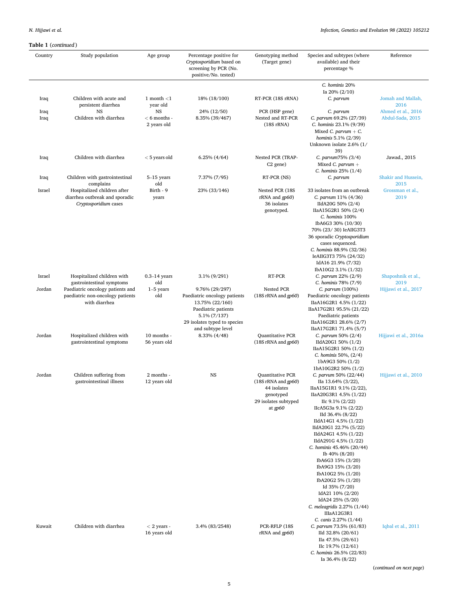| Country      | Study population                                                                       | Age group                                  | Percentage positive for<br>Cryptosporidium based on<br>screening by PCR (No.<br>positive/No. tested)                                                          | Genotyping method<br>(Target gene)                                                                       | Species and subtypes (where<br>available) and their<br>percentage %                                                                                                                                                                                                                                                                                                                                                                                                                                          | Reference                              |
|--------------|----------------------------------------------------------------------------------------|--------------------------------------------|---------------------------------------------------------------------------------------------------------------------------------------------------------------|----------------------------------------------------------------------------------------------------------|--------------------------------------------------------------------------------------------------------------------------------------------------------------------------------------------------------------------------------------------------------------------------------------------------------------------------------------------------------------------------------------------------------------------------------------------------------------------------------------------------------------|----------------------------------------|
|              |                                                                                        |                                            |                                                                                                                                                               |                                                                                                          | C. hominis 20%                                                                                                                                                                                                                                                                                                                                                                                                                                                                                               |                                        |
| Iraq         | Children with acute and<br>persistent diarrhea                                         | 1 month $<$ 1<br>year old                  | 18% (18/100)                                                                                                                                                  | RT-PCR (18S rRNA)                                                                                        | Ia 20% $(2/10)$<br>C. parvum                                                                                                                                                                                                                                                                                                                                                                                                                                                                                 | Jomah and Mallah,<br>2016              |
| Iraq<br>Iraq | NS<br>Children with diarrhea                                                           | <b>NS</b><br>$< 6$ months -<br>2 years old | 24% (12/50)<br>8.35% (39/467)                                                                                                                                 | PCR (HSP gene)<br>Nested and RT-PCR<br>$(18S$ <sub>rRNA</sub> $)$                                        | C. parvum<br>C. parvum 69.2% (27/39)<br>C. hominis 23.1% (9/39)<br>Mixed C. parvum $+ C$ .<br>hominis 5.1% (2/39)<br>Unknown isolate 2.6% (1/<br>39)                                                                                                                                                                                                                                                                                                                                                         | Ahmed et al., 2016<br>Abdul-Sada, 2015 |
| Iraq         | Children with diarrhea                                                                 | $<$ 5 years old                            | $6.25\%$ $(4/64)$                                                                                                                                             | Nested PCR (TRAP-<br>C <sub>2</sub> gene)                                                                | C. parvum75% (3/4)<br>Mixed C. parvum $+$<br>C. hominis $25\%$ (1/4)                                                                                                                                                                                                                                                                                                                                                                                                                                         | Jawad., 2015                           |
| Iraq         | Children with gastrointestinal<br>complains                                            | 5-15 years<br>old                          | 7.37% (7/95)                                                                                                                                                  | RT-PCR (NS)                                                                                              | C. parvum                                                                                                                                                                                                                                                                                                                                                                                                                                                                                                    | Shakir and Hussein,<br>2015            |
| Israel       | Hospitalized children after<br>diarrhea outbreak and sporadic<br>Cryptosporidium cases | Birth - 9<br>years                         | 23% (33/146)                                                                                                                                                  | Nested PCR (18S<br>$rRNA$ and $qp60$<br>36 isolates<br>genotyped.                                        | 33 isolates from an outbreak<br>C. parvum 11% (4/36)<br>IIdA20G 50% (2/4)<br>IIaA15G2R1 50% (2/4)<br>C. hominis 100%<br>IbA6G3 30% (10/30)<br>70% (23/30) IeAIIG3T3<br>36 sporadic Cryptosporidium<br>cases sequenced.<br>C. hominis 88.9% (32/36)<br>IeAIIG3T3 75% (24/32)<br>IdA16 21.9% (7/32)<br>IbA10G2 3.1% (1/32)                                                                                                                                                                                     | Grossman et al.,<br>2019               |
| Israel       | Hospitalized children with<br>gastrointestinal symptoms                                | $0.3 - 14$ years<br>old                    | 3.1% (9/291)                                                                                                                                                  | RT-PCR                                                                                                   | C. parvum 22% (2/9)<br>C. hominis 78% (7/9)                                                                                                                                                                                                                                                                                                                                                                                                                                                                  | Shaposhnik et al.,<br>2019             |
| Jordan       | Paediatric oncology patients and<br>paediatric non-oncology patients<br>with diarrhea  | $1-5$ years<br>old                         | 9.76% (29/297)<br>Paediatric oncology patients<br>13.75% (22/160)<br>Paediatric patients<br>5.1% (7/137)<br>29 isolates typed to species<br>and subtype level | Nested PCR<br>(18S rRNA and gp60)                                                                        | C. parvum (100%)<br>Paediatric oncology patients<br>IIaA16G2R1 4.5% (1/22)<br>IIaA17G2R1 95.5% (21/22)<br>Paediatric patients<br>IIaA16G2R1 28.6% (2/7)<br>IIaA17G2R1 71.4% (5/7)                                                                                                                                                                                                                                                                                                                            | Hijjawi et al., 2017                   |
| Jordan       | Hospitalized children with<br>gastrointestinal symptoms                                | 10 months -<br>56 years old                | 8.33% (4/48)                                                                                                                                                  | Quantitative PCR<br>(18S rRNA and gp60)                                                                  | C. parvum 50% (2/4)<br>IIdA20G1 50% (1/2)<br>IIaA15G2R1 50% (1/2)<br>C. hominis 50%, $(2/4)$<br>1bA9G3 50% (1/2)<br>1bA10G2R2 50% (1/2)                                                                                                                                                                                                                                                                                                                                                                      | Hijjawi et al., 2016a                  |
| Jordan       | Children suffering from<br>gastrointestinal illness                                    | 2 months -<br>12 years old                 | <b>NS</b>                                                                                                                                                     | Quantitative PCR<br>(18S rRNA and gp60)<br>44 isolates<br>genotyped<br>29 isolates subtyped<br>at $gp60$ | C. parvum 50% (22/44)<br>IIa 13.64% (3/22),<br>IIaA15G1R1 9.1% (2/22),<br>IIaA20G3R1 4.5% (1/22)<br>IIc $9.1\%$ (2/22)<br>IIcA5G3a 9.1% (2/22)<br>IId 36.4% (8/22)<br>IIdA14G1 4.5% (1/22)<br>IIdA20G1 22.7% (5/22)<br>IIdA24G1 4.5% (1/22)<br>IIdA291G 4.5% (1/22)<br>C. hominis 45.46% (20/44)<br>Ib 40% (8/20)<br>IbA6G3 15% (3/20)<br>IbA9G3 15% (3/20)<br>IbA10G2 5% (1/20)<br>IbA20G2 5% (1/20)<br>Id 35% (7/20)<br>IdA21 10% (2/20)<br>IdA24 25% (5/20)<br>C. meleagridis 2.27% (1/44)<br>IIIaA12G3R1 | Hijjawi et al., 2010                   |
| Kuwait       | Children with diarrhea                                                                 | $<$ 2 years -<br>16 years old              | 3.4% (83/2548)                                                                                                                                                | PCR-RFLP (18S<br>rRNA and gp60)                                                                          | C. canis 2.27% (1/44)<br>C. parvum 73.5% (61/83)<br>IId 32.8% (20/61)<br>IIa 47.5% (29/61)<br>IIc $19.7\%$ $(12/61)$<br>C. hominis 26.5% (22/83)<br>Ia 36.4% (8/22)                                                                                                                                                                                                                                                                                                                                          | Iqbal et al., 2011                     |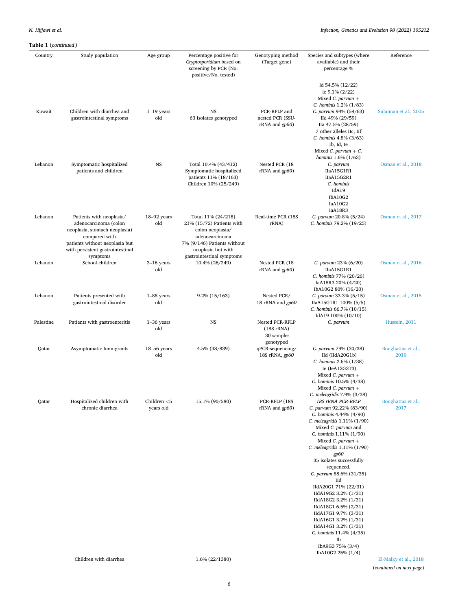| Country   | Study population                                                                                                                                                                      | Age group                   | Percentage positive for<br>Cryptosporidium based on<br>screening by PCR (No.<br>positive/No. tested)                                                                    | Genotyping method<br>(Target gene)                          | Species and subtypes (where<br>available) and their<br>percentage %                                                                                                                                                                                                                                                        | Reference                  |
|-----------|---------------------------------------------------------------------------------------------------------------------------------------------------------------------------------------|-----------------------------|-------------------------------------------------------------------------------------------------------------------------------------------------------------------------|-------------------------------------------------------------|----------------------------------------------------------------------------------------------------------------------------------------------------------------------------------------------------------------------------------------------------------------------------------------------------------------------------|----------------------------|
| Kuwait    | Children with diarrhea and<br>gastrointestinal symptoms                                                                                                                               | $1-19$ years<br>old         | $_{\rm NS}$<br>63 isolates genotyped                                                                                                                                    | PCR-RFLP and<br>nested PCR (SSU-<br>rRNA and gp60)          | ld 54.5% (12/22)<br>le $9.1\%$ (2/22)<br>Mixed C. parvum $+$<br>C. hominis 1.2% (1/83)<br>C. parvum 94% (59/63)<br>IId 49% (29/59)<br>IIa 47.5% (28/59)<br>7 other alleles IIc, IIf<br>C. hominis 4.8% (3/63)                                                                                                              | Sulaiman et al., 2005      |
| Lebanon   | Symptomatic hospitalized<br>patients and children                                                                                                                                     | <b>NS</b>                   | Total 10.4% (43/412)<br>Symptomatic hospitalized<br>patients 11% (18/163)<br>Children 10% (25/249)                                                                      | Nested PCR (18<br>rRNA and gp60)                            | Ib, Id, Ie<br>Mixed C. parvum $+ C$ .<br>hominis 1.6% (1/63)<br>C. parvum<br>IIaA15G1R1<br>IIaA15G2R1<br>C. hominis                                                                                                                                                                                                        | Osman et al., 2018         |
|           |                                                                                                                                                                                       |                             |                                                                                                                                                                         |                                                             | IdA19<br>IbA10G2<br>IaA10G2<br>IaA18R3                                                                                                                                                                                                                                                                                     |                            |
| Lebanon   | Patients with neoplasia/<br>adenocarcinoma (colon<br>neoplasia, stomach neoplasia)<br>compared with<br>patients without neoplasia but<br>with persistent gastrointestinal<br>symptoms | $18-92$ years<br>old        | Total 11% (24/218)<br>21% (15/72) Patients with<br>colon neoplasia/<br>adenocarcinoma<br>7% (9/146) Patients without<br>neoplasia but with<br>gastrointestinal symptoms | Real-time PCR (18S<br>rRNA)                                 | C. parvum 20.8% (5/24)<br>C. hominis 79.2% (19/25)                                                                                                                                                                                                                                                                         | Osman et al., 2017         |
| Lebanon   | School children                                                                                                                                                                       | $3-16$ years<br>old         | 10.4% (26/249)                                                                                                                                                          | Nested PCR (18<br>rRNA and gp60)                            | C. parvum 23% (6/20)<br>IIaA15G1R1<br>C. hominis 77% (20/26)<br>IaA18R3 20% (4/20)                                                                                                                                                                                                                                         | Osman et al., 2016         |
| Lebanon   | Patients presented with<br>gastrointestinal disorder                                                                                                                                  | $1-88$ years<br>old         | $9.2\%$ (15/163)                                                                                                                                                        | Nested PCR/<br>18 rRNA and gp60                             | IbA10G2 80% (16/20)<br>C. parvum 33.3% (5/15)<br>IIaA15G1R1 100% (5/5)<br>C. hominis 66.7% (10/15)                                                                                                                                                                                                                         | Osman et al., 2015         |
| Palestine | Patients with gastroenteritis                                                                                                                                                         | $1-36$ years<br>old         | <b>NS</b>                                                                                                                                                               | Nested PCR-RFLP<br>$(18S\,rRNA)$<br>30 samples<br>genotyped | IdA19 100% (10/10)<br>C. parvum                                                                                                                                                                                                                                                                                            | Hussein, 2011              |
| Qatar     | Asymptomatic Immigrants                                                                                                                                                               | $18-56$ years<br>old        | 4.5% (38/839)                                                                                                                                                           | qPCR-sequencing/<br>18S rRNA, gp60                          | C. parvum 79% (30/38)<br>IId (IIdA20G1b)<br>C. hominis 2.6% (1/38)<br>Ie (IeA12G3T3)<br>Mixed C. parvum $+$<br>C. hominis 10.5% (4/38)<br>Mixed C. parvum $+$                                                                                                                                                              | Boughattas et al.,<br>2019 |
| Qatar     | Hospitalized children with<br>chronic diarrhea                                                                                                                                        | Children $<$ 5<br>years old | 15.1% (90/580)                                                                                                                                                          | PCR-RFLP (18S<br>rRNA and gp60)                             | C. meleagridis 7.9% (3/38)<br>18S rRNA PCR-RFLP<br>C. parvum 92.22% (83/90)<br>C. hominis 4.44% (4/90)<br>C. meleagridis 1.11% (1/90)<br>Mixed C. parvum and<br>C. hominis 1.11% (1/90)<br>Mixed C. parvum $+$<br>C. meleagridis 1.11% (1/90)<br>gp60<br>35 isolates successfully<br>sequenced.<br>C. parvum 88.6% (31/35) | Boughattas et al.,<br>2017 |
|           |                                                                                                                                                                                       |                             |                                                                                                                                                                         |                                                             | Пd<br>IIdA20G1 71% (22/31)<br>IIdA19G2 3.2% (1/31)<br>IIdA18G2 3.2% (1/31)<br>IIdA18G1 6.5% (2/31)<br>IIdA17G1 9.7% (3/31)<br>IIdA16G1 3.2% (1/31)<br>IIdA14G1 3.2% (1/31)<br>C. hominis 11.4% (4/35)<br>Ib                                                                                                                |                            |
|           | Children with diarrhea                                                                                                                                                                |                             | 1.6% (22/1380)                                                                                                                                                          |                                                             | IbA9G3 75% (3/4)<br>IbA10G2 25% (1/4)                                                                                                                                                                                                                                                                                      | El-Malky et al., 2018      |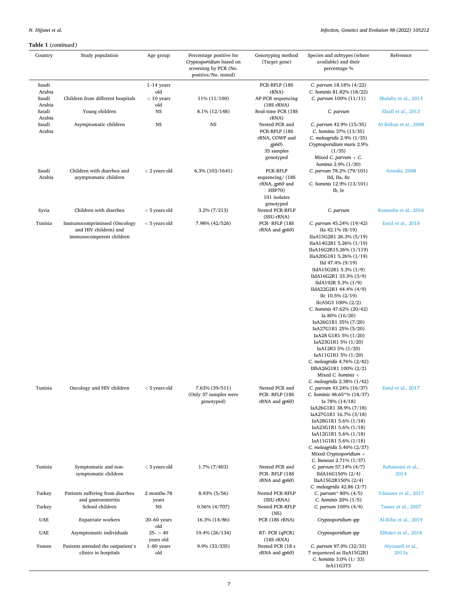### *Infection, Genetics and Evolution 98 (2022) 105212*

| Country                   | Study population                                                                  | Age group                  | Percentage positive for<br>Cryptosporidium based on<br>screening by PCR (No.<br>positive/No. tested) | Genotyping method<br>(Target gene)                                                          | Species and subtypes (where<br>available) and their<br>percentage %                                                                                                                                                                                                                                                                                                                                                                                                                                                                                                                                                                         | Reference                  |
|---------------------------|-----------------------------------------------------------------------------------|----------------------------|------------------------------------------------------------------------------------------------------|---------------------------------------------------------------------------------------------|---------------------------------------------------------------------------------------------------------------------------------------------------------------------------------------------------------------------------------------------------------------------------------------------------------------------------------------------------------------------------------------------------------------------------------------------------------------------------------------------------------------------------------------------------------------------------------------------------------------------------------------------|----------------------------|
| Saudi                     |                                                                                   | $1-14$ years               |                                                                                                      | PCR-RFLP (18S                                                                               | C. parvum 18.18% (4/22)                                                                                                                                                                                                                                                                                                                                                                                                                                                                                                                                                                                                                     |                            |
| Arabia<br>Saudi<br>Arabia | Children from different hospitals                                                 | old<br>$<$ 10 years<br>old | 11% (11/100)                                                                                         | rRNA)<br>AP-PCR sequencing<br>$(18S \, rRNA)$                                               | C. hominis 81.82% (18/22)<br>C. parvum 100% (11/11)                                                                                                                                                                                                                                                                                                                                                                                                                                                                                                                                                                                         | Shalaby et al., 2014       |
| Saudi<br>Arabia           | Young children                                                                    | <b>NS</b>                  | 8.1% (12/148)                                                                                        | Real-time PCR (18S<br>rRNA)                                                                 | C. parvum                                                                                                                                                                                                                                                                                                                                                                                                                                                                                                                                                                                                                                   | Elsafi et al., 2013        |
| Saudi<br>Arabia           | Asymptomatic children                                                             | <b>NS</b>                  | NS                                                                                                   | Nested PCR and<br>PCR-RFLP (18S<br>rRNA, COWP and<br>gp60<br>35 samples<br>genotyped        | C. parvum 42.9% (15/35)<br>C. hominis 37% (13/35)<br>C. meleagridis 2.9% (1/35)<br>Cryptosporidium muris 2.9%<br>(1/35)<br>Mixed C. $parvum + C$ .<br>hominis 2.9% (1/30)                                                                                                                                                                                                                                                                                                                                                                                                                                                                   | Al-Brikan et al., 2008     |
| Saudi<br>Arabia           | Children with diarrhea and<br>asymptomatic children                               | $<$ 2 years old            | 6.3% (103/1641)                                                                                      | PCR-RFLP<br>sequencing/(18S<br>rRNA, gp60 and<br><b>HSP70)</b><br>101 isolates<br>genotyped | C. parvum 78.2% (79/101)<br>IId, IIa, IIc<br>C. hominis 12.9% (13/101)<br>Ib, Ie                                                                                                                                                                                                                                                                                                                                                                                                                                                                                                                                                            | Areeshi, 2008              |
| Syria                     | Children with diarrhea                                                            | $<$ 5 years old            | $3.2\% (7/213)$                                                                                      | Nested PCR-RFLP<br>(SSU-rRNA)                                                               | C. parvum                                                                                                                                                                                                                                                                                                                                                                                                                                                                                                                                                                                                                                   | Kassouha et al., 2016      |
| Tunisia                   | Immunocomprimissed (Oncology<br>and HIV children) and<br>immunocompetent children | $<$ 5 years old            | 7.98% (42/526)                                                                                       | PCR-RFLP (18S)<br>rRNA and gp60)                                                            | C. parvum 45.24% (19/42)<br>IIa 42.1% (8/19)<br>IIaA15G2R1 26.3% (5/19)<br>IIaA14G2R1 5.26% (1/19)<br>IIaA16G2R15.26% (1/119)<br>IIaA20G1R1 5.26% (1/19)<br>IId 47.4% (9/19)<br>IIdA15G2R1 5.3% (1/9)<br>IIdA16G2R1 33.3% (3/9)<br>IIdA192R 5.3% (1/9)<br>IIdA22G2R1 44.4% (4/9)<br>IIc $10.5\%$ (2/19)<br>IIcA5G3 100% (2/2)<br>C. hominis 47.62% (20/42)<br>Ia 80% $(16/20)$<br>IaA26G1R1 35% (7/20)<br>IaA27G1R1 25% (5/20)<br>IaA28 G1R1 5% (1/20)<br>IaA23G1R1 5% (1/20)<br>IaA12R3 5% (1/20)<br>IaA11G1R1 5% (1/20)<br>C. meleagridis 4.76% (2/42)<br>IIIbA26G1R1 100% (2/2)<br>Mixed $C.$ hominis $+$<br>C. meleagridis 2.38% (1/42) | Essid et al., 2018         |
| Tunisia                   | Oncology and HIV children                                                         | $<$ 5 years old            | 7.63% (39/511)<br>(Only 37 samples were<br>genotyped)                                                | Nested PCR and<br>PCR-RFLP (18S<br>$rRNA$ and $qp60$ )                                      | C. parvum 43.24% (16/37)<br>C. hominis 48.65*% (18/37)<br>Ia 78% (14/18)<br>IaA26G1R1 38.9% (7/18)<br>IaA27G1R1 16.7% (3/18)<br>IaA28G1R1 5.6% (1/18)<br>IaA23G1R1 5.6% (1/18)<br>IaA12G1R1 5.6% (1/18)<br>IaA11G1R1 5.6% (1/18)<br>C. meleagridis 5.40% (2/37)<br>Mixed Cryptosporidium +<br>C. bieneusi 2.71% (1/37)                                                                                                                                                                                                                                                                                                                      | Essid et al., 2017         |
| Tunisia                   | Symptomatic and non-<br>symptomatic children                                      | $<$ 5 years old            | 1.7% (7/403)                                                                                         | Nested PCR and<br>PCR-RFLP (18S<br>rRNA and gp60)                                           | C. parvum 57.14% (4/7)<br>IIdA16G150% (2/4)<br>IIaA15G2R150% (2/4)<br>C. meleagridis 42.86 (3/7)                                                                                                                                                                                                                                                                                                                                                                                                                                                                                                                                            | Rahmouni et al.,<br>2014   |
| Turkey                    | Patients suffering from diarrhea<br>and gastroenteritis                           | 2 months-78                | 8.93% (5/56)                                                                                         | Nested PCR-RFLP                                                                             | C. parvum* 80% (4/5)<br>C. hominis 20% (1/5)                                                                                                                                                                                                                                                                                                                                                                                                                                                                                                                                                                                                | Yılmazer et al., 2017      |
| Turkey                    | School children                                                                   | years<br><b>NS</b>         | $0.56\%$ (4/707)                                                                                     | (SSU-rRNA)<br>Nested PCR-RFLP<br>(NS)                                                       | C. parvum 100% (4/4)                                                                                                                                                                                                                                                                                                                                                                                                                                                                                                                                                                                                                        | Tamer et al., 2007         |
| <b>UAE</b>                | Expatriate workers                                                                | $20-60$ years<br>old       | 16.3% (14/86)                                                                                        | PCR (18S rRNA)                                                                              | Cryptosporidium spp                                                                                                                                                                                                                                                                                                                                                                                                                                                                                                                                                                                                                         | Al-Rifai et al., 2019      |
| <b>UAE</b>                | Asymptomatic individuals                                                          | $25 - 40$<br>years old     | 19.4% (26/134)                                                                                       | RT- PCR (qPCR)<br>$(18S\,rRNA)$                                                             | Cryptosporidium spp                                                                                                                                                                                                                                                                                                                                                                                                                                                                                                                                                                                                                         | ElBakri et al., 2018       |
| Yemen                     | Patients attended the outpatient's<br>clinics in hospitals                        | $1-80$ years<br>old        | 9.9% (33/335)                                                                                        | Nested PCR (18 s<br>rRNA and gp60)                                                          | C. parvum 97.0% (32/33)<br>7 sequenced as IIaA15G2R1<br>C. hominis 3.0% (1/33)<br>IeA11G3T3                                                                                                                                                                                                                                                                                                                                                                                                                                                                                                                                                 | Alyousefi et al.,<br>2013a |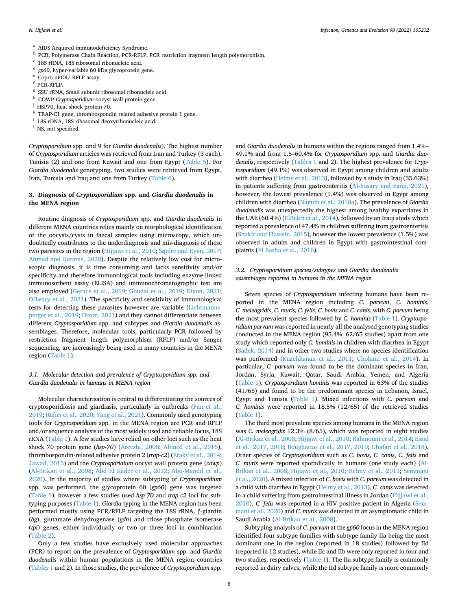- 
- <span id="page-7-0"></span> $^{\rm a}$  AIDS Acquired immunodeficiency Syndrome.<br> $^{\rm b}$  PCR, Polymerase Chain Reaction, PCR-RFLP, PCR restriction fragment length polymorphism.<br> $^{\rm c}$  18S rRNA, 18S ribosomal ribonucleic acid.<br> $^{\rm d}$  *gp60*, hyper-vari
- 
- 
- 
- 
- 
- $^{\rm h}$  COWP *Cryptosporidium* oocyst wall protein gene.  $^{\rm j}$  HSP70, heat shock protein 70.
- 
- $^{\rm k}$  TRAP-C1 gene, thrombospondin related adhesive protein 1 gene.  $^{\rm l}$  18S rDNA, 18S ribosomal deoxyribonucleic acid.  $^{\rm i}$  NS, not specified.
- 
- 

*Cryptosporidium* spp. and 9 for *Giardia duodenalis*). The highest number of *Cryptosporidium* articles was retrieved from Iran and Turkey (3 each), Tunisia (2) and one from Kuwait and one from Egypt ([Table 5](#page-19-0)). For *Giardia duodenalis* genotyping, two studies were retrieved from Egypt, Iran, Tunisia and Iraq and one from Turkey ([Table 6](#page-21-0)).

### **3. Diagnosis of** *Cryptosporidium* **spp. and** *Giardia duodenalis* **in the MENA region**

Routine diagnosis of *Cryptosporidium* spp. and *Giardia duodenalis* in different MENA countries relies mainly on morphological identification of the oocysts/cysts in faecal samples using microscopy, which undoubtedly contributes to the underdiagnosis and mis-diagnosis of these two parasites in the region [\(Hijjawi et al., 2010;](#page-24-0) [Squire and Ryan, 2017](#page-27-0); [Ahmed and Karanis, 2020\)](#page-22-0). Despite the relatively low cost for microscopic diagnosis, it is time consuming and lacks sensitivity and/or specificity and therefore immunological tools including enzyme-linked immunosorbent assay (ELISA) and immunochromatographic test are also employed ([Gerace et al., 2019;](#page-23-0) [Goudal et al., 2019](#page-24-0); [Dixon, 2021](#page-23-0); O'[Leary et al., 2021](#page-26-0)). The specificity and sensitivity of immunological tests for detecting these parasites however are variable [\(Lichtmanns](#page-25-0)[perger et al., 2019](#page-25-0); [Dixon, 2021\)](#page-23-0) and they cannot differentiate between different *Cryptosporidium* spp. and subtypes and *Giardia duodenalis* assemblages. Therefore, molecular tools, particularly PCR followed by restriction fragment length polymorphism (RFLP) and/or Sanger sequencing, are increasingly being used in many countries in the MENA region [\(Table 1\)](#page-2-0).

### *3.1. Molecular detection and prevalence of Cryptosporidium spp. and Giardia duodenalis in humans in MENA region*

Molecular characterisation is central to differentiating the sources of cryptosporidiosis and giardiasis, particularly in outbreaks ([Fan et al.,](#page-23-0)  [2019;](#page-23-0) [Rafiei et al., 2020](#page-26-0); [Yang et al., 2021](#page-27-0)). Commonly used genotyping tools for *Cryptosporidium* spp. in the MENA region are PCR and RFLP and/or sequence analysis of the most widely used and reliable locus, 18S rRNA [\(Table 1](#page-2-0)). A few studies have relied on other loci such as the heat shock 70 protein gene (*hsp-70*) [\(Areeshi, 2008](#page-22-0); [Ahmed et al., 2016](#page-22-0)), thrombospondin-related adhesive protein 2 (*trap-c2*) [\(Eraky et al., 2014](#page-23-0); [Jawad, 2015](#page-24-0)) and the *Cryptosporidium* oocyst wall protein gene (*cowp*) ([Al-Brikan et al., 2008](#page-22-0); [Abd El Kader et al., 2012;](#page-22-0) [Abo-Mandil et al.,](#page-22-0)  [2020\)](#page-22-0). In the majority of studies where subtyping of *Cryptosporidium*  spp. was performed, the glycoprotein 60 (*gp60*) gene was targeted ([Table 1](#page-2-0)), however a few studies used *hsp-70* and *trap-c2* loci for subtyping purposes ([Table 1](#page-2-0)). *Giardia* typing in the MENA region has been performed mostly using PCR/RFLP targeting the 18S rRNA, β-giardin (*bg*), glutamate dehydrogenase (*gdh*) and triose-phosphate isomerase (*tpi*) genes, either individually or two or three loci in combination ([Table 2](#page-8-0)).

Only a few studies have exclusively used molecular approaches (PCR) to report on the prevalence of *Cryptosporidium* spp. and *Giardia duodenalis* within human populations in the MENA region countries ([Tables 1](#page-2-0) and 2). In those studies, the prevalence of *Cryptosporidium* spp.

and *Giardia duodenalis* in humans within the regions ranged from 1.4%– 49.1% and from 1.5–60.4% for *Cryptosporidium* spp. and *Giardia duodenalis*, respectively [\(Tables 1](#page-2-0) and 2). The highest prevalence for *Cryptosporidium* (49.1%) was observed in Egypt among children and adults with diarrhea ([Helmy et al., 2013](#page-24-0)), followed by a study in Iraq (35.63%) in patients suffering from gastroenteritis [\(Al-Yasary and Faraj, 2021](#page-22-0)), however, the lowest prevalence (1.4%) was observed in Egypt among children with diarrhea [\(Naguib et al., 2018a](#page-25-0)). The prevalence of *Giardia duodenalis* was unexpectedly the highest among healthy expatriates in the UAE (60.4%) [\(ElBakri et al., 2014\)](#page-23-0), followed by an Iraqi study which reported a prevalence of 47.4% in children suffering from gastroenteritis ([Shakir and Hussein, 2015\)](#page-27-0), however the lowest prevalence (1.5%) was observed in adults and children in Egypt with gastrointestinal complaints ([El Basha et al., 2016](#page-23-0)).

### *3.2. Cryptosporidium species/subtypes and Giardia duodenalis assemblages reported in humans in the MENA region*

Seven species of *Cryptosporidium* infecting humans have been reported in the MENA region including *C. parvum*, *C. hominis*, *C. meleagridis*, *C. muris, C. felis*, *C. bovis* and *C. canis*, with *C. parvum* being the most prevalent species followed by *C. hominis* ([Table 1](#page-2-0)). *Cryptosporidium parvum* was reported in nearly all the analysed genotyping studies conducted in the MENA region (95.4%; 62/65 studies) apart from one study which reported only *C. hominis* in children with diarrhea in Egypt ([Sadek, 2014](#page-26-0)) and in other two studies where no species identification was performed ([Kuzehkanan et al., 2011;](#page-25-0) [Gholami et al., 2014](#page-24-0)). In particular, *C. parvum* was found to be the dominant species in Iran, Jordan, Syria, Kuwait, Qatar, Saudi Arabia, Yemen, and Algeria ([Table 1\)](#page-2-0). *Cryptosporidium hominis* was reported in 63% of the studies (41/65) and found to be the predominant species in Lebanon, Israel, Egypt and Tunisia [\(Table 1\)](#page-2-0). Mixed infections with *C. parvum* and *C. hominis* were reported in 18.5% (12/65) of the retrieved studies ([Table 1](#page-2-0)).

The third most prevalent species among humans in the MENA region was *C. meleagridis* 12.3% (8/65)*,* which was reported in eight studies ([Al-Brikan et al., 2008;](#page-22-0) [Hijjawi et al., 2010;](#page-24-0) [Rahmouni et al., 2014;](#page-26-0) [Essid](#page-23-0)  [et al., 2017, 2018; Boughattas et al., 2017, 2019; Ghafari et al., 2018](#page-23-0)). Other species of *Cryptosporidium* such as *C. bovis*, *C. canis*, *C. felis* and *C. muris* were reported sporadically in humans (one study each) [\(Al-](#page-22-0)[Brikan et al., 2008;](#page-22-0) [Hijjawi et al., 2010](#page-24-0); [Helmy et al., 2013](#page-24-0); [Semmani](#page-26-0)  [et al., 2020](#page-26-0)). A mixed infection of *C. bovis* with *C. parvum* was detected in a child with diarrhea in Egypt [\(Helmy et al., 2013](#page-24-0)), *C. canis* was detected in a child suffering from gastrointestinal illness in Jordan ([Hijjawi et al.,](#page-24-0)  [2010\)](#page-24-0), *C. felis* was reported in a HIV positive patient in Algeria [\(Sem](#page-26-0)[mani et al., 2020](#page-26-0)) and *C. muris* was detected in an asymptomatic child in Saudi Arabia [\(Al-Brikan et al., 2008\)](#page-22-0).

Subtyping analysis of *C. parvum* at the *gp60* locus in the MENA region identified four subtype families with subtype family IIa being the most dominant one in the region (reported in 18 studies) followed by IId (reported in 12 studies), while IIc and IIb were only reported in four and two studies, respectively [\(Table 1](#page-2-0)). The IIa subtype family is commonly reported in dairy calves, while the IId subtype family is more commonly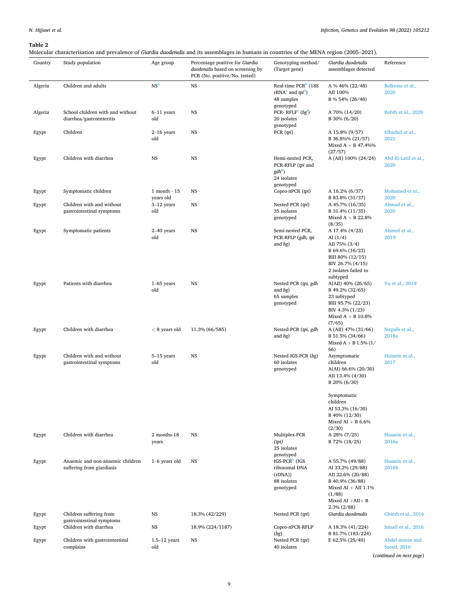<span id="page-8-0"></span>Molecular characterisation and prevalence of *Giardia duodenalis* and its assemblages in humans in countries of the MENA region (2005–2021).

| Country | Study population                                              | Age group                 | Percentage positive for Giardia<br>duodenalis based on screening by<br>PCR (No. positive/No. tested) | Genotyping method/<br>(Target gene)                                                | Giardia duodenalis<br>assemblages detected                                                                                                               | Reference                      |
|---------|---------------------------------------------------------------|---------------------------|------------------------------------------------------------------------------------------------------|------------------------------------------------------------------------------------|----------------------------------------------------------------------------------------------------------------------------------------------------------|--------------------------------|
| Algeria | Children and adults                                           | NS <sup>a</sup>           | <b>NS</b>                                                                                            | Real-time PCR <sup>b</sup> (18S<br>$rRNAc$ and $tpid$ )<br>48 samples<br>genotyped | A % 46% (22/48)<br>AII 100%<br>B % 54% (26/48)                                                                                                           | Belkessa et al.,<br>2020       |
| Algeria | School children with and without<br>diarrhea/gastroenteritis  | $6-11$ years<br>old       | <b>NS</b>                                                                                            | PCR-RFLF <sup>e</sup> $(bg^t)$<br>20 isolates<br>genotyped                         | A 70% (14/20)<br>B 30% (6/20)                                                                                                                            | Rebih et al., 2020             |
| Egypt   | Children                                                      | $2-16$ years<br>old       | <b>NS</b>                                                                                            | PCR (pi)                                                                           | A 15.8% (9/57)<br>B 36.8%% (21/57)<br>Mixed $A + B$ 47.4%%<br>(27/57)                                                                                    | Elhadad et al.,<br>2021        |
| Egypt   | Children with diarrhea                                        | $_{\rm NS}$               | <b>NS</b>                                                                                            | Hemi-nested PCR,<br>PCR-RFLP (tpi and<br>$gdh^s$<br>24 isolates<br>genotyped       | A (AII) 100% (24/24)                                                                                                                                     | Abd El-Latif et al.,<br>2020   |
| Egypt   | Symptomatic children                                          | 1 month - 15<br>years old | <b>NS</b>                                                                                            | Copro-nPCR (tpi)                                                                   | A 16.2% (6/37)<br>B 83.8% (31/37)                                                                                                                        | Mohamed et al.,<br>2020        |
| Egypt   | Children with and without<br>gastrointestinal symptoms        | $3-12$ years<br>old       | <b>NS</b>                                                                                            | Nested PCR (tpi)<br>35 isolates<br>genotyped                                       | A 45.7% (16/35)<br>B 31.4% (11/35)<br>Mixed $A + B$ 22.8%<br>(8/35)                                                                                      | Ahmad et al.,<br>2020          |
| Egypt   | Symptomatic patients                                          | $2-40$ years<br>old       | <b>NS</b>                                                                                            | Semi-nested PCR,<br>PCR-RFLP (gdh, tpi<br>and $bg)$                                | A 17.4% (4/23)<br>AI $(1/4)$<br>AII 75% (3/4)<br>B 69.6% (16/23)<br>BIII 80% (12/15)<br>BIV 26.7% (4/15)<br>2 isolates failed to<br>subtyped             | Ahmed et al.,<br>2019          |
| Egypt   | Patients with diarrhea                                        | $1-65$ years<br>old       | NS                                                                                                   | Nested PCR (tpi, gdh<br>and $bg)$<br>65 samples<br>genotyped                       | A(AII) 40% (26/65)<br>B 49.2% (32/65)<br>23 subtyped<br>BIII 95.7% (22/23)<br>BIV 4.3% (1/23)<br>Mixed $A + B$ 10.8%<br>(7/65)                           | Yu et al., 2019                |
| Egypt   | Children with diarrhea                                        | $< 8$ years old           | 11.3% (66/585)                                                                                       | Nested-PCR (tpi, gdh<br>and $bg)$                                                  | A (AII) 47% (31/66)<br>B 51.5% (34/66)<br>Mixed $A + B$ 1.5% (1/<br>66)                                                                                  | Naguib et al.,<br>2018a        |
| Egypt   | Children with and without<br>gastrointestinal symptoms        | $5-15$ years<br>old       | NS                                                                                                   | Nested IGS-PCR (bg)<br>60 isolates<br>genotyped                                    | Asymptomatic<br>children<br>A(AI) 66.6% (20/30)<br>AII 13.4% (4/30)<br>B 20% (6/30)                                                                      | Hussein et al.,<br>2017        |
|         |                                                               |                           |                                                                                                      |                                                                                    | Symptomatic<br>children<br>AI 53.3% (16/30)<br>B 40% (12/30)<br>Mixed AI + B $6.6\%$<br>(2/30)                                                           |                                |
| Egypt   | Children with diarrhea                                        | 2 months-18<br>years      | <b>NS</b>                                                                                            | Multiplex-PCR<br>(tpi)<br>25 isolates<br>genotyped                                 | A 28% (7/25)<br>B 72% (18/25)                                                                                                                            | Hussein et al.,<br>2016a       |
| Egypt   | Anaemic and non-anaemic children<br>suffering from giardiasis | 1-6 years old             | <b>NS</b>                                                                                            | $IGS-PCRh (IGS)$<br>ribosomal DNA<br>(rDNA))<br>88 isolates<br>genotyped           | A 55.7% (49/88)<br>AI 33.2% (29/88)<br>AII 22.6% (20/88)<br>B 40.9% (36/88)<br>Mixed AI + AII $1.1\%$<br>(1/88)<br>Mixed AI $+AII + B$<br>$2.3\%$ (2/88) | Hussein et al.,<br>2016b       |
| Egypt   | Children suffering from<br>gastrointestinal symptoms          | <b>NS</b>                 | 18.3% (42/229)                                                                                       | Nested PCR (tpi)                                                                   | Giardia duodenalis                                                                                                                                       | Ghieth et al., 2016            |
| Egypt   | Children with diarrhea                                        | $_{\rm NS}$               | 18.9% (224/1187)                                                                                     | Copro-nPCR-RFLP<br>(bg)                                                            | A 18.3% (41/224)<br>B 81.7% (183/224)                                                                                                                    | Ismail et al., 2016            |
| Egypt   | Children with gastrointestinal<br>complains                   | $1.5-12$ years<br>old     | <b>NS</b>                                                                                            | Nested PCR (tpi)<br>40 isolates                                                    | E 62.5% (25/40)                                                                                                                                          | Abdel-moein and<br>Saeed, 2016 |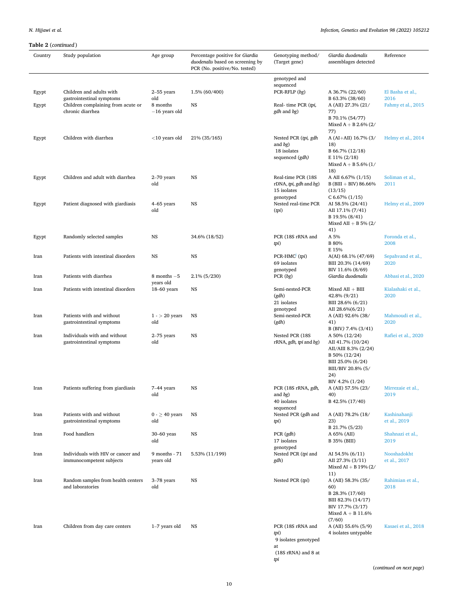| Country | Study population                                      | Age group                    | Percentage positive for Giardia<br>duodenalis based on screening by<br>PCR (No. positive/No. tested) | Genotyping method/<br>(Target gene)          | Giardia duodenalis<br>assemblages detected   | Reference                 |
|---------|-------------------------------------------------------|------------------------------|------------------------------------------------------------------------------------------------------|----------------------------------------------|----------------------------------------------|---------------------------|
|         |                                                       |                              |                                                                                                      | genotyped and                                |                                              |                           |
|         |                                                       |                              |                                                                                                      | sequenced                                    |                                              |                           |
| Egypt   | Children and adults with<br>gastrointestinal symptoms | 2-55 years<br>old            | 1.5% (60/400)                                                                                        | PCR-RFLP (bg)                                | A 36.7% (22/60)<br>B 63.3% (38/60)           | El Basha et al.,<br>2016  |
| Egypt   | Children complaining from acute or                    | 8 months                     | <b>NS</b>                                                                                            | Real-time PCR (tpi,                          | A (AII) 27.3% (21/                           | Fahmy et al., 2015        |
|         | chronic diarrhea                                      | $-16$ years old              |                                                                                                      | gdh and bg)                                  | 77)<br>B 70.1% (54/77)                       |                           |
|         |                                                       |                              |                                                                                                      |                                              | Mixed $A + B 2.6\% (2)$                      |                           |
| Egypt   | Children with diarrhea                                | $<$ 10 years old             | 21% (35/165)                                                                                         | Nested PCR (tpi, gdh                         | 77)<br>A (AI+AII) $16.7\%$ (3/               | Helmy et al., 2014        |
|         |                                                       |                              |                                                                                                      | and $bg$ )                                   | 18)                                          |                           |
|         |                                                       |                              |                                                                                                      | 18 isolates<br>sequenced (gdh)               | B 66.7% (12/18)<br>$E$ 11% (2/18)            |                           |
|         |                                                       |                              |                                                                                                      |                                              | Mixed $A + B 5.6\%$ (1/                      |                           |
|         |                                                       |                              |                                                                                                      |                                              | 18)                                          |                           |
| Egypt   | Children and adult with diarrhea                      | 2-70 years<br>old            | <b>NS</b>                                                                                            | Real-time PCR (18S<br>rDNA, tpi, gdh and bg) | A AII 6.67% (1/15)<br>$B(BIII + BIV) 86.66%$ | Soliman et al.,<br>2011   |
|         |                                                       |                              |                                                                                                      | 15 isolates                                  | (13/15)                                      |                           |
| Egypt   | Patient diagnosed with giardiasis                     | 4–65 years                   | NS                                                                                                   | genotyped<br>Nested real-time PCR            | C 6.67% (1/15)<br>AI 58.5% (24/41)           | Helmy et al., 2009        |
|         |                                                       | old                          |                                                                                                      | (pi)                                         | AII 17.1% (7/41)                             |                           |
|         |                                                       |                              |                                                                                                      |                                              | B 19.5% (8/41)<br>Mixed AII + B 5% $(2/$     |                           |
|         |                                                       |                              |                                                                                                      |                                              | 41)                                          |                           |
| Egypt   | Randomly selected samples                             | NS                           | 34.6% (18/52)                                                                                        | PCR (18S rRNA and<br>tpi)                    | A 5%<br><b>B</b> 80%                         | Foronda et al.,<br>2008   |
|         |                                                       |                              |                                                                                                      |                                              | E 15%                                        |                           |
| Iran    | Patients with intestinal disorders                    | NS                           | <b>NS</b>                                                                                            | PCR-HMC <sup>I</sup> (tpi)<br>69 isolates    | A(AI) 68.1% (47/69)<br>BIII 20.3% (14/69)    | Sepahvand et al.,<br>2020 |
|         |                                                       |                              |                                                                                                      | genotyped                                    | BIV 11.6% (8/69)                             |                           |
| Iran    | Patients with diarrhea                                | $8$ months $-5$<br>years old | $2.1\%$ (5/230)                                                                                      | PCR (bg)                                     | Giardia duodenalis                           | Abbasi et al., 2020       |
| Iran    | Patients with intestinal disorders                    | $18-60$ years                | NS                                                                                                   | Semi-nested-PCR                              | $Mixed AII + BIII$                           | Kialashaki et al.,        |
|         |                                                       |                              |                                                                                                      | (gdh)<br>21 isolates                         | 42.8% (9/21)<br>BIII 28.6% (6/21)            | 2020                      |
|         |                                                       |                              |                                                                                                      | genotyped                                    | AII 28.6%(6/21)                              |                           |
| Iran    | Patients with and without                             | $1 - 20$ years               | <b>NS</b>                                                                                            | Semi-nested-PCR                              | A (AII) 92.6% (38/                           | Mahmoudi et al.,          |
|         | gastrointestinal symptoms                             | old                          |                                                                                                      | (gdh)                                        | 41)<br>B (BIV) 7.4% (3/41)                   | 2020                      |
| Iran    | Individuals with and without                          | 2-75 years                   | <b>NS</b>                                                                                            | Nested PCR (18S                              | A 50% (12/24)                                | Rafiei et al., 2020       |
|         | gastrointestinal symptoms                             | old                          |                                                                                                      | rRNA, gdh, tpi and bg)                       | AII 41.7% (10/24)<br>AII/AIII 8.3% (2/24)    |                           |
|         |                                                       |                              |                                                                                                      |                                              | B 50% (12/24)                                |                           |
|         |                                                       |                              |                                                                                                      |                                              | BIII 25.0% (6/24)<br>BIII/BIV 20.8% (5/      |                           |
|         |                                                       |                              |                                                                                                      |                                              | 24)                                          |                           |
| Iran    | Patients suffering from giardiasis                    | 7-44 years                   | NS                                                                                                   | PCR (18S rRNA, gdh,                          | BIV 4.2% (1/24)<br>A (AII) 57.5% (23/        | Mirrezaie et al.,         |
|         |                                                       | old                          |                                                                                                      | and $bg$ )                                   | 40)                                          | 2019                      |
|         |                                                       |                              |                                                                                                      | 40 isolates<br>sequenced                     | B 42.5% (17/40)                              |                           |
| Iran    | Patients with and without                             | $0 - \geq 40$ years          | <b>NS</b>                                                                                            | Nested PCR (gdh and                          | A (AII) 78.2% (18/                           | Kashinahanji              |
|         | gastrointestinal symptoms                             | old                          |                                                                                                      | tpi)                                         | 23)<br>B 21.7% (5/23)                        | et al., 2019              |
| Iran    | Food handlers                                         | 30-60 yeas                   | <b>NS</b>                                                                                            | PCR (gdh)                                    | A 65% (AII)                                  | Shahnazi et al.,          |
|         |                                                       | old                          |                                                                                                      | 17 isolates                                  | B 35% (BIII)                                 | 2019                      |
| Iran    | Individuals with HIV or cancer and                    | 9 months - 71                | 5.53% (11/199)                                                                                       | genotyped<br>Nested PCR (tpi and             | AI 54.5% (6/11)                              | Nooshadokht               |
|         | immunocompetent subjects                              | years old                    |                                                                                                      | gdh)                                         | AII 27.3% (3/11)<br>Mixed AI + B 19% $(2/$   | et al., 2017              |
|         |                                                       |                              |                                                                                                      |                                              | 11)                                          |                           |
| Iran    | Random samples from health centers                    | 3-78 years                   | <b>NS</b>                                                                                            | Nested PCR (tpi)                             | A (AII) 58.3% (35/                           | Rahimian et al.,          |
|         | and laboratories                                      | old                          |                                                                                                      |                                              | 60)<br>B 28.3% (17/60)                       | 2018                      |
|         |                                                       |                              |                                                                                                      |                                              | BIII 82.3% (14/17)                           |                           |
|         |                                                       |                              |                                                                                                      |                                              | BIV 17.7% (3/17)<br>Mixed $A + B$ 11.6%      |                           |
|         |                                                       |                              |                                                                                                      |                                              | (7/60)                                       |                           |
| Iran    | Children from day care centers                        | $1-7$ years old              | NS                                                                                                   | PCR (18S rRNA and                            | A (AII) 55.6% (5/9)                          | Kasaei et al., 2018       |
|         |                                                       |                              |                                                                                                      | tpi)<br>9 isolates genotyped                 | 4 isolates untypable                         |                           |
|         |                                                       |                              |                                                                                                      | at<br>(18S rRNA) and 8 at                    |                                              |                           |
|         |                                                       |                              |                                                                                                      | tрi                                          |                                              |                           |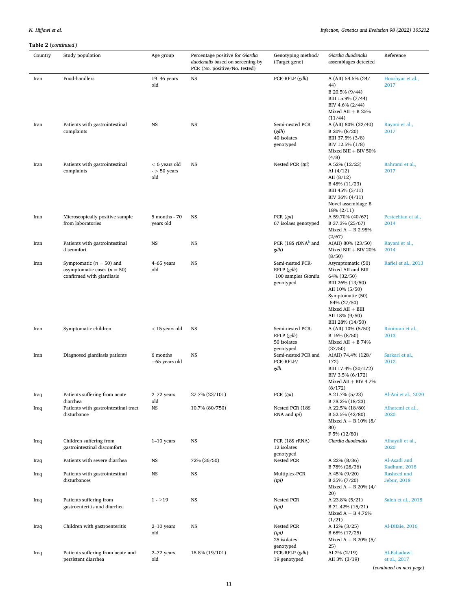| Country | Study population                                                                           | Age group                                | Percentage positive for Giardia<br>duodenalis based on screening by<br>PCR (No. positive/No. tested) | Genotyping method/<br>(Target gene)                                | Giardia duodenalis<br>assemblages detected                                                                                                                                                  | Reference                                               |
|---------|--------------------------------------------------------------------------------------------|------------------------------------------|------------------------------------------------------------------------------------------------------|--------------------------------------------------------------------|---------------------------------------------------------------------------------------------------------------------------------------------------------------------------------------------|---------------------------------------------------------|
| Iran    | Food-handlers                                                                              | $19-46$ years<br>old                     | <b>NS</b>                                                                                            | PCR-RFLP (gdh)                                                     | A (AII) 54.5% (24/<br>44)<br>B 20.5% (9/44)<br>BIII 15.9% (7/44)<br>BIV 4.6% (2/44)<br>Mixed AII $+$ B 25%                                                                                  | Hooshyar et al.,<br>2017                                |
| Iran    | Patients with gastrointestinal<br>complaints                                               | NS                                       | <b>NS</b>                                                                                            | Semi-nested PCR<br>(gdh)<br>40 isolates<br>genotyped               | (11/44)<br>A (AII) 80% (32/40)<br>B 20% (8/20)<br>BIII 37.5% (3/8)<br>BIV 12.5% (1/8)<br>Mixed BIII $+$ BIV 50%<br>(4/8)                                                                    | Rayani et al.,<br>2017                                  |
| Iran    | Patients with gastrointestinal<br>complaints                                               | $< 6$ years old<br>$-$ > 50 years<br>old | <b>NS</b>                                                                                            | Nested PCR (tpi)                                                   | A 52% (12/23)<br>AI $(4/12)$<br>AII $(8/12)$<br>B 48% (11/23)<br>BIII 45% (5/11)<br>BIV 36% (4/11)<br>Novel assemblage B<br>18% (2/11)                                                      | Bahrami et al.,<br>2017                                 |
| Iran    | Microscopically positive sample<br>from laboratories                                       | 5 months - 70<br>years old               | <b>NS</b>                                                                                            | PCR (tri)<br>67 isolaes genotyped                                  | A 59.70% (40/67)<br>B 37.3% (25/67)<br>Mixed $A + B$ 2.98%<br>(2/67)                                                                                                                        | Pestechian et al.,<br>2014                              |
| Iran    | Patients with gastrointestinal<br>discomfort                                               | NS                                       | <b>NS</b>                                                                                            | PCR $(18S rDNAk$ and<br>gdh)                                       | A(AII) 80% (23/50)<br>Mixed BIII + BIV 20%<br>(8/50)                                                                                                                                        | Rayani et al.,<br>2014                                  |
| Iran    | Symptomatic ( $n = 50$ ) and<br>asymptomatic cases $(n = 50)$<br>confirmed with giardiasis | 4-65 years<br>old                        | <b>NS</b>                                                                                            | Semi-nested PCR-<br>RFLP (gdh)<br>100 samples Giardia<br>genotyped | Asymptomatic (50)<br>Mixed AII and BIII<br>64% (32/50)<br>BIII 26% (13/50)<br>AII 10% (5/50)<br>Symptomatic (50)<br>54% (27/50)<br>$Mixed AII + BIII$<br>AII 18% (9/50)<br>BIII 28% (14/50) | Rafiei et al., 2013                                     |
| Iran    | Symptomatic children                                                                       | $<$ 15 years old                         | <b>NS</b>                                                                                            | Semi-nested PCR-<br>RFLP (gdh)<br>50 isolates<br>genotyped         | A (AII) 10% (5/50)<br>B 16% (8/50)<br>Mixed AII + B $74%$<br>(37/50)                                                                                                                        | Roointan et al.,<br>2013                                |
| Iran    | Diagnosed giardiasis patients                                                              | 6 months<br>$-65$ years old              | <b>NS</b>                                                                                            | Semi-nested PCR and<br>PCR-RFLP/<br>gdh                            | A(AII) 74.4% (128/<br>172)<br>BIII 17.4% (30/172)<br>BIV 3.5% (6/172)<br>Mixed AII $+$ BIV 4.7%<br>(8/172)                                                                                  | Sarkari et al.,<br>2012                                 |
| Iraq    | Patients suffering from acute<br>diarrhea                                                  | 2-72 years<br>old                        | 27.7% (23/101)                                                                                       | PCR (pi)                                                           | A 21.7% (5/23)<br>B 78.2% (18/23)                                                                                                                                                           | Al-Ani et al., 2020                                     |
| Iraq    | Patients with gastrointestinal tract<br>disturbance                                        | NS                                       | 10.7% (80/750)                                                                                       | Nested PCR (18S<br>RNA and tpi)                                    | A 22.5% (18/80)<br>B 52.5% (42/80)<br>Mixed $A + B$ 10% (8/<br>80)<br>F 5% (12/80)                                                                                                          | Alhatemi et al.,<br>2020                                |
| Iraq    | Children suffering from<br>gastrointestinal discomfort                                     | $1-10$ years                             | <b>NS</b>                                                                                            | PCR (18S rRNA)<br>12 isolates<br>genotyped                         | Giardia duodenalis                                                                                                                                                                          | Alhayali et al.,<br>2020                                |
| Iraq    | Patients with severe diarrhea                                                              | NS                                       | 72% (36/50)                                                                                          | Nested PCR                                                         | A 22% (8/36)<br>B 78% (28/36)                                                                                                                                                               | Al-Asadi and<br>Kadhum, 2018                            |
| Iraq    | Patients with gastrointestinal<br>disturbances                                             | NS                                       | <b>NS</b>                                                                                            | Multiplex-PCR<br>(tpi)                                             | A 45% (9/20)<br>B 35% (7/20)<br>Mixed $A + B$ 20% (4/<br>20)                                                                                                                                | Rasheed and<br>Jebur, 2018                              |
| Iraq    | Patients suffering from<br>gastroenteritis and diarrhea                                    | $1 - \ge 19$                             | <b>NS</b>                                                                                            | Nested PCR<br>(tpi)                                                | A 23.8% (5/21)<br>B 71.42% (15/21)<br>Mixed $A + B$ 4.76%<br>(1/21)                                                                                                                         | Saleh et al., 2018                                      |
| Iraq    | Children with gastroenteritis                                                              | $2-10$ years<br>old                      | <b>NS</b>                                                                                            | Nested PCR<br>(tpi)<br>25 isolates<br>genotyped                    | A 12% (3/25)<br>B 68% (17/25)<br>Mixed $A + B$ 20% (5/<br>25)                                                                                                                               | Al-Difaie, 2016                                         |
| Iraq    | Patients suffering from acute and<br>persistent diarrhea                                   | 2-72 years<br>old                        | 18.8% (19/101)                                                                                       | PCR-RFLP (gdh)<br>19 genotyped                                     | AI 2% (2/19)<br>AII 3% (3/19)                                                                                                                                                               | Al-Fahadawi<br>et al., 2017<br>(continued on next page) |

11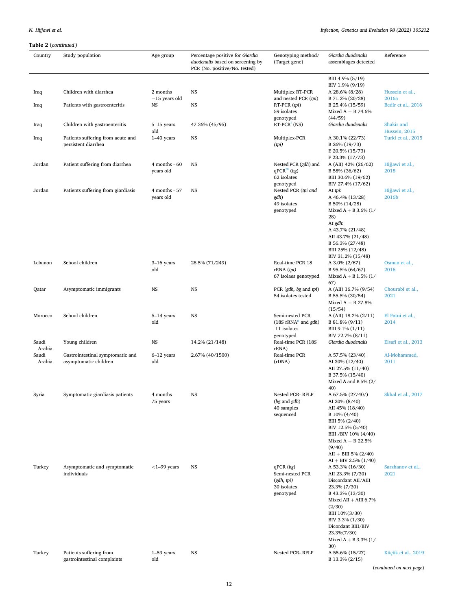| Country         | Study population                                          | Age group                      | Percentage positive for Giardia<br>duodenalis based on screening by<br>PCR (No. positive/No. tested) | Genotyping method/<br>(Target gene)                                                           | Giardia duodenalis<br>assemblages detected                                                                                                                                                                                                    | Reference                   |
|-----------------|-----------------------------------------------------------|--------------------------------|------------------------------------------------------------------------------------------------------|-----------------------------------------------------------------------------------------------|-----------------------------------------------------------------------------------------------------------------------------------------------------------------------------------------------------------------------------------------------|-----------------------------|
| Iraq            | Children with diarrhea                                    | 2 months                       | NS                                                                                                   | Multiplex RT-PCR                                                                              | BIII 4.9% (5/19)<br>BIV 1.9% (9/19)<br>A 28.6% (8/28)                                                                                                                                                                                         | Hussein et al.,             |
| Iraq            | Patients with gastroenteritis                             | $-15$ years old<br>NS          | NS                                                                                                   | and nested PCR (tpi)<br>RT-PCR (tpi)<br>59 isolates                                           | B 71.2% (20/28)<br>B 25.4% (15/59)<br>Mixed $A + B$ 74.6%                                                                                                                                                                                     | 2016a<br>Bedir et al., 2016 |
| Iraq            | Children with gastroenteritis                             | $5-15$ years<br>old            | 47.36% (45/95)                                                                                       | genotyped<br>$RT-PCR^{\perp}(NS)$                                                             | (44/59)<br>Giardia duodenalis                                                                                                                                                                                                                 | Shakir and<br>Hussein, 2015 |
| Iraq            | Patients suffering from acute and<br>persistent diarrhea  | $1-40$ years                   | <b>NS</b>                                                                                            | Multiplex-PCR<br>(tpi)                                                                        | A 30.1% (22/73)<br>B 26% (19/73)<br>E 20.5% (15/73)<br>F 23.3% (17/73)                                                                                                                                                                        | Turki et al., 2015          |
| Jordan          | Patient suffering from diarrhea                           | $4$ months - $60$<br>years old | <b>NS</b>                                                                                            | Nested PCR (gdh) and<br>$qPCR^{m}$ (bg)<br>62 isolates                                        | A (AII) 42% (26/62)<br>B 58% (36/62)<br>BIII 30.6% (19/62)                                                                                                                                                                                    | Hijjawi et al.,<br>2018     |
| Jordan          | Patients suffering from giardiasis                        | 4 months - 57<br>years old     | <b>NS</b>                                                                                            | genotyped<br>Nested PCR (tpi and<br>gdh)<br>49 isolates<br>genotyped                          | BIV 27.4% (17/62)<br>At tpi:<br>A 46.4% (13/28)<br>B 50% (14/28)<br>Mixed $A + B 3.6\%$ (1/<br>28)<br>At gdh:<br>A 43.7% (21/48)<br>AII 43.7% (21/48)<br>B 56.3% (27/48)<br>BIII 25% (12/48)<br>BIV 31.2% (15/48)                             | Hijjawi et al.,<br>2016b    |
| Lebanon         | School children                                           | $3-16$ years<br>old            | 28.5% (71/249)                                                                                       | Real-time PCR 18<br>$rRNA$ $(pi)$<br>67 isolaes genotyped                                     | A 3.0% (2/67)<br>B 95.5% (64/67)<br>Mixed $A + B 1.5% (1/$<br>67)                                                                                                                                                                             | Osman et al.,<br>2016       |
| Qatar           | Asymptomatic immigrants                                   | $_{\rm NS}$                    | NS                                                                                                   | PCR (gdh, bg and tpi)<br>54 isolates tested                                                   | A (AII) 16.7% (9/54)<br>B 55.5% (30/54)<br>Mixed $A + B$ 27.8%<br>(15/54)                                                                                                                                                                     | Chourabi et al.,<br>2021    |
| Morocco         | School children                                           | $5-14$ years<br>old            | NS                                                                                                   | Semi-nested PCR<br>$(18S \text{ rRNA}^n \text{ and } \text{gdh})$<br>11 isolates<br>genotyped | A (AII) 18.2% (2/11)<br>B 81.8% (9/11)<br>BIII 9.1% (1/11)<br>BIV 72.7% (8/11)                                                                                                                                                                | El Fatni et al.,<br>2014    |
| Saudi<br>Arabia | Young children                                            | <b>NS</b>                      | 14.2% (21/148)                                                                                       | Real-time PCR (18S<br>rRNA)                                                                   | Giardia duodenalis                                                                                                                                                                                                                            | Elsafi et al., 2013         |
| Saudi<br>Arabia | Gastrointestinal symptomatic and<br>asymptomatic children | $6-12$ years<br>old            | 2.67% (40/1500)                                                                                      | Real-time PCR<br>(rDNA)                                                                       | A 57.5% (23/40)<br>AI 30% (12/40)<br>AII 27.5% (11/40)<br>B 37.5% (15/40)<br>Mixed A and B $5\%$ (2/<br>40)                                                                                                                                   | Al-Mohammed,<br>2011        |
| Syria           | Symptomatic giardiasis patients                           | $4$ months $-$<br>75 years     | NS                                                                                                   | Nested PCR-RFLP<br>(bg and gdh)<br>40 samples<br>sequenced                                    | A $67.5\%$ $(27/40/)$<br>AI 20% (8/40)<br>AII 45% (18/40)<br>B 10% (4/40)<br>BIII 5% (2/40)<br>BIV 12.5% (5/40)<br>BIII /BIV 10% (4/40)<br>Mixed $A + B$ 22.5%<br>(9/40)<br>$AII + BIII 5% (2/40)$<br>$AI + BIV 2.5% (1/40)$                  | Skhal et al., 2017          |
| Turkey          | Asymptomatic and symptomatic<br>individuals               | $<$ 1-99 years                 | NS                                                                                                   | qPCR (bg)<br>Semi-nested PCR<br>(gdh, tpi)<br>30 isolates<br>genotyped                        | A 53.3% (16/30)<br>AII 23.3% (7/30)<br>Discordant AII/AIII<br>23.3% (7/30)<br>B 43.3% (13/30)<br>Mixed $AII + AIII 6.7%$<br>(2/30)<br>BIII 10%(3/30)<br>BIV 3.3% (1/30)<br>Dicordant BIII/BIV<br>23.3%(7/30)<br>Mixed $A + B 3.3% (1/$<br>30) | Sarzhanov et al.,<br>2021   |
| Turkey          | Patients suffering from<br>gastrointestinal complaints    | $1-59$ years<br>old            | NS                                                                                                   | Nested PCR-RFLP                                                                               | A 55.6% (15/27)<br>B 13.3% (2/15)                                                                                                                                                                                                             | Küçük et al., 2019          |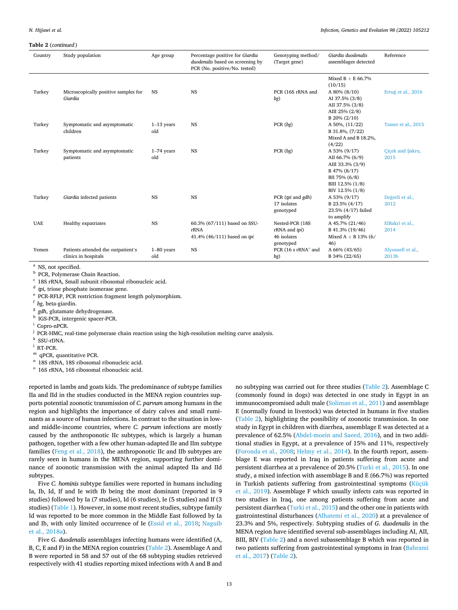<span id="page-12-0"></span>

| Country    | Study population                                           | Age group           | Percentage positive for Giardia<br>duodenalis based on screening by<br>PCR (No. positive/No. tested) | Genotyping method/<br>(Target gene)                          | Giardia duodenalis<br>assemblages detected                                                                                  | Reference                  |
|------------|------------------------------------------------------------|---------------------|------------------------------------------------------------------------------------------------------|--------------------------------------------------------------|-----------------------------------------------------------------------------------------------------------------------------|----------------------------|
| Turkey     | Microscopically positive samples for<br>Giardia            | <b>NS</b>           | <b>NS</b>                                                                                            | PCR (16S rRNA and<br>bg)                                     | Mixed $B + E$ 66.7%<br>(10/15)<br>A 80% (8/10)<br>AI 37.5% (3/8)<br>AII 37.5% (3/8)<br>AIII 25% (2/8)                       | Ertug et al., 2016         |
| Turkey     | Symptomatic and asymptomatic<br>children                   | $1-13$ years<br>old | <b>NS</b>                                                                                            | PCR (bg)                                                     | $B$ 20% (2/10)<br>A 50%, (11/22)<br>B 31.8%, (7/22)<br>Mixed A and B 18.2%,<br>(4/22)                                       | Tamer et al., 2015         |
| Turkey     | Symptomatic and asymptomatic<br>patients                   | $1-74$ years<br>old | <b>NS</b>                                                                                            | PCR (bg)                                                     | A 53% (9/17)<br>AII 66.7% (6/9)<br>AIII 33.3% (3/9)<br>B 47% (8/17)<br>BII 75% (6/8)<br>BIII 12.5% (1/8)<br>BIV 12.5% (1/8) | Cicek and Sakru,<br>2015   |
| Turkey     | Giardia infected patients                                  | <b>NS</b>           | <b>NS</b>                                                                                            | PCR (tpi and gdh)<br>17 isolates<br>genotyped                | A 53% (9/17)<br>B 23.5% (4/17)<br>23.5% (4/17) failed<br>to amplify                                                         | Değerli et al.,<br>2012    |
| <b>UAE</b> | <b>Healthy expatriates</b>                                 | <b>NS</b>           | 60.3% (67/111) based on SSU-<br>rRNA<br>41.4% (46/111) based on tpi                                  | Nested-PCR (18S<br>rRNA and tpi)<br>46 isolates<br>genotyped | A 45.7% (21/46)<br>B 41.3% (19/46)<br>Mixed $A + B$ 13% (6/<br>46)                                                          | ElBakri et al.,<br>2014    |
| Yemen      | Patients attended the outpatient's<br>clinics in hospitals | $1-80$ years<br>old | <b>NS</b>                                                                                            | PCR (16 s rRNA <sup>o</sup> and<br>bg)                       | A 66% (43/65)<br>B 34% (22/65)                                                                                              | Alyousefi et al.,<br>2013b |

<sup>a</sup> NS, not specified.<br>
<sup>b</sup> PCR, Polymerase Chain Reaction.<br>
<sup>c</sup> 18S rRNA, Small subunit ribosomal ribonucleic acid.<br>
<sup>d</sup> *tpi*, triose phosphate isomerase gene.<br>
<sup>e</sup> PCR-RFLP, PCR restriction fragment length polymorphism

 $^{\rm j}$  PCR-HMC, real-time polymerase chain reaction using the high-resolution melting curve analysis.  $^{\rm k}$  SSU-rDNA.

<sup>1</sup> RT-PCR.<br><sup>m</sup> qPCR, quantitative PCR.

<sup>n</sup> 18S rRNA, 18S ribosomal ribonucleic acid.  $^{\circ}$  16S rRNA, 16S ribosomal ribonucleic acid.

reported in lambs and goats kids. The predominance of subtype families IIa and IId in the studies conducted in the MENA region countries supports potential zoonotic transmission of *C. parvum* among humans in the region and highlights the importance of dairy calves and small ruminants as a source of human infections. In contrast to the situation in lowand middle-income countries, where *C. parvum* infections are mostly caused by the anthroponotic IIc subtypes, which is largely a human pathogen, together with a few other human-adapted IIe and IIm subtype families ([Feng et al., 2018\)](#page-23-0), the anthroponotic IIc and IIb subtypes are rarely seen in humans in the MENA region, supporting further dominance of zoonotic transmission with the animal adapted IIa and IId subtypes.

Five *C. hominis* subtype families were reported in humans including Ia, Ib, Id, If and Ie with Ib being the most dominant (reported in 9 studies) followed by Ia (7 studies), Id (6 studies), Ie (5 studies) and If (3 studies) ([Table 1](#page-2-0)). However, in some most recent studies, subtype family Id was reported to be more common in the Middle East followed by Ia and Ib, with only limited occurrence of Ie ([Essid et al., 2018](#page-23-0); [Naguib](#page-25-0)  [et al., 2018a\)](#page-25-0).

Five *G. duodenalis* assemblages infecting humans were identified (A, B, C, E and F) in the MENA region countries ([Table 2\)](#page-8-0). Assemblage A and B were reported in 58 and 57 out of the 68 subtyping studies retrieved respectively with 41 studies reporting mixed infections with A and B and

no subtyping was carried out for three studies ([Table 2](#page-8-0)). Assemblage C (commonly found in dogs) was detected in one study in Egypt in an immunocompromised adult male ([Soliman et al., 2011\)](#page-27-0) and assemblage E (normally found in livestock) was detected in humans in five studies ([Table 2](#page-8-0)), highlighting the possibility of zoonotic transmission. In one study in Egypt in children with diarrhea, assemblage E was detected at a prevalence of 62.5% ([Abdel-moein and Saeed, 2016](#page-22-0)), and in two additional studies in Egypt, at a prevalence of 15% and 11%, respectively ([Foronda et al., 2008;](#page-23-0) [Helmy et al., 2014](#page-24-0)). In the fourth report, assemblage E was reported in Iraq in patients suffering from acute and persistent diarrhea at a prevalence of 20.5% [\(Turki et al., 2015](#page-27-0)). In one study, a mixed infection with assemblage B and E (66.7%) was reported in Turkish patients suffering from gastrointestinal symptoms ([Küçük](#page-25-0)  [et al., 2019\)](#page-25-0). Assemblage F which usually infects cats was reported in two studies in Iraq, one among patients suffering from acute and persistent diarrhea ([Turki et al., 2015](#page-27-0)) and the other one in patients with gastrointestinal disturbances [\(Alhatemi et al., 2020\)](#page-22-0) at a prevalence of 23.3% and 5%, respectively. Subtyping studies of *G. duodenalis* in the MENA region have identified several sub-assemblages including AI, AII, BIII, BIV ([Table 2](#page-8-0)) and a novel subassemblage B which was reported in two patients suffering from gastrointestinal symptoms in Iran ([Bahrami](#page-23-0)  [et al., 2017\)](#page-23-0) [\(Table 2\)](#page-8-0).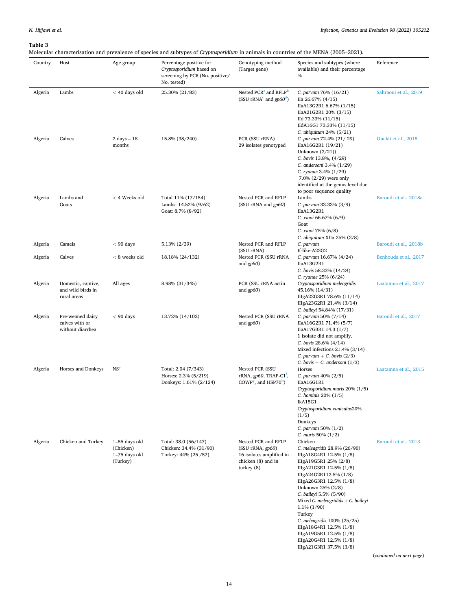<span id="page-13-0"></span>Molecular characterisation and prevalence of species and subtypes of *Cryptosporidium* in animals in countries of the MENA (2005–2021).

|         |                                                        |                                                             | morecant enunciementon and prevaience of operato and oublypes of or <i>ypeoporadum</i> in animals in countries of the martix (2000–2021). |                                                                                                           |                                                                                                                                                                                                                                                                                                                                                                                                                                           |                                                  |
|---------|--------------------------------------------------------|-------------------------------------------------------------|-------------------------------------------------------------------------------------------------------------------------------------------|-----------------------------------------------------------------------------------------------------------|-------------------------------------------------------------------------------------------------------------------------------------------------------------------------------------------------------------------------------------------------------------------------------------------------------------------------------------------------------------------------------------------------------------------------------------------|--------------------------------------------------|
| Country | Host                                                   | Age group                                                   | Percentage positive for<br>Cryptosporidium based on<br>screening by PCR (No. positive/<br>No. tested)                                     | Genotyping method<br>(Target gene)                                                                        | Species and subtypes (where<br>available) and their percentage<br>$\%$                                                                                                                                                                                                                                                                                                                                                                    | Reference                                        |
| Algeria | Lambs                                                  | $<$ 40 days old                                             | 25.30% (21/83)                                                                                                                            | Nested PCR <sup>a</sup> and RFLP <sup>b</sup><br>(SSU rRNA <sup>c</sup> and $qp60^d$ )                    | C. parvum 76% (16/21)<br>IIa 26.67% (4/15)<br>IIaA13G2R1 6.67% (1/15)<br>IIaA21G2R1 20% (3/15)<br>IId 73.33% (11/15)<br>IIdA16G1 73.33% (11/15)<br>C. ubiquitum 24% (5/21)                                                                                                                                                                                                                                                                | Sahraoui et al., 2019                            |
| Algeria | Calves                                                 | $2 \text{ days} - 18$<br>months                             | 15.8% (38/240)                                                                                                                            | PCR (SSU rRNA)<br>29 isolates genotyped                                                                   | C. parvum 72.4% (21/29)<br>IIaA16G2R1 (19/21)<br>Unknown $(2/21)$<br>C. bovis 13.8%, (4/29)<br>C. andersoni $3.4\%$ ( $1/29$ )<br>C. ryanae 3.4% (1/29)<br>7.0% (2/29) were only<br>identified at the genus level due<br>to poor sequence quality                                                                                                                                                                                         | Ouakli et al., 2018                              |
| Algeria | Lambs and<br>Goats                                     | $<$ 4 Weeks old                                             | Total 11% (17/154)<br>Lambs: 14.52% (9/62)<br>Goat: 8.7% (8/92)                                                                           | Nested PCR and RFLP<br>(SSU rRNA and gp60)                                                                | Lambs<br>C. parvum 33.33% (3/9)<br>IIaA13G2R1<br>C. xiaoi 66.67% (6/9)<br>Goat<br>C. xiaoi 75% (6/8)<br>C. ubiquitum XIIa $25\%$ (2/8)                                                                                                                                                                                                                                                                                                    | Baroudi et al., 2018a                            |
| Algeria | Camels                                                 | $< 90$ days                                                 | 5.13% (2/39)                                                                                                                              | Nested PCR and RFLP<br>(SSU rRNA)                                                                         | C. parvum<br>If-like-A22G2                                                                                                                                                                                                                                                                                                                                                                                                                | Baroudi et al., 2018b                            |
| Algeria | Calves                                                 | $< 8$ weeks old                                             | 18.18% (24/132)                                                                                                                           | Nested PCR (SSU rRNA<br>and $qp60$ )                                                                      | C. parvum 16.67% (4/24)<br>IIaA13G2R1<br>C. bovis 58.33% (14/24)<br>C. ryanae 25% (6/24)                                                                                                                                                                                                                                                                                                                                                  | Benhouda et al., 2017                            |
| Algeria | Domestic, captive,<br>and wild birds in<br>rural areas | All ages                                                    | 8.98% (31/345)                                                                                                                            | PCR (SSU rRNA actin<br>and $qp60$ )                                                                       | Cryptosporidium meleagridis<br>45.16% (14/31)<br>IIIgA22G3R1 78.6% (11/14)<br>IIIgA23G2R1 21.4% (3/14)<br>C. baileyi 54.84% (17/31)                                                                                                                                                                                                                                                                                                       | Laatamna et al., 2017                            |
| Algeria | Pre-weaned dairy<br>calves with or<br>without diarrhea | $< 90$ days                                                 | 13.72% (14/102)                                                                                                                           | Nested PCR (SSU rRNA<br>and $gp60$                                                                        | C. parvum 50% (7/14)<br>IIaA16G2R1 71.4% (5/7)<br>IIaA17G3R1 14.3 (1/7)<br>1 isolate did not amplify.<br>C. bovis $28.6\%$ (4/14)<br>Mixed infections $21.4\%$ (3/14)<br>C. parvum + C. bovis $(2/3)$<br>C. bovis + C. andersoni $(1/3)$                                                                                                                                                                                                  | Baroudi et al., 2017                             |
| Algeria | Horses and Donkeys                                     | NS <sup>e</sup>                                             | Total: 2.04 (7/343)<br>Horses: 2.3% (5/219)<br>Donkeys: 1.61% (2/124)                                                                     | Nested PCR (SSU<br>rRNA, gp60, TRAP-C1 <sup>t</sup> ,<br>COWP <sup>g</sup> , and HSP70 <sup>h</sup> )     | Horses<br>C. parvum 40% (2/5)<br>IIaA16G1R1<br>Cryptosporidium muris $20\%$ (1/5)<br>C. hominis 20% (1/5)<br>IkA15G1<br>Cryptosporidium cuniculus20%<br>(1/5)<br>Donkeys<br>C. parvum 50% $(1/2)$<br>C. muris $50\% (1/2)$                                                                                                                                                                                                                | Laatamna et al., 2015                            |
| Algeria | Chicken and Turkey                                     | $1-55$ days old<br>(Chicken)<br>$1-75$ days old<br>(Turkey) | Total: 38.0 (56/147)<br>Chicken: 34.4% (31/90)<br>Turkey: 44% (25 / 57)                                                                   | Nested PCR and RFLP<br>(SSU rRNA, gp60)<br>16 isolates amplified in<br>chicken (8) and in<br>turkey $(8)$ | Chicken<br>C. meleagridis 28.9% (26/90)<br>IIIgA18G4R1 12.5% (1/8)<br>IIIgA19G5R1 25% (2/8)<br>IIIgA21G3R1 12.5% (1/8)<br>IIIgA24G2R112.5% (1/8)<br>IIIgA26G3R1 12.5% (1/8)<br>Unknown 25% (2/8)<br>C. baileyi 5.5% (5/90)<br>Mixed C. meleagridids $+$ C. baileyi<br>$1.1\% (1/90)$<br>Turkey<br>C. meleagridis 100% (25/25)<br>IIIgA18G4R1 12.5% (1/8)<br>IIIgA19G5R1 12.5% (1/8)<br>IIIgA20G4R1 12.5% (1/8)<br>IIIgA21G3R1 37.5% (3/8) | Baroudi et al., 2013<br>(continued on next page) |

14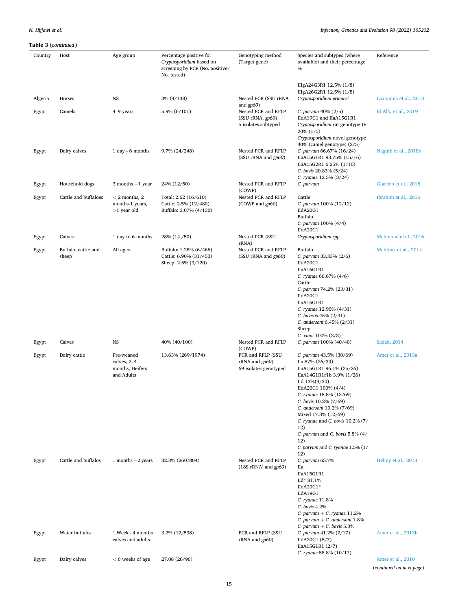|         | $\mathbf{u}$ and $\mathbf{v}$ (continuous) |                                                            |                                                                                                       |                                                                              |                                                                                                                                                                                                                                                                                                |                                               |
|---------|--------------------------------------------|------------------------------------------------------------|-------------------------------------------------------------------------------------------------------|------------------------------------------------------------------------------|------------------------------------------------------------------------------------------------------------------------------------------------------------------------------------------------------------------------------------------------------------------------------------------------|-----------------------------------------------|
| Country | Host                                       | Age group                                                  | Percentage positive for<br>Cryptosporidium based on<br>screening by PCR (No. positive/<br>No. tested) | Genotyping method<br>(Target gene)                                           | Species and subtypes (where<br>available) and their percentage<br>$\%$                                                                                                                                                                                                                         | Reference                                     |
|         |                                            |                                                            |                                                                                                       |                                                                              | IIIgA24G3R1 12.5% (1/8)                                                                                                                                                                                                                                                                        |                                               |
| Algeria | Horses                                     | <b>NS</b>                                                  | $3\% (4/138)$                                                                                         | Nested PCR (SSU rRNA                                                         | IIIgA26G2R1 12.5% (1/8)<br>Cryptosporidium erinacei                                                                                                                                                                                                                                            | Laatamna et al., 2013                         |
| Egypt   | Camels                                     | 4-9 years                                                  | 5.9% (6/101)                                                                                          | and $gp60$<br>Nested PCR and RFLP<br>(SSU rRNA, gp60)<br>5 isolates subtyped | C. parvum 40% (2/5)<br>IIdA19G1 and IIaA15G1R1<br>Cryptosporidium rat genotype IV<br>$20\% (1/5)$<br>Cryptosporidium novel genotype                                                                                                                                                            | El-Alfy et al., 2019                          |
| Egypt   | Dairy calves                               | 1 day - 6 months                                           | 9.7% (24/248)                                                                                         | Nested PCR and RFLP<br>(SSU rRNA and gp60)                                   | 40% (camel genotype) (2/5)<br>C. parvum 66.67% (16/24)<br>IIaA15G1R1 93.75% (15/16)<br>IIaA15G2R1 6.25% (1/16)<br>C. bovis 20.83% (5/24)                                                                                                                                                       | Naguib et al., 2018b                          |
| Egypt   | Household dogs                             | 3 months $-1$ year                                         | 24% (12/50)                                                                                           | Nested PCR and RFLP<br>(COWP)                                                | C. ryanae 12.5% (3/24)<br>C. parvum                                                                                                                                                                                                                                                            | Gharieb et al., 2018                          |
| Egypt   | Cattle and buffaloes                       | $<$ 2 months, 2<br>months-1 years,<br>$>1$ year old        | Total: 2.62 (16/610)<br>Cattle: 2.5% (12/480)<br>Buffalo: 3.07% (4/130)                               | Nested PCR and RFLP<br>(COWP and gp60)                                       | Cattle<br>C. parvum 100% (12/12)<br>IIdA20G1<br>Buffalo<br>C. parvum 100% (4/4)                                                                                                                                                                                                                | Ibrahim et al., 2016                          |
| Egypt   | Calves                                     | 1 day to 6 months                                          | 28% (14/50)                                                                                           | Nested PCR (SSU                                                              | IIdA20G1<br>Cryptosporidium spp.                                                                                                                                                                                                                                                               | Mahmoud et al., 2016                          |
| Egypt   | Buffalo, cattle and<br>sheep               | All ages                                                   | Buffalo: 1.28% (6/466)<br>Cattle: 6.90% (31/450)<br>Sheep: 2.5% (3/120)                               | rRNA)<br>Nested PCR and RFLP<br>(SSU rRNA and gp60)                          | Buffalo<br>C. parvum 33.33% (2/6)<br>IIdA20G1<br>IIaA15G1R1                                                                                                                                                                                                                                    | Mahfouz et al., 2014                          |
|         |                                            |                                                            |                                                                                                       |                                                                              | C. ryanae 66.67% (4/6)<br>Cattle<br>C. parvum 74.2% (23/31)<br>IIdA20G1<br>IIaA15G1R1<br>C. ryanae 12.90% (4/31)<br>C. bovis 6.45% (2/31)<br>C. andersoni 6.45% (2/31)<br>Sheep<br>C. xiaoi 100% (3/3)                                                                                         |                                               |
| Egypt   | Calves                                     | <b>NS</b>                                                  | 40% (40/100)                                                                                          | Nested PCR and RFLP<br>(COWP)                                                | C. parvum 100% (40/40)                                                                                                                                                                                                                                                                         | Sadek, 2014                                   |
| Egypt   | Dairy cattle                               | Pre-weaned<br>calves, 2-4<br>months, Heifers<br>and Adults | 13.63% (269/1974)                                                                                     | PCR and RFLP (SSU<br>rRNA and gp60)<br>69 isolates genotyped                 | C. parvum 43.5% (30/69)<br>IIa 87% (26/30)<br>IIaA15G1R1 96.1% (25/26)<br>IIaA14G1R1r1b 3.9% (1/26)<br>IId 13%(4/30)<br>IIdA20G1 100% (4/4)<br>C. ryanae 18.8% (13/69)<br>C. bovis 10.2% (7/69)<br>C. andersoni 10.2% (7/69)<br>Mixed 17.3% (12/69)<br>C. ryanae and C. bovis 10.2% (7/<br>12) | Amer et al., 2013a                            |
|         |                                            |                                                            |                                                                                                       |                                                                              | C. parvum and C. bovis 5.8% (4/<br>12)<br>C. parvum and C. ryanae $1.5\%$ ( $1/$<br>12)                                                                                                                                                                                                        |                                               |
| Egypt   | Cattle and buffalos                        | 1 months $-2$ years                                        | 32.3% (260/804)                                                                                       | Nested PCR and RFLP<br>(18S rDNA <sup>1</sup> and gp60)                      | C. parvum 65.7%<br>Пa<br>IIaA15G1R1<br>IId* 81.1%<br>IIdA20G1*<br>IIdA19G1<br>C. ryanae 11.8%<br>C. bovis 4.2%<br>C. parvum + C. ryanae $11.2\%$<br>C. parvum + C. andersoni $1.8\%$<br>C. parvum $+$ C. bovis 5.3%                                                                            | Helmy et al., 2013                            |
| Egypt   | Water buffalos                             | 1 Week - 4 months<br>calves and adults                     | 3.2% (17/538)                                                                                         | PCR and RFLP (SSU<br>rRNA and gp60)                                          | C. parvum 41.2% (7/17)<br>IIdA20G1 (5/7)<br>IIaA15G1R1 (2/7)<br>C. ryanae 58.8% (10/17)                                                                                                                                                                                                        | Amer et al., 2013b                            |
| Egypt   | Dairy calves                               | $< 6$ weeks of age                                         | 27.08 (26/96)                                                                                         |                                                                              |                                                                                                                                                                                                                                                                                                | Amer et al., 2010<br>(continued on next page) |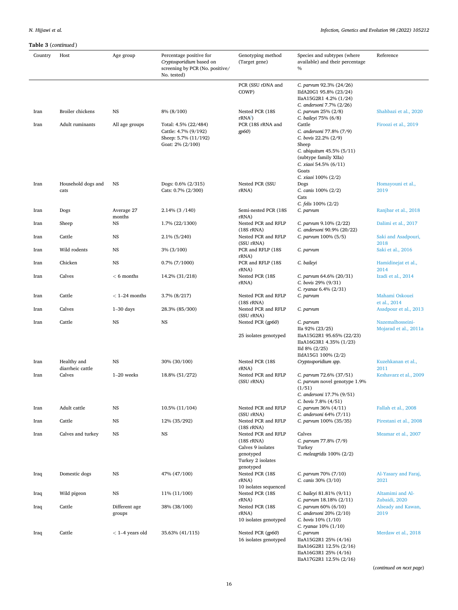| Country | Host                            | Age group         | Percentage positive for<br>Cryptosporidium based on<br>screening by PCR (No. positive/<br>No. tested) | Genotyping method<br>(Target gene)          | Species and subtypes (where<br>available) and their percentage<br>$\%$ | Reference                           |
|---------|---------------------------------|-------------------|-------------------------------------------------------------------------------------------------------|---------------------------------------------|------------------------------------------------------------------------|-------------------------------------|
|         |                                 |                   |                                                                                                       | PCR (SSU rDNA and<br>COWP)                  | C. parvum 92.3% (24/26)<br>IIdA20G1 95.8% (23/24)                      |                                     |
|         |                                 |                   |                                                                                                       |                                             | IIaA15G2R1 4.2% (1/24)                                                 |                                     |
| Iran    | Broiler chickens                | NS                | 8% (8/100)                                                                                            | Nested PCR (18S                             | C. andersoni 7.7% (2/26)<br>C. parvum 25% (2/8)                        | Shahbazi et al., 2020               |
|         |                                 |                   |                                                                                                       | $rRNA$ )                                    | C. baileyi 75% (6/8)                                                   |                                     |
| Iran    | Adult ruminants                 | All age groups    | Total: 4.5% (22/484)<br>Cattle: 4.7% (9/192)                                                          | PCR (18S rRNA and<br>gp60                   | Cattle<br>C. andersoni 77.8% (7/9)                                     | Firoozi et al., 2019                |
|         |                                 |                   | Sheep: 5.7% (11/192)                                                                                  |                                             | C. bovis 22.2% (2/9)                                                   |                                     |
|         |                                 |                   | Goat: 2% (2/100)                                                                                      |                                             | Sheep<br>C. ubiquitum 45.5% (5/11)                                     |                                     |
|         |                                 |                   |                                                                                                       |                                             | (subtype family XIIa)                                                  |                                     |
|         |                                 |                   |                                                                                                       |                                             | C. xiaoi 54.5% (6/11)<br>Goats                                         |                                     |
|         |                                 |                   |                                                                                                       |                                             | C. xiaoi 100% (2/2)                                                    |                                     |
| Iran    | Household dogs and<br>cats      | NS                | Dogs: 0.6% (2/315)<br>Cats: 0.7% (2/300)                                                              | Nested PCR (SSU<br>rRNA)                    | Dogs<br>C. canis 100% (2/2)                                            | Homayouni et al.,<br>2019           |
|         |                                 |                   |                                                                                                       |                                             | Cats                                                                   |                                     |
| Iran    | Dogs                            | Average 27        | 2.14% (3/140)                                                                                         | Semi-nested PCR (18S                        | C. felis 100% (2/2)<br>C. parvum                                       | Ranjbar et al., 2018                |
|         |                                 | months            |                                                                                                       | rRNA)                                       |                                                                        |                                     |
| Iran    | Sheep                           | NS                | 1.7% (22/1300)                                                                                        | Nested PCR and RFLP<br>(18S rRNA)           | C. parvum 9.10% (2/22)<br>C. andersoni 90.9% (20/22)                   | Dalimi et al., 2017                 |
| Iran    | Cattle                          | NS                | 2.1% (5/240)                                                                                          | Nested PCR and RFLP<br>(SSU rRNA)           | C. parvum 100% (5/5)                                                   | Saki and Asadpouri,<br>2018         |
| Iran    | Wild rodents                    | <b>NS</b>         | $3\%$ (3/100)                                                                                         | PCR and RFLP (18S<br>rRNA)                  | C. parvum                                                              | Saki et al., 2016                   |
| Iran    | Chicken                         | NS                | $0.7\%$ (7/1000)                                                                                      | PCR and RFLP (18S)<br>rRNA)                 | C. baileyi                                                             | Hamidinejat et al.,<br>2014         |
| Iran    | Calves                          | $< 6$ months      | 14.2% (31/218)                                                                                        | Nested PCR (18S<br>rRNA)                    | C. parvum 64.6% (20/31)<br>C. bovis $29\%$ (9/31)                      | Izadi et al., 2014                  |
| Iran    | Cattle                          | $<$ 1-24 months   | 3.7% (8/217)                                                                                          | Nested PCR and RFLP                         | C. ryanae $6.4\%$ (2/31)<br>C. parvum                                  | Mahami Oskouei                      |
|         |                                 |                   |                                                                                                       | $(18S \, rRNA)$                             |                                                                        | et al., 2014                        |
| Iran    | Calves                          | $1-30$ days       | 28.3% (85/300)                                                                                        | Nested PCR and RFLP<br>(SSU rRNA)           | C. parvum                                                              | Asadpour et al., 2013               |
| Iran    | Cattle                          | NS                | NS                                                                                                    | Nested PCR (gp60)                           | C. parvum<br>IIa 92% (23/25)                                           | Nazemalhosseini-                    |
|         |                                 |                   |                                                                                                       | 25 isolates genotyped                       | IIaA15G2R1 95.65% (22/23)                                              | Mojarad et al., 2011a               |
|         |                                 |                   |                                                                                                       |                                             | IIaA16G3R1 4.35% (1/23)<br>IId $8\%$ (2/25)                            |                                     |
|         |                                 |                   |                                                                                                       |                                             | IIdA15G1 100% (2/2)                                                    |                                     |
| Iran    | Healthy and<br>diarrheic cattle | NS                | 30% (30/100)                                                                                          | Nested PCR (18S<br>rRNA)                    | Cryptosporidium spp.                                                   | Kuzehkanan et al.,<br>2011          |
| Iran    | Calves                          | $1-20$ weeks      | 18.8% (51/272)                                                                                        | Nested PCR and RFLP<br>(SSU rRNA)           | C. parvum 72.6% (37/51)<br>C. parvum novel genotype 1.9%               | Keshavarz et al., 2009              |
|         |                                 |                   |                                                                                                       |                                             | (1/51)                                                                 |                                     |
|         |                                 |                   |                                                                                                       |                                             | C. andersoni 17.7% (9/51)<br>C. bovis 7.8% (4/51)                      |                                     |
| Iran    | Adult cattle                    | NS                | $10.5\% (11/104)$                                                                                     | Nested PCR and RFLP                         | C. parvum 36% (4/11)                                                   | Fallah et al., 2008                 |
| Iran    | Cattle                          | NS                | 12% (35/292)                                                                                          | (SSU rRNA)<br>Nested PCR and RFLP           | C. andersoni 64% (7/11)<br>C. parvum 100% (35/35)                      | Pirestani et al., 2008              |
|         |                                 |                   |                                                                                                       | (18S rRNA)                                  |                                                                        |                                     |
| Iran    | Calves and turkey               | NS                | NS                                                                                                    | Nested PCR and RFLP<br>(18S rRNA)           | Calves<br>C. parvum 77.8% (7/9)                                        | Meamar et al., 2007                 |
|         |                                 |                   |                                                                                                       | Calves 9 isolates                           | Turkey                                                                 |                                     |
|         |                                 |                   |                                                                                                       | genotyped<br>Turkey 2 isolates<br>genotyped | C. meleagridis $100\%$ (2/2)                                           |                                     |
| Iraq    | Domestic dogs                   | NS                | 47% (47/100)                                                                                          | Nested PCR (18S)                            | C. parvum 70% (7/10)                                                   | Al-Yasary and Faraj,                |
|         |                                 |                   |                                                                                                       | rRNA)<br>10 isolates sequenced              | C. canis 30% (3/10)                                                    | 2021                                |
| Iraq    | Wild pigeon                     | NS                | 11% (11/100)                                                                                          | Nested PCR (18S                             | C. baileyi 81.81% (9/11)                                               | Altamimi and Al-                    |
| Iraq    | Cattle                          | Different age     | 38% (38/100)                                                                                          | rRNA)<br>Nested PCR (18S                    | C. parvum $18.18\%$ (2/11)<br>C. parvum $60\%$ $(6/10)$                | Zubaidi, 2020<br>Alseady and Kawan, |
|         |                                 | groups            |                                                                                                       | rRNA)                                       | C. andersoni 20% (2/10)                                                | 2019                                |
|         |                                 |                   |                                                                                                       | 10 isolates genotyped                       | C. bovis 10% (1/10)<br>C. ryanae $10\%$ $(1/10)$                       |                                     |
| Iraq    | Cattle                          | $<$ 1–4 years old | 35.63% (41/115)                                                                                       | Nested PCR (gp60)                           | C. parvum                                                              | Merdaw et al., 2018                 |
|         |                                 |                   |                                                                                                       | 16 isolates genotyped                       | IIaA15G2R1 25% (4/16)<br>IIaA16G2R1 12.5% (2/16)                       |                                     |

(*continued on next page*)

IIaA16G3R1 25% (4/16) IIaA17G2R1 12.5% (2/16)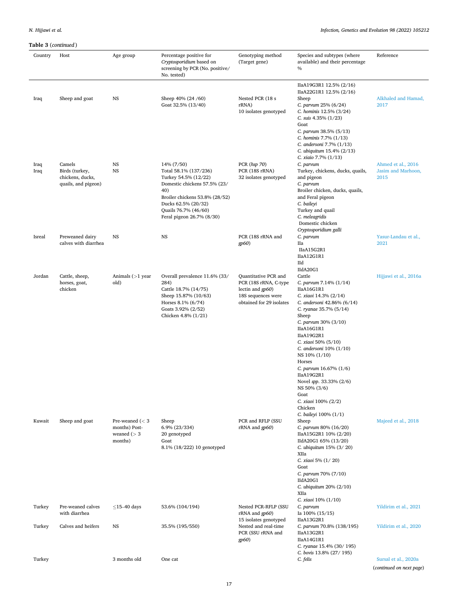| l'able 3 (continued) |                                                                     |                                                                |                                                                                                                                                                                                                  |                                                                                                                      |                                                                                                                                                                                                                                                                                                                                                                                                                       |                                                  |
|----------------------|---------------------------------------------------------------------|----------------------------------------------------------------|------------------------------------------------------------------------------------------------------------------------------------------------------------------------------------------------------------------|----------------------------------------------------------------------------------------------------------------------|-----------------------------------------------------------------------------------------------------------------------------------------------------------------------------------------------------------------------------------------------------------------------------------------------------------------------------------------------------------------------------------------------------------------------|--------------------------------------------------|
| Country              | Host                                                                | Age group                                                      | Percentage positive for<br>Cryptosporidium based on<br>screening by PCR (No. positive/<br>No. tested)                                                                                                            | Genotyping method<br>(Target gene)                                                                                   | Species and subtypes (where<br>available) and their percentage<br>$\%$                                                                                                                                                                                                                                                                                                                                                | Reference                                        |
| Iraq                 | Sheep and goat                                                      | NS                                                             | Sheep 40% (24 /60)<br>Goat 32.5% (13/40)                                                                                                                                                                         | Nested PCR (18 s<br>rRNA)<br>10 isolates genotyped                                                                   | IIaA19G3R1 12.5% (2/16)<br>IIaA22G1R1 12.5% (2/16)<br>Sheep<br>C. parvum 25% (6/24)<br>C. hominis 12.5% (3/24)<br>C. suis 4.35% (1/23)<br>Goat<br>C. parvum 38.5% (5/13)<br>C. hominis 7.7% (1/13)<br>C. andersoni 7.7% (1/13)                                                                                                                                                                                        | Alkhaled and Hamad,<br>2017                      |
| Iraq<br>Iraq         | Camels<br>Birds (turkey,<br>chickens, ducks,<br>quails, and pigeon) | NS<br><b>NS</b>                                                | 14% (7/50)<br>Total 58.1% (137/236)<br>Turkey 54.5% (12/22)<br>Domestic chickens 57.5% (23/<br>40)<br>Broiler chickens 53.8% (28/52)<br>Ducks 62.5% (20/32)<br>Quails 76.7% (46/60)<br>Feral pigeon 26.7% (8/30) | PCR (hsp 70)<br>PCR (18S rRNA)<br>32 isolates genotyped                                                              | C. ubiquitum 15.4% (2/13)<br>C. xiaio 7.7% (1/13)<br>C. parvum<br>Turkey, chickens, ducks, quails,<br>and pigeon<br>C. parvum<br>Broiler chicken, ducks, quails,<br>and Feral pigeon<br>C. baileyi<br>Turkey and quail<br>C. meleagridis<br>Domestic chicken                                                                                                                                                          | Ahmed et al., 2016<br>Jasim and Marhoon,<br>2015 |
| Isreal               | Preweaned dairy<br>calves with diarrhea                             | <b>NS</b>                                                      | NS                                                                                                                                                                                                               | PCR (18S rRNA and<br>gp60                                                                                            | Cryptosporidium galli<br>C. parvum<br>Пa<br>IIaA15G2R1<br>IIaA12G1R1<br>Нd                                                                                                                                                                                                                                                                                                                                            | Yasur-Landau et al.,<br>2021                     |
| Jordan               | Cattle, sheep,<br>horses, goat,<br>chicken                          | Animals $(>1$ year<br>old)                                     | Overall prevalence 11.6% (33/<br>284)<br>Cattle 18.7% (14/75)<br>Sheep 15.87% (10/63)<br>Horses 8.1% (6/74)<br>Goats 3.92% (2/52)<br>Chicken 4.8% (1/21)                                                         | Quantitative PCR and<br>PCR (18S rRNA, C-type<br>lectin and $gp60$<br>18S sequences were<br>obtained for 29 isolates | IIdA20G1<br>Cattle<br>C. parvum 7.14% (1/14)<br>IIaA16G1R1<br>C. xiaoi 14.3% (2/14)<br>C. andersoni 42.86% (6/14)<br>C. ryanae 35.7% (5/14)<br>Sheep<br>C. parvum 30% (3/10)<br>IIaA16G1R1<br>IIaA19G2R1<br>C. xiaoi 50% (5/10)<br>C. andersoni 10% (1/10)<br>NS 10% (1/10)<br>Horses<br>C. parvum $16.67\%$ (1/6)<br>IIaA19G2R1<br>Novel spp. 33.33% (2/6)<br>NS 50% (3/6)<br>Goat<br>C. xiaoi 100% (2/2)<br>Chicken | Hijjawi et al., 2016a                            |
| Kuwait               | Sheep and goat                                                      | Pre-weaned $(< 3$<br>months) Post-<br>weaned $(> 3$<br>months) | Sheep<br>6.9% (23/334)<br>20 genotyped<br>Goat<br>8.1% (18/222) 10 genotyped                                                                                                                                     | PCR and RFLP (SSU<br>rRNA and gp60)                                                                                  | C. baileyi 100% (1/1)<br>Sheep<br>C. parvum 80% (16/20)<br>IIaA15G2R1 10% (2/20)<br>IIdA20G1 65% (13/20)<br>C. ubiquitum 15% (3/20)<br>XIIa<br>C. xiaoi 5% (1/20)<br>Goat<br>C. parvum 70% (7/10)<br>IIdA20G1<br>C. ubiquitum 20% (2/10)<br>XIIa                                                                                                                                                                      | Majeed et al., 2018                              |
| Turkey               | Pre-weaned calves<br>with diarrhea                                  | $\leq$ 15-40 days                                              | 53.6% (104/194)                                                                                                                                                                                                  | Nested PCR-RFLP (SSU<br>rRNA and gp60)<br>15 isolates genotyped                                                      | C. xiaoi 10% (1/10)<br>C. parvum<br>Ia 100% (15/15)<br>IIaA13G2R1                                                                                                                                                                                                                                                                                                                                                     | Yildirim et al., 2021                            |
| Turkey               | Calves and heifers                                                  | NS                                                             | 35.5% (195/550)                                                                                                                                                                                                  | Nested and real-time<br>PCR (SSU rRNA and<br>gp60                                                                    | C. parvum 70.8% (138/195)<br>IIaA13G2R1<br>IIaA14G1R1<br>C. ryanae 15.4% (30/195)<br>C. bovis 13.8% (27/195)                                                                                                                                                                                                                                                                                                          | Yildirim et al., 2020                            |
| Turkey               |                                                                     | 3 months old                                                   | One cat                                                                                                                                                                                                          |                                                                                                                      | C. felis                                                                                                                                                                                                                                                                                                                                                                                                              | Sursal et al., 2020a<br>(continued on next page) |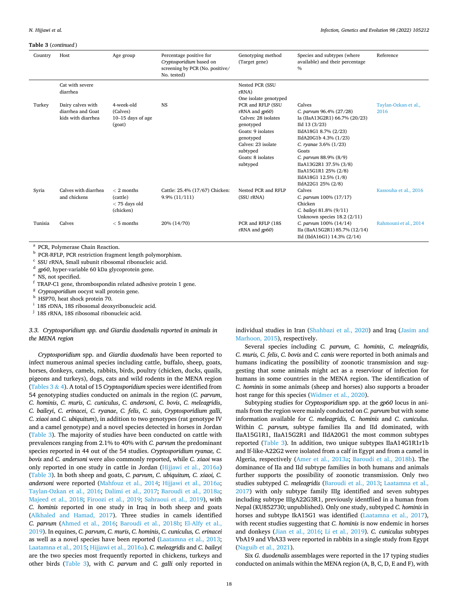<span id="page-17-0"></span>

| Country | Host                                                         | Age group                                                | Percentage positive for<br>Cryptosporidium based on<br>screening by PCR (No. positive/<br>No. tested) | Genotyping method<br>(Target gene)                                                                                                                                                | Species and subtypes (where<br>available) and their percentage<br>$\%$                                                                                                                                                                                                                               | Reference                    |
|---------|--------------------------------------------------------------|----------------------------------------------------------|-------------------------------------------------------------------------------------------------------|-----------------------------------------------------------------------------------------------------------------------------------------------------------------------------------|------------------------------------------------------------------------------------------------------------------------------------------------------------------------------------------------------------------------------------------------------------------------------------------------------|------------------------------|
|         | Cat with severe<br>diarrhea                                  |                                                          |                                                                                                       | Nested PCR (SSU<br>rRNA)<br>One isolate genotyped                                                                                                                                 |                                                                                                                                                                                                                                                                                                      |                              |
| Turkey  | Dairy calves with<br>diarrhea and Goat<br>kids with diarrhea | 4-week-old<br>(Calves)<br>$10-15$ days of age<br>(goat)  | <b>NS</b>                                                                                             | PCR and RFLP (SSU<br>$rRNA$ and $qp60$ )<br>Calves: 28 isolates<br>genotyped<br>Goats: 9 isolates<br>genotyped<br>Calves: 23 isolate<br>subtyped<br>Goats: 8 isolates<br>subtyped | Calves<br>C. parvum 96.4% (27/28)<br>Ia (IIaA13G2R1) 66.7% (20/23)<br>$Ild$ 13 (3/23)<br>IIdA18G1 8.7% (2/23)<br>IIdA20G1b 4.3% (1/23)<br>C. ryanae $3.6\%$ (1/23)<br>Goats<br>C. parvum 88.9% (8/9)<br>IIaA13G2R1 37.5% (3/8)<br>IIaA15G1R1 25% (2/8)<br>IIdA18G1 12.5% (1/8)<br>IIdA22G1 25% (2/8) | Taylan-Ozkan et al.,<br>2016 |
| Syria   | Calves with diarrhea<br>and chickens                         | $< 2$ months<br>(cattle)<br>$<$ 75 days old<br>(chicken) | Cattle: 25.4% (17/67) Chicken:<br>$9.9\%$ $(11/111)$                                                  | Nested PCR and RFLP<br>(SSU rRNA)                                                                                                                                                 | Calves<br>C. parvum 100% (17/17)<br>Chicken<br>C. baileyi 81.8% (9/11)<br>Unknown species $18.2$ ( $2/11$ )                                                                                                                                                                                          | Kassouha et al., 2016        |
| Tunisia | Calves                                                       | $< 5$ months                                             | 20% (14/70)                                                                                           | PCR and RFLP (18S)<br>$rRNA$ and $qp60$                                                                                                                                           | C. parvum 100% (14/14)<br>IIa (IIaA15G2R1) 85.7% (12/14)<br>IId (IIdA16G1) 14.3% (2/14)                                                                                                                                                                                                              | Rahmouni et al., 2014        |

 $^{\rm a}$  PCR, Polymerase Chain Reaction.  $^{\rm b}$  PCR-RFLP, PCR restriction fragment length polymorphism.  $^{\rm c}$  SSU rRNA, Small subunit ribosomal ribonucleic acid.  $^{\rm d}$  *gp60*, hyper-variable 60 kDa glycoprotein gene.

<sup>j</sup> 18S rRNA, 18S ribosomal ribonucleic acid.

*3.3. Cryptosporidium spp. and Giardia duodenalis reported in animals in the MENA region* 

*Cryptosporidium* spp. and *Giardia duodenalis* have been reported to infect numerous animal species including cattle, buffalo, sheep, goats, horses, donkeys, camels, rabbits, birds, poultry (chicken, ducks, quails, pigeons and turkeys), dogs, cats and wild rodents in the MENA region ([Tables 3](#page-13-0) & 4). A total of 15 *Cryptosporidium* species were identified from 54 genotyping studies conducted on animals in the region (*C. parvum*, *C. hominis*, *C. muris*, *C. cuniculus*, *C. andersoni*, *C. bovis*, *C. meleagridis*, *C. baileyi*, *C. erinacei*, *C. ryanae*, *C. felis*, *C. suis*, *Cryptosporidium galli*, *C. xiaoi* and *C. ubiquitum*), in addition to two genotypes (rat genotype IV and a camel genotype) and a novel species detected in horses in Jordan ([Table 3](#page-13-0)). The majority of studies have been conducted on cattle with prevalences ranging from 2.1% to 40% with *C. parvum* the predominant species reported in 44 out of the 54 studies. *Cryptosporidium ryanae, C. bovis* and *C. andersoni* were also commonly reported, while *C. xiaoi* was only reported in one study in cattle in Jordan [\(Hijjawi et al., 2016a\)](#page-24-0) ([Table 3](#page-13-0)). In both sheep and goats, *C. parvum*, *C. ubiquitum, C. xiaoi, C. andersoni* were reported ([Mahfouz et al., 2014;](#page-25-0) [Hijjawi et al., 2016a](#page-24-0); [Taylan-Ozkan et al., 2016](#page-27-0); [Dalimi et al., 2017;](#page-23-0) [Baroudi et al., 2018a](#page-23-0); [Majeed et al., 2018](#page-25-0); [Firoozi et al., 2019;](#page-23-0) [Sahraoui et al., 2019](#page-26-0)), with *C. hominis* reported in one study in Iraq in both sheep and goats ([Alkhaled and Hamad, 2017\)](#page-22-0). Three studies in camels identified *C. parvum* ([Ahmed et al., 2016;](#page-22-0) [Baroudi et al., 2018b](#page-23-0); [El-Alfy et al.,](#page-23-0)  [2019\)](#page-23-0). In equines, *C. parvum*, *C. muris*, *C. hominis*, *C. cuniculus, C. erinacei*  as well as a novel species have been reported ([Laatamna et al., 2013](#page-25-0); [Laatamna et al., 2015;](#page-25-0) [Hijjawi et al., 2016a\)](#page-24-0). *C. meleagridis* and *C. baileyi*  are the two species most frequently reported in chickens, turkeys and other birds ([Table 3\)](#page-13-0), with *C. parvum* and *C. galli* only reported in individual studies in Iran [\(Shahbazi et al., 2020](#page-26-0)) and Iraq [\(Jasim and](#page-24-0)  [Marhoon, 2015](#page-24-0)), respectively.

Several species including *C. parvum*, *C. hominis*, *C. meleagridis*, *C. muris, C. felis*, *C. bovis* and *C. canis* were reported in both animals and humans indicating the possibility of zoonotic transmission and suggesting that some animals might act as a reserviour of infection for humans in some countries in the MENA region. The identification of *C. hominis* in some animals (sheep and horses) also supports a broader host range for this species ([Widmer et al., 2020\)](#page-27-0).

Subtyping studies for *Cryptosporidium* spp. at the *gp60* locus in animals from the region were mainly conducted on *C. parvum* but with some information available for *C. meleagridis, C. hominis* and *C. cuniculus*. Within *C. parvum,* subtype families IIa and IId dominated, with IIaA15G1R1, IIaA15G2R1 and IIdA20G1 the most common subtypes reported ([Table 3](#page-13-0)). In addition, two unique subtypes IIaA14G1R1r1b and If-like-A22G2 were isolated from a calf in Egypt and from a camel in Algeria, respectively ([Amer et al., 2013a;](#page-22-0) [Baroudi et al., 2018b](#page-23-0)). The dominance of IIa and IId subtype families in both humans and animals further supports the possibility of zoonotic transmission. Only two studies subtyped *C. meleagridis* [\(Baroudi et al., 2013;](#page-23-0) [Laatamna et al.,](#page-25-0)  [2017\)](#page-25-0) with only subtype family IIIg identified and seven subtypes including subtype IIIgA22G3R1, previously identfiied in a human from Nepal (KU852730; unpublished). Only one study, subtyped *C. hominis* in horses and subtype IkA15G1 was identified [\(Laatamna et al., 2017](#page-25-0)), with recent studies suggesting that *C. hominis* is now endemic in horses and donkeys ([Jian et al., 2016](#page-24-0); [Li et al., 2019](#page-25-0)). *C. cuniculus* subtypes VbA19 and VbA33 were reported in rabbits in a single study from Egypt ([Naguib et al., 2021\)](#page-25-0).

Six *G. duodenalis* assemblages were reported in the 17 typing studies conducted on animals within the MENA region (A, B, C, D, E and F), with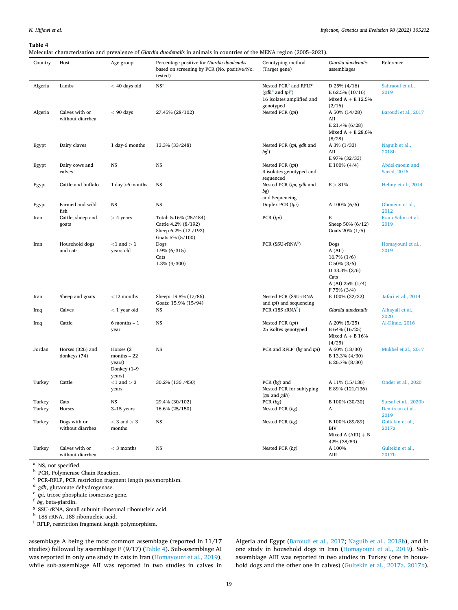Molecular characterisation and prevalence of *Giardia duodenalis* in animals in countries of the MENA region (2005–2021).

| Country          | Host                               | Age group                                                         | Percentage positive for Giardia duodenalis<br>based on screening by PCR (No. positive/No.<br>tested) | Genotyping method<br>(Target gene)                                                                               | Giardia duodenalis<br>assemblages                                                                                | Reference                                        |
|------------------|------------------------------------|-------------------------------------------------------------------|------------------------------------------------------------------------------------------------------|------------------------------------------------------------------------------------------------------------------|------------------------------------------------------------------------------------------------------------------|--------------------------------------------------|
| Algeria          | Lambs                              | $<$ 40 days old                                                   | NS <sup>a</sup>                                                                                      | Nested PCR <sup>b</sup> and RFLP <sup>c</sup><br>$(gdh^d$ and $tpi^e)$<br>16 isolates amplified and<br>genotyped | D 25% $(4/16)$<br>E $62.5\%$ (10/16)<br>Mixed $A + E$ 12.5%<br>(2/16)                                            | Sahraoui et al.,<br>2019                         |
| Algeria          | Calves with or<br>without diarrhea | $< 90$ days                                                       | 27.45% (28/102)                                                                                      | Nested PCR (tpi)                                                                                                 | A 50% (14/28)<br>AII<br>E 21.4% (6/28)<br>Mixed $A + E$ 28.6%<br>(8/28)                                          | Baroudi et al., 2017                             |
| Egypt            | Dairy claves                       | 1 day-6 months                                                    | 13.3% (33/248)                                                                                       | Nested PCR (tpi, gdh and<br>$bg$ <sup><math>)</math></sup>                                                       | A 3% (1/33)<br>AII<br>E 97% (32/33)                                                                              | Naguib et al.,<br>2018b                          |
| Egypt            | Dairy cows and<br>calves           | NS                                                                | NS                                                                                                   | Nested PCR (tpi)<br>4 isolates genotyped and<br>sequenced                                                        | E 100% (4/4)                                                                                                     | Abdel-moein and<br>Saeed, 2016                   |
| Egypt            | Cattle and buffalo                 | 1 day $>6$ months                                                 | NS                                                                                                   | Nested PCR (tpi, gdh and<br>bg)<br>and Sequencing                                                                | $E > 81\%$                                                                                                       | Helmy et al., 2014                               |
| Egypt            | Farmed and wild<br>fish            | NS                                                                | NS                                                                                                   | Duplex PCR (tpi)                                                                                                 | A 100% $(6/6)$                                                                                                   | Ghoneim et al.,<br>2012                          |
| Iran             | Cattle, sheep and<br>goats         | $> 4$ years                                                       | Total: 5.16% (25/484)<br>Cattle 4.2% (8/192)<br>Sheep 6.2% (12/192)<br>Goats 5% (5/100)              | PCR (pi)                                                                                                         | Е<br>Sheep 50% (6/12)<br>Goats 20% (1/5)                                                                         | Kiani-Salmi et al.,<br>2019                      |
| Iran             | Household dogs<br>and cats         | $<$ 1 and $>$ 1<br>years old                                      | Dogs<br>1.9% (6/315)<br>Cats<br>1.3% (4/300)                                                         | PCR (SSU-rRNA <sup>8</sup> )                                                                                     | Dogs<br>A (AII)<br>$16.7\% (1/6)$<br>$C$ 50% (3/6)<br>D 33.3% $(2/6)$<br>Cats<br>A (AI) 25% (1/4)<br>F 75% (3/4) | Homayouni et al.,<br>2019                        |
| Iran             | Sheep and goats                    | $<$ 12 months                                                     | Sheep: 19.8% (17/86)<br>Goats: 15.9% (15/94)                                                         | Nested PCR (SSU-rRNA<br>and tpi) and sequencing                                                                  | E 100% (32/32)                                                                                                   | Jafari et al., 2014                              |
| Iraq             | Calves                             | $<$ 1 year old                                                    | NS                                                                                                   | PCR $(18S \, rRNAh)$                                                                                             | Giardia duodenalis                                                                                               | Alhayali et al.,<br>2020                         |
| Iraq             | Cattle                             | $6$ months $-1$<br>year                                           | NS                                                                                                   | Nested PCR (tpi)<br>25 isoltes genotyped                                                                         | A 20% (5/25)<br>B 64% (16/25)<br>Mixed $A + B$ 16%<br>(4/25)                                                     | Al-Difaie, 2016                                  |
| Jordan           | Horses (326) and<br>donkeys (74)   | Horses (2)<br>$months - 22$<br>years)<br>Donkey $(1-9)$<br>years) | NS                                                                                                   | PCR and $RFLP1$ (bg and tpi)                                                                                     | A 60% (18/30)<br>B 13.3% (4/30)<br>E 26.7% (8/30)                                                                | Mukbel et al., 2017                              |
| Turkey           | Cattle                             | $<1$ and $>3$<br>years                                            | 30.2% (136 / 450)                                                                                    | PCR $(bg)$ and<br>Nested PCR for subtyping<br>( <i>tpi</i> and <i>gdh</i> )                                      | A 11% (15/136)<br>E 89% (121/136)                                                                                | Onder et al., 2020                               |
| Turkey<br>Turkey | Cats<br>Horses                     | NS<br>$3-15$ years                                                | 29.4% (30/102)<br>16.6% (25/150)                                                                     | ${\rm PCR}~(bg)$<br>Nested PCR (bg)                                                                              | B 100% (30/30)<br>A                                                                                              | Sursal et al., 2020b<br>Demircan et al.,<br>2019 |
| Turkey           | Dogs with or<br>without diarrhea   | $<$ 3 and $>$ 3<br>months                                         | NS                                                                                                   | Nested PCR (bg)                                                                                                  | B 100% (89/89)<br>BIV<br>Mixed A (AIII) $+ B$<br>42% (38/89)                                                     | Gultekin et al.,<br>2017a                        |
| Turkey           | Calves with or<br>without diarrhea | $<$ 3 months                                                      | NS                                                                                                   | Nested PCR (bg)                                                                                                  | A 100%<br>AIII                                                                                                   | Gultekin et al.,<br>2017b                        |

 $^{\rm a}$  NS, not specified. <br> $^{\rm b}$  PCR, Polymerase Chain Reaction. <br> $^{\rm c}$  PCR-RFLP, PCR restriction fragment length polymorphism. <br> $^{\rm d}$   $gdh,$  glutamate dehydrogenase. <br> $^{\rm e}$   $p\!j,$  triose phosphate isomerase gene

assemblage A being the most common assemblage (reported in 11/17 studies) followed by assemblage E (9/17) (Table 4). Sub-assemblage AI was reported in only one study in cats in Iran ([Homayouni et al., 2019](#page-24-0)), while sub-assemblage AII was reported in two studies in calves in Algeria and Egypt ([Baroudi et al., 2017](#page-23-0); [Naguib et al., 2018b\)](#page-25-0), and in one study in household dogs in Iran [\(Homayouni et al., 2019](#page-24-0)). Subassemblage AIII was reported in two studies in Turkey (one in household dogs and the other one in calves) [\(Gultekin et al., 2017a, 2017b](#page-24-0)).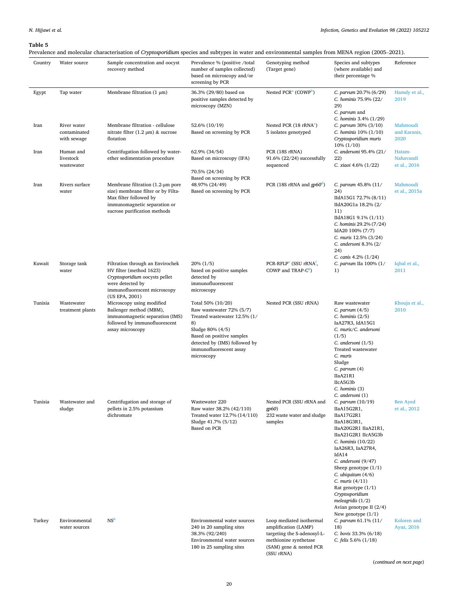<span id="page-19-0"></span>Prevalence and molecular characterisation of *Cryptosporidium* species and subtypes in water and environmental samples from MENA region (2005–2021).

| Country | Water source                               | Sample concentration and oocyst<br>recovery method                                                                                                                                     | Prevalence % (positive /total<br>number of samples collected)<br>based on microscopy and/or<br>screening by PCR                                                                                                | Genotyping method<br>(Target gene)                                                                                                  | Species and subtypes<br>(where available) and<br>their percentage %                                                                                                                                                                                                                                                                                                                                             | Reference                           |
|---------|--------------------------------------------|----------------------------------------------------------------------------------------------------------------------------------------------------------------------------------------|----------------------------------------------------------------------------------------------------------------------------------------------------------------------------------------------------------------|-------------------------------------------------------------------------------------------------------------------------------------|-----------------------------------------------------------------------------------------------------------------------------------------------------------------------------------------------------------------------------------------------------------------------------------------------------------------------------------------------------------------------------------------------------------------|-------------------------------------|
| Egypt   | Tap water                                  | Membrane filtration $(1 \mu m)$                                                                                                                                                        | 36.3% (29/80) based on<br>positive samples detected by<br>microscopy (MZN)                                                                                                                                     | Nested PCR <sup>a</sup> (COWP <sup>b</sup> )                                                                                        | C. parvum 20.7% (6/29)<br>C. hominis 75.9% (22/<br>29)<br>C. parvum and<br>C. hominis 3.4% (1/29)                                                                                                                                                                                                                                                                                                               | Hamdy et al.,<br>2019               |
| Iran    | River water<br>contaminated<br>with sewage | Membrane filtration - cellulose<br>nitrate filter $(1.2 \mu m)$ & sucrose<br>flotation                                                                                                 | 52.6% (10/19)<br>Based on screening by PCR                                                                                                                                                                     | Nested PCR $(18 \text{ rRNA}^{\circ})$<br>5 isolates genotyped                                                                      | C. parvum 30% (3/10)<br>C. hominis $10\% (1/10)$<br>Cryptosporidium muris<br>$10\% (1/10)$                                                                                                                                                                                                                                                                                                                      | Mahmoudi<br>and Karanis,<br>2020    |
| Iran    | Human and<br>livestock<br>wastewater       | Centrifugation followed by water-<br>ether sedimentation procedure                                                                                                                     | 62.9% (34/54)<br>Based on microscopy (IFA)<br>70.5% (24/34)                                                                                                                                                    | PCR (18S rRNA)<br>91.6% (22/24) successfully<br>sequenced                                                                           | C. andersoni 95.4% (21/<br>22)<br>C. xiaoi 4.6% (1/22)                                                                                                                                                                                                                                                                                                                                                          | Hatam-<br>Nahavandi<br>et al., 2016 |
| Iran    | Rivers surface<br>water                    | Membrane filtration $(1.2 \text{-} \mu \text{m})$ pore<br>size) membrane filter or by Filta-<br>Max filter followed by<br>immunomagnetic separation or<br>sucrose purification methods | Based on screening by PCR<br>48.97% (24/49)<br>Based on screening by PCR                                                                                                                                       | PCR (18S rRNA and gp60 <sup>d</sup> )                                                                                               | C. parvum $45.8\%$ (11/<br>24)<br>IIdA15G1 72.7% (8/11)<br>IIdA20G1a 18.2% (2/<br>11)<br>IIdA18G1 9.1% (1/11)<br>C. hominis 29.2% (7/24)<br>IdA20 100% (7/7)<br>C. muris 12.5% (3/24)<br>C. andersoni 8.3% (2/<br>24)                                                                                                                                                                                           | Mahmoudi<br>et al., 2015a           |
| Kuwait  | Storage tank<br>water                      | Filtration through an Envirochek<br>HV filter (method 1623)<br>Cryptosporidium oocysts pellet<br>were detected by<br>immunofluorescent microscopy<br>(US EPA, 2001)                    | $20\% (1/5)$<br>based on positive samples<br>detected by<br>immunofluorescent<br>microscopy                                                                                                                    | PCR-RFLP <sup>e</sup> (SSU rRNA <sup>f</sup> ,<br>COWP and TRAP-C <sup>8</sup> )                                                    | C. canis 4.2% (1/24)<br>C. parvum IIa $100\%$ (1/<br>1)                                                                                                                                                                                                                                                                                                                                                         | Iqbal et al.,<br>2011               |
| Tunisia | Wastewater<br>treatment plants             | Microscopy using modified<br>Bailenger method (MBM),<br>immunomagnetic separation (IMS)<br>followed by immunofluorescent<br>assay microscopy                                           | Total 50% (10/20)<br>Raw wastewater 72% (5/7)<br>Treated wastewater 12.5% (1/<br>8)<br>Sludge 80% (4/5)<br>Based on positive samples<br>detected by (IMS) followed by<br>immunofluorescent assay<br>microscopy | Nested PCR (SSU rRNA)                                                                                                               | Raw wastewater<br>C. parvum $(4/5)$<br>C. hominis $(2/5)$<br>IaA27R3, IdA15G1<br>C. muris/C. andersoni<br>(1/5)<br>C. andersoni $(1/5)$<br>Treated wastewater<br>C. muris<br>Sludge<br>$C.$ parvum $(4)$<br>IIaA21R1<br>IIcA5G3b<br>C. hominis (3)                                                                                                                                                              | Khouja et al.,<br>2010              |
| Tunisia | Wastewater and<br>sludge                   | Centrifugation and storage of<br>pellets in 2.5% potassium<br>dichromate                                                                                                               | Wastewater 220<br>Raw water 38.2% (42/110)<br>Treated water 12.7% (14/110)<br>Sludge 41.7% (5/12)<br>Based on PCR                                                                                              | Nested PCR (SSU rRNA and<br>gp60)<br>232 waste water and sludge<br>samples                                                          | C. andersoni (1)<br>C. parvum $(10/19)$<br>IIaA15G2R1,<br>IIaA17G2R1<br>IIaA18G3R1,<br>IIaA20G2R1 IIaA21R1,<br>IIaA21G2R1 IIcA5G3b<br>C. hominis $(10/22)$<br>IaA26R3, IaA27R4,<br>IdA14<br>C. andersoni (9/47)<br>Sheep genotype $(1/1)$<br>$C.$ ubiquitum $(4/6)$<br>C. muris $(4/11)$<br>Rat genotype $(1/1)$<br>Cryptosporidium<br>meleagridis $(1/2)$<br>Avian genotype II $(2/4)$<br>New genotype $(1/1)$ | <b>Ben Ayed</b><br>et al., 2012     |
| Turkey  | Environmental<br>water sources             | NS <sup>h</sup>                                                                                                                                                                        | Environmental water sources<br>240 in 20 sampling sites<br>38.3% (92/240)<br>Environmental water sources<br>180 in 25 sampling sites                                                                           | Loop mediated isothermal<br>amplification (LAMP)<br>targeting the S-adenosyl-L-<br>methionine synthetase<br>(SAM) gene & nested PCR | C. parvum 61.1% (11/<br>18)<br>C. bovis 33.3% (6/18)<br>C. felis $5.6\%$ (1/18)                                                                                                                                                                                                                                                                                                                                 | Koloren and<br>Ayaz, 2016           |

(*continued on next page*)

(SSU rRNA)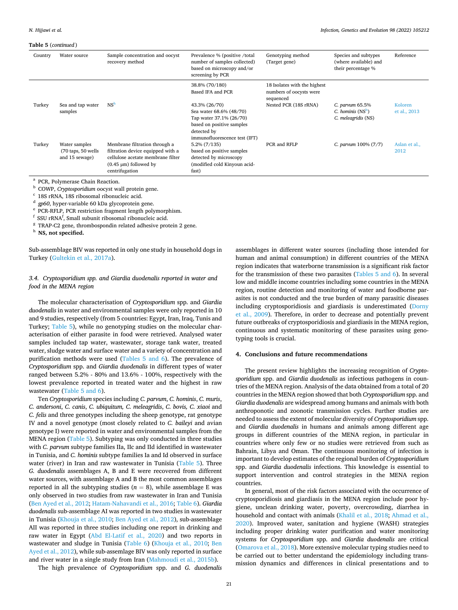<span id="page-20-0"></span>

| Country | Water source                                                             | Sample concentration and oocyst<br>recovery method                                                                                                      | Prevalence % (positive /total<br>number of samples collected)<br>based on microscopy and/or<br>screening by PCR                                  | Genotyping method<br>(Target gene)                                   | Species and subtypes<br>(where available) and<br>their percentage % | Reference               |
|---------|--------------------------------------------------------------------------|---------------------------------------------------------------------------------------------------------------------------------------------------------|--------------------------------------------------------------------------------------------------------------------------------------------------|----------------------------------------------------------------------|---------------------------------------------------------------------|-------------------------|
|         |                                                                          |                                                                                                                                                         | 38.8% (70/180)<br>Based IFA and PCR                                                                                                              | 18 Isolates with the highest<br>numbers of oocysts were<br>sequenced |                                                                     |                         |
| Turkey  | Sea and tap water<br>samples                                             | NS <sup>h</sup>                                                                                                                                         | 43.3% (26/70)<br>Sea water 68.6% (48/70)<br>Tap water 37.1% (26/70)<br>based on positive samples<br>detected by<br>immunofluorescence test (IFT) | Nested PCR (18S rRNA)                                                | C. parvum 65.5%<br>C. hominis $(NSh)$<br>C. meleagridis (NS)        | Koloren<br>et al., 2013 |
| Turkey  | Water samples<br>$(70 \text{ taps}, 50 \text{ wells})$<br>and 15 sewage) | Membrane filtration through a<br>filtration device equipped with a<br>cellulose acetate membrane filter<br>$(0.45 \mu m)$ followed by<br>centrifugation | $5.2\% (7/135)$<br>based on positive samples<br>detected by microscopy<br>(modified cold Kinyoun acid-<br>fast)                                  | PCR and RFLP                                                         | C. parvum $100\%$ (7/7)                                             | Aslan et al.,<br>2012   |

<sup>a</sup> PCR, Polymerase Chain Reaction.<br>
<sup>b</sup> COWP, *Cryptosporidium* oocyst wall protein gene.<br>
<sup>c</sup> 18S rRNA, 18S ribosomal ribonucleic acid.<br>
<sup>d</sup> *gp60*, hyper-variable 60 kDa glycoprotein gene.<br>
<sup>e</sup> PCR-RFLP, PCR restrictio

 $^8$  TRAP-C2 gene, thrombospondin related adhesive protein 2 gene.  $^{\rm h}$  **NS, not specified.** 

Sub-assemblage BIV was reported in only one study in household dogs in Turkey ([Gultekin et al., 2017a\)](#page-24-0).

*3.4. Cryptosporidium spp. and Giardia duodenalis reported in water and food in the MENA region* 

The molecular characterisation of *Cryptosporidium* spp. and *Giardia duodenalis* in water and environmental samples were only reported in 10 and 9 studies, respectively (from 5 countries: Egypt, Iran, Iraq, Tunis and Turkey; [Table 5\)](#page-19-0), while no genotyping studies on the molecular characterisation of either parasite in food were retrieved. Analysed water samples included tap water, wastewater, storage tank water, treated water, sludge water and surface water and a variety of concentration and purification methods were used [\(Tables 5 and 6\)](#page-19-0). The prevalence of *Cryptosporidium* spp. and *Giardia duodenalis* in different types of water ranged between 5.2% - 80% and 13.6% - 100%, respectively with the lowest prevalence reported in treated water and the highest in raw wastewater [\(Table 5 and 6\)](#page-19-0).

Ten *Cryptosporidium* species including *C. parvum*, *C. hominis*, *C. muris*, *C. andersoni*, *C. canis*, *C. ubiquitum, C. meleagridis*, *C. bovis, C. xiaoi* and *C. felis* and three genotypes including the sheep genotype, rat genotype IV and a novel genotype (most closely related to *C. baileyi* and avian genotype I) were reported in water and environmental samples from the MENA region [\(Table 5\)](#page-19-0). Subtyping was only conducted in three studies with *C. parvum* subtype families IIa, IIc and IId identified in wastewater in Tunisia, and *C. hominis* subtype families Ia and Id observed in surface water (river) in Iran and raw wastewater in Tunisia ([Table 5\)](#page-19-0). Three *G. duodenalis* assemblages A, B and E were recovered from different water sources, with assemblage A and B the most common assemblages reported in all the subtyping studies  $(n = 8)$ , while assemblage E was only observed in two studies from raw wastewater in Iran and Tunisia ([Ben Ayed et al., 2012;](#page-23-0) [Hatam-Nahavandi et al., 2016;](#page-24-0) [Table 6](#page-21-0)). *Giardia duodenalis* sub-assemblage AI was reported in two studies in wastewater in Tunisia [\(Khouja et al., 2010;](#page-25-0) [Ben Ayed et al., 2012](#page-23-0)), sub-assemblage AII was reported in three studies including one report in drinking and raw water in Egypt [\(Abd El-Latif et al., 2020\)](#page-22-0) and two reports in wastewater and sludge in Tunisia ([Table 6\)](#page-21-0) ([Khouja et al., 2010](#page-25-0); [Ben](#page-23-0)  [Ayed et al., 2012](#page-23-0)), while sub-assemlage BIV was only reported in surface and river water in a single study from Iran ([Mahmoudi et al., 2015b](#page-25-0)).

The high prevalence of *Cryptosporidium* spp. and *G. duodenalis* 

assemblages in different water sources (including those intended for human and animal consumption) in different countries of the MENA region indicates that waterborne transmission is a significant risk factor for the transmission of these two parasites ([Tables 5 and 6](#page-19-0)). In several low and middle income countries including some countries in the MENA region, routine detection and monitoring of water and foodborne parasites is not conducted and the true burden of many parasitic diseases including cryptosporidiosis and giardiasis is underestimated ([Dorny](#page-23-0)  [et al., 2009\)](#page-23-0). Therefore, in order to decrease and potentially prevent future outbreaks of cryptosporidiosis and giardiasis in the MENA region, continuous and systematic monitoring of these parasites using genotyping tools is crucial.

### **4. Conclusions and future recommendations**

The present review highlights the increasing recognition of *Cryptosporidium* spp. and *Giardia duodenalis* as infectious pathogens in countries of the MENA region. Analysis of the data obtained from a total of 20 countries in the MENA region showed that both *Cryptosporidium* spp. and *Giardia duodenalis* are widespread among humans and animals with both anthroponotic and zoonotic transmission cycles. Further studies are needed to assess the extent of molecular diversity of *Cryptosporidium* spp. and *Giardia duodenalis* in humans and animals among different age groups in different countries of the MENA region, in particular in countries where only few or no studies were retrieved from such as Bahrain, Libya and Oman. The continuous monitoring of infection is important to develop estimates of the regional burden of *Cryptosporidium*  spp. and *Giardia duodenalis* infections. This knowledge is essential to support intervention and control strategies in the MENA region countries.

In general, most of the risk factors associated with the occurrence of cryptosporidiosis and giardiasis in the MENA region include poor hygiene, unclean drinking water, poverty, overcrowding, diarrhea in household and contact with animals ([Khalil et al., 2018;](#page-24-0) [Ahmad et al.,](#page-22-0)  [2020\)](#page-22-0). Improved water, sanitation and hygiene (WASH) strategies including proper drinking water purification and water monitoring systems for *Cryptosporidium* spp. and *Giardia duodenalis* are critical ([Omarova et al., 2018\)](#page-26-0). More extensive molecular typing studies need to be carried out to better understand the epidemiology including transmission dynamics and differences in clinical presentations and to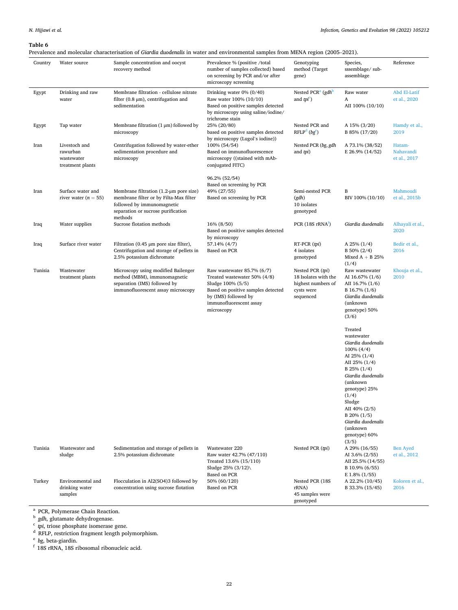<span id="page-21-0"></span>Prevalence and molecular characterisation of *Giardia duodenalis* in water and environmental samples from MENA region (2005–2021).

| Country | Water source                                                | Sample concentration and oocyst<br>recovery method                                                                                                         | Prevalence % (positive /total<br>number of samples collected) based<br>on screening by PCR and/or after<br>microscopy screening                                                        | Genotyping<br>method (Target<br>gene)                                                     | Species,<br>sssemblage/sub-<br>assemblage                                                                                                                                                                                                                                           | Reference                           |
|---------|-------------------------------------------------------------|------------------------------------------------------------------------------------------------------------------------------------------------------------|----------------------------------------------------------------------------------------------------------------------------------------------------------------------------------------|-------------------------------------------------------------------------------------------|-------------------------------------------------------------------------------------------------------------------------------------------------------------------------------------------------------------------------------------------------------------------------------------|-------------------------------------|
| Egypt   | Drinking and raw<br>water                                   | Membrane filtration - cellulose nitrate<br>filter $(0.8 \mu m)$ , centrifugation and<br>sedimentation                                                      | Drinking water $0\%$ (0/40)<br>Raw water 100% (10/10)<br>Based on positive samples detected<br>by microscopy using saline/iodine/                                                      | Nested PCR <sup>a</sup> (gdh <sup>b</sup><br>and $tpi^c$ )                                | Raw water<br>A<br>AII 100% (10/10)                                                                                                                                                                                                                                                  | Abd El-Latif<br>et al., 2020        |
| Egypt   | Tap water                                                   | Membrane filtration $(1 \mu m)$ followed by<br>microscopy                                                                                                  | trichrome stain<br>25% (20/80)<br>based on positive samples detected                                                                                                                   | Nested PCR and<br>$RFLPd$ (bg <sup>e</sup> )                                              | A 15% (3/20)<br>B 85% (17/20)                                                                                                                                                                                                                                                       | Hamdy et al.,<br>2019               |
| Iran    | Livestoch and<br>rawurban<br>wastewater<br>treatment plants | Centrifugation followed by water-ether<br>sedimentation procedure and<br>microscopy                                                                        | by microscopy (Lugol's iodine))<br>100% (54/54)<br>Based on immunofluorescence<br>microscopy ((stained with mAb-<br>conjugated FITC)                                                   | Nested PCR (bg, gdh<br>and tpi)                                                           | A 73.1% (38/52)<br>E 26.9% (14/52)                                                                                                                                                                                                                                                  | Hatam-<br>Nahavandi<br>et al., 2017 |
| Iran    | Surface water and<br>river water ( $n = 55$ )               | Membrane filtration $(1.2 \mu m)$ pore size)<br>membrane filter or by Filta-Max filter<br>followed by immunomagnetic<br>separation or sucrose purification | 96.2% (52/54)<br>Based on screening by PCR<br>49% (27/55)<br>Based on screening by PCR                                                                                                 | Semi-nested PCR<br>(gdh)<br>10 isolates<br>genotyped                                      | B<br>BIV 100% (10/10)                                                                                                                                                                                                                                                               | Mahmoudi<br>et al., 2015b           |
| Iraq    | Water supplies                                              | methods<br>Sucrose flotation methods                                                                                                                       | 16% (8/50)<br>Based on positive samples detected<br>by microscopy                                                                                                                      | PCR $(18S rRNAt)$                                                                         | Giardia duodenalis                                                                                                                                                                                                                                                                  | Alhayali et al.,<br>2020            |
| Iraq    | Surface river water                                         | Filtration $(0.45 \mu m)$ pore size filter),<br>Centrifugation and storage of pellets in<br>2.5% potassium dichromate                                      | 57.14% (4/7)<br>Based on PCR                                                                                                                                                           | RT-PCR (tpi)<br>4 isolates<br>genotyped                                                   | A $25\%$ (1/4)<br>$B 50\% (2/4)$<br>Mixed $\mathrm{A} + \mathrm{B}$ 25%<br>(1/4)                                                                                                                                                                                                    | Bedir et al.,<br>2016               |
| Tunisia | Wastewater<br>treatment plants                              | Microscopy using modified Bailenger<br>method (MBM), immunomagnetic<br>separation (IMS) followed by<br>immunofluorescent assay microscopy                  | Raw wastewater 85.7% (6/7)<br>Treated wastewater 50% (4/8)<br>Sludge 100% (5/5)<br>Based on positive samples detected<br>by (IMS) followed by<br>immunofluorescent assay<br>microscopy | Nested PCR (tpi)<br>18 Isolates with the<br>highest numbers of<br>cysts were<br>sequenced | Raw wastewater<br>AI 16.67% (1/6)<br>AII 16.7% (1/6)<br>B 16.7% (1/6)<br>Giardia duodenalis<br>(unknown)<br>genotype) 50%<br>(3/6)                                                                                                                                                  | Khouja et al.,<br>2010              |
|         |                                                             |                                                                                                                                                            |                                                                                                                                                                                        |                                                                                           | Treated<br>wastewater<br>Giardia duodenalis<br>100% (4/4)<br>AI 25% $(1/4)$<br>AII 25% (1/4)<br>$B$ 25% $(1/4)$<br>Giardia duodenalis<br>(unknown<br>genotype) 25%<br>(1/4)<br>Sludge<br>AII 40% (2/5)<br>$B$ 20% (1/5)<br>Giardia duodenalis<br>(unknown<br>genotype) 60%<br>(3/5) |                                     |
| Tunisia | Wastewater and<br>sludge                                    | Sedimentation and storage of pellets in<br>2.5% potassium dichromate                                                                                       | Wastewater 220<br>Raw water 42.7% (47/110)<br>Treated 13.6% (15/110)<br>Sludge 25% (3/12)\<br>Based on PCR                                                                             | Nested PCR (tpi)                                                                          | A 29% (16/55)<br>AI 3.6% (2/55)<br>AII 25.5% (14/55)<br>B 10.9% (6/55)<br>$E$ 1.8% (1/55)                                                                                                                                                                                           | <b>Ben Ayed</b><br>et al., 2012     |
| Turkey  | Environmental and<br>drinking water<br>samples              | Flocculation in Al2(SO4)3 followed by<br>concentration using sucrose flotation                                                                             | 50% (60/120)<br>Based on PCR                                                                                                                                                           | Nested PCR (18S<br>rRNA)<br>45 samples were<br>genotyped                                  | A 22.2% (10/45)<br>B 33.3% (15/45)                                                                                                                                                                                                                                                  | Koloren et al.,<br>2016             |

<sup>a</sup> PCR, Polymerase Chain Reaction.<br>
<sup>b</sup> *gdh*, glutamate dehydrogenase.<br>
<sup>c</sup> *tpi*, triose phosphate isomerase gene.<br>
<sup>d</sup> RFLP, restriction fragment length polymorphism.<br>
<sup>e</sup> *bg*, beta-giardin.<br>
<sup>f</sup> 18S rRNA, 18S riboso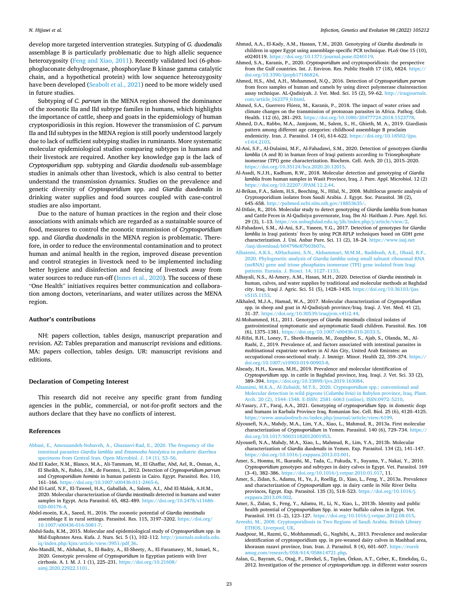<span id="page-22-0"></span>develop more targeted intervention strategies. Sutyping of *G. duodenalis*  assemblage B is particularly problematic due to high allelic sequence heterozygosity ([Feng and Xiao, 2011](#page-23-0)). Recently validated loci (6-phosphogluconate dehydrogenase, phosphorylase B kinase gamma catalytic chain, and a hypothetical protein) with low sequence heterozygosity have been developed [\(Seabolt et al., 2021\)](#page-26-0) need to be more widely used in future studies.

Subtyping of *C. parvum* in the MENA region showed the dominance of the zoonotic IIa and IId subtype familes in humans, which highlights the importance of cattle, sheep and goats in the epidemiology of human cryptosporidiosis in this region. However the transmission of *C. parvum*  IIa and IId subtypes in the MENA region is still poorly understood largely due to lack of sufficient subtyping studies in ruminants. More systematic molecular epidemiological studies comparing subtypes in humans and their livestock are required. Another key knowledge gap is the lack of *Cryptosporidium* spp. subtyping and *Giardia duodenalis* sub-assemblage studies in animals other than livestock, which is also central to better understand the transmission dynamics. Studies on the prevalence and genetic diversity of *Cryptosporidium* spp. and *Giardia duodenalis* in drinking water supplies and food sources coupled with case-control studies are also important.

Due to the nature of human practices in the region and their close associations with animals which are regarded as a sustainable source of food, measures to control the zoonotic transmission of *Cryptosporidium*  spp. and *Giardia duodenalis* in the MENA region is problematic. Therefore, in order to reduce the environmental contamination and to protect human and animal health in the region, improved disease prevention and control strategies in livestock need to be implemented including better hygiene and disinfection and fencing of livestock away from water sources to reduce run-off [\(Innes et al., 2020\)](#page-24-0). The success of these "One Health" initiatives requires better communication and collaboration among doctors, veterinarians, and water utilizes across the MENA region.

### **Author's contributions**

NH: papers collection, tables design, manuscript preparation and revision. AZ: Tables preparation and manuscript revisions and editions. MA: papers collection, tables design. UR: manuscript revisions and editions.

#### **Declaration of Competing Interest**

This research did not receive any specific grant from funding agencies in the public, commercial, or not-for-profit sectors and the authors declare that they have no conflicts of interest.

#### **References**

- [Abbasi, E., Amouzandeh-Nobaveh, A., Ghaznavi-Rad, E., 2020. The frequency of the](http://refhub.elsevier.com/S1567-1348(22)00009-0/rf0005) intestinal parasites *Giardia lamblia* and *[Entamoeba histolytica](http://refhub.elsevier.com/S1567-1348(22)00009-0/rf0005)* in pediatric diarrhea [specimens from Central Iran. Open Microbiol. J. 14 \(1\), 53](http://refhub.elsevier.com/S1567-1348(22)00009-0/rf0005)–56.
- Abd El Kader, N.M., Blanco, M.A., Ali-Tammam, M., El Ghaffar, Abd, Ael, R., Osman, A., El Sheikh, N., Rubio, J.M., de Fuentes, I., 2012. Detection of *Cryptosporidium parvum*  and *Cryptosporidium hominis* in human patients in Cairo. Egypt. Parasitol. Res. 110, 161–166. <https://doi.org/10.1007/s00436-011-2465-6>.
- Abd El-Latif, N.F., El-Taweel, H.A., Gaballah, A., Salem, A.I., Abd El-Malek, A.H.M., 2020. Molecular characterization of *Giardia intestinalis* detected in humans and water samples in Egypt. Acta Parasitol. 65, 482-489. [https://doi.org/10.2478/s11686-](https://doi.org/10.2478/s11686-020-00176-4) [020-00176-4.](https://doi.org/10.2478/s11686-020-00176-4)
- Abdel-moein, K.A., Saeed, H., 2016. The zoonotic potential of *Giardia intestinalis*  assemblage E in rural settings. Parasitol. Res. 115, 3197–3202. [https://doi.org/](https://doi.org/10.1007/s00436-016-5081-7)  $\,$ [10.1007/s00436-016-5081-7](https://doi.org/10.1007/s00436-016-5081-7).
- Abdul-Sada, K.M., 2015. Molecular and epidemiological study of *Cryptosporidium* spp. in Mid-Euphrates Area. Kufa. J. Nurs. Sci. 5 (1), 102–112. [http://journals.uokufa.edu.](http://journals.uokufa.edu.iq/index.php/kjns/article/view/3951/pdf_36)  [iq/index.php/kjns/article/view/3951/pdf\\_36](http://journals.uokufa.edu.iq/index.php/kjns/article/view/3951/pdf_36).
- Abo-Mandil, M., Alshahat, S., El-Badry, A., El-Sheety, A., El-Faramawy, M., Ismael, N., 2020. Genotypic prevalene of *Cryptosporidium* in Egyptian patients with liver cirrhosis. A. I. M. J. 1 (1), 225–231. [https://doi.org/10.21608/](https://doi.org/10.21608/aimj.2020.22922.1101) [aimj.2020.22922.1101](https://doi.org/10.21608/aimj.2020.22922.1101).
- Ahmad, A.A., El-Kady, A.M., Hassan, T.M., 2020. Genotyping of *Giardia duodenalis* in children in upper Egypt using assemblage-specific PCR technique. PLoS One 15 (10), e0240119. <https://doi.org/10.1371/journal.pone.0240119>.
- Ahmed, S.A., Karanis, P., 2020. *Cryptosporidium* and cryptosporidiosis: the perspective from the Gulf countries. Int. J. Environ. Res. Public Health 17 (18), 6824. [https://](https://doi.org/10.3390/ijerph17186824) [doi.org/10.3390/ijerph17186824.](https://doi.org/10.3390/ijerph17186824)
- Ahmed, H.S., Abd, A.H., Mohammed, N.Q., 2016. Detection of *Cryptosporidium parvum*  from feces samples of human and camels by using direct polymerase chainreaction assay technique. AL-Qadisiyah. J. Vet. Med. Sci. 15 (2), 59–62. [http://iraqjournals.](http://iraqjournals.com/article_162379_0.html)  [com/article\\_162379\\_0.html.](http://iraqjournals.com/article_162379_0.html)
- Ahmed, S.A., Guerrero Flórez, M., Karanis, P., 2018. The impact of water crises and climate changes on the transmission of protozoan parasites in Africa. Pathog. Glob. Health. 112 (6), 281-293. https://doi.org/10.1080/20477724.2018.15237
- Ahmed, D.A., Rabbo, M.A., Jamjoom, M., Salem, S., H., Ghieth, M. A., 2019. Giardiasis pattern among different age categories: childhood assemblage B proclaim endemicity. Iran. J. Parasitol. 14 (4), 614–622. https://doi.org/10.18502/ijpa. [v14i4.2103.](https://doi.org/10.18502/ijpa.v14i4.2103)
- Al-Ani, S.F., Al-Dulaimi, M.F., Al-Fahadawi, S.M., 2020. Detection of genotypes *Giardia lamblia* (A and B) in human feces of Iraqi patients according to Triosephosphate isomerase (TPI) gene characterization. Biochem. Cell. Arch. 20 (1), 2015–2020. [https://doi.org/10.35124/bca.2020.20.12015.](https://doi.org/10.35124/bca.2020.20.12015)
- Al-Asadi, N.J.H., Kadhum, R.W., 2018. Molecular detection and genotyping of *Giardia lamblia* from human samples in Wasit Province, Iraq. J. Pure. Appl. Microbiol. 12 (2) [https://doi.org/10.22207/JPAM.12.2.44.](https://doi.org/10.22207/JPAM.12.2.44)
- Al-Brikan, F.A., Salem, H.S., Beeching, N., Hilal, N., 2008. Multilocus genetic analysis of Cryptosporidium isolates from Saudi Arabia. J. Egypt. Soc. Parasitol. 38 (2), 645–658. http://pubmed.ncbi.nlm.nih.gov/18853
- Al-Difaie, R., 2016. Molecular study to detect genotyping of *Giardia lamblia* from human and Cattle Feces in Al-Qadisiya governorate, Iraq. Ibn Al- Haitham J. Pure. Appl. Sci. 29 (3), 1–13. <https://en.uobaghdad.edu.iq/jih/index.php/j/article/view/2>.
- Al-Fahadawi, S.M., Al-Ani, S.F., Yaseen, Y.G., 2017. Detection of genotypes for *Giardia lamblia* in Iraqi patients<sup>'</sup> feces by using PCR-RFLP techniques based on GDH gene characterization. J. Uni. Anbar Pure. Sci. 11 (2), 18–24. [https://www.iasj.net](https://www.iasj.net/iasj/download/b04798e87b03b07e)  [/iasj/download/b04798e87b03b07e.](https://www.iasj.net/iasj/download/b04798e87b03b07e)
- [Alhatemi, A.K.S., AlHuchaimi, S.N., Alshammari, M.M.M., Bashbosh, A.E., Obaid, R.F.,](http://refhub.elsevier.com/S1567-1348(22)00009-0/rf0085) 2020. Phylogenetic analysis of *Giardia lamblia* [using small subunit ribosomal RNA](http://refhub.elsevier.com/S1567-1348(22)00009-0/rf0085) [\(ssrRNA\) gene and triose phosphates isomerase \(TPI\) gene isolated from Iraqi](http://refhub.elsevier.com/S1567-1348(22)00009-0/rf0085) [patients. Eurasia. J. Biosci. 14, 1127](http://refhub.elsevier.com/S1567-1348(22)00009-0/rf0085)–1133.
- Alhayali, N.S., Al-Amery, A.M., Hasan, M.H., 2020. Detection of *Giardia intestinals* in human, calves, and water supplies by traditional and molecular methods at Baghdad city. Iraq. Iraqi J. Agric. Sci. 51 (5), 1428–1435. [https://doi.org/10.36103/ijas.](https://doi.org/10.36103/ijas.v51i5.1153)  [v51i5.1153.](https://doi.org/10.36103/ijas.v51i5.1153)
- Alkhaled, M.J.A., Hamad, W.A., 2017. Molecular characterization of *Cryptosporidium*  spp*.* in sheep and goat in Al-Qadisiyah province/Iraq. Iraqi. J. Vet. Med. 41 (2), 31–37. [https://doi.org/10.30539/iraqijvm.v41i2.44.](https://doi.org/10.30539/iraqijvm.v41i2.44)
- Al-Mohammed, H.I., 2011. Genotypes of *Giardia intestinalis* clinical isolates of gastrointestinal symptomatic and asymptomatic Saudi children. Parasitol. Res. 108 (6), 1375–1381. [https://doi.org/10.1007/s00436-010-2033-5.](https://doi.org/10.1007/s00436-010-2033-5)
- Al-Rifai, R.H., Loney, T., Sheek-Hussein, M., Zoughbor, S., Ajab, S., Olanda, M., Al-Rasbi, Z., 2019. Prevalence of, and factors associated with intestinal parasites in multinational expatriate workers in Al Ain City, United Arab Emirates: an occupational cross-sectional study. J. Immigr. Minor. Health 22, 359–374. [https://](https://doi.org/10.1007/s10903-019-00903-8)  [doi.org/10.1007/s10903-019-00903-8](https://doi.org/10.1007/s10903-019-00903-8).
- Alseady, H.H., Kawan, M.H., 2019. Prevalence and molecular identification of *Cryptosporidium* spp. in cattle in Baghdad province, Iraq. Iraqi. J. Vet. Sci. 33 (2), 389–394. [https://doi.org/10.33899/ijvs.2019.163084.](https://doi.org/10.33899/ijvs.2019.163084)
- [Altamimi, M.K.A., Al-Zubaidi, M.T.S., 2020.](http://refhub.elsevier.com/S1567-1348(22)00009-0/rf0115) *Cryptosporidium* spp.: conventional and [Molecular detection in wild pigeons \(](http://refhub.elsevier.com/S1567-1348(22)00009-0/rf0115)*Columba livia*) in Babylon province, Iraq. Plant. Arch. 20 (2), 1544–1548. E-ISSN: 2581–[6063 \(online\), ISSN:0972](http://refhub.elsevier.com/S1567-1348(22)00009-0/rf0115)–5210.
- Al-Yasary, J.T., Faraj, A.A., 2021. Genotyping of *cryptosporidium* Spp. in domestic dogs and humans in Karbala Province Iraq. Romanian Soc. Cell. Biol. 25 (6), 4120–4125. [https://www.annalsofrscb.ro/index.php/journal/article/view/6199.](https://www.annalsofrscb.ro/index.php/journal/article/view/6199)
- Alyousefi, N.A., Mahdy, M.A., Lim, Y.A., Xiao, L., Mahmud, R., 2013a. First molecular characterization of *Cryptosporidium* in Yemen. Parasitol. 140 (6), 729–734. [https://](https://doi.org/10.1017/S0031182012001953)  [doi.org/10.1017/S0031182012001953.](https://doi.org/10.1017/S0031182012001953)
- Alyousefi, N.A., Mahdy, M.A., Xiao, L., Mahmud, R., Lim, Y.A., 2013b. Molecular characterization of *Giardia duodenalis* in Yemen. Exp. Parasitol. 134 (2), 141–147. <https://doi.org/10.1016/j.exppara.2013.03.001>.
- Amer, S., Honma, H., Ikarashi, M., Tada, C., Fukuda, Y., Suyama, Y., Nakai, Y., 2010. *Cryptosporidium* genotypes and subtypes in dairy calves in Egypt. Vet. Parasitol. 169 (3–4), 382–386. <https://doi.org/10.1016/j.vetpar.2010.01.017>, 11.
- Amer, S., Zidan, S., Adamu, H., Ye, J., Roellig, D., Xiao, L., Feng, Y., 2013a. Prevalence and characterization of *Cryptosporidium* spp. in dairy cattle in Nile River Delta provinces, Egypt. Exp. Parasitol. 135 (3), 518–523. [https://doi.org/10.1016/j.](https://doi.org/10.1016/j.exppara.2013.09.002)  [exppara.2013.09.002.](https://doi.org/10.1016/j.exppara.2013.09.002)

Amer, S., Zidan, S., Feng, Y., Adamu, H., Li, N., Xiao, L., 2013b. Identity and public health potential of *Cryptosporidium* Spp. in water buffalo calves in Egypt. Vet. Parasitol. 191 (1–2), 123–127. [https://doi.org/10.1016/j.vetpar.2012.08.015.](https://doi.org/10.1016/j.vetpar.2012.08.015)

[Areeshi, M., 2008. Cryptosporidiosis in Two Regions of Saudi Arabia. British Library](http://refhub.elsevier.com/S1567-1348(22)00009-0/rf0150) [ETHOS, Liverpool, UK.](http://refhub.elsevier.com/S1567-1348(22)00009-0/rf0150)

- Asadpour, M., Razmi, G., Mohhammadi, G., Naghibi, A., 2013. Prevalence and molecular identification of cryptosporidium spp. in pre-weaned dairy calves in Mashhad area, khorasan razavi province, Iran. Iran. J. Parasitol. 8 (4), 601–607. [https://eurek](https://eurekamag.com/research/058/614/058614721.php) [amag.com/research/058/614/058614721.php](https://eurekamag.com/research/058/614/058614721.php).
- Aslan, G., Bayram, G., Otağ, F., Direkel, S., Taylan, Özkan, A.T., Ceber, K., Emekdaş, G., 2012. Investigation of the presence of *cryptosporidium* spp. in different water sources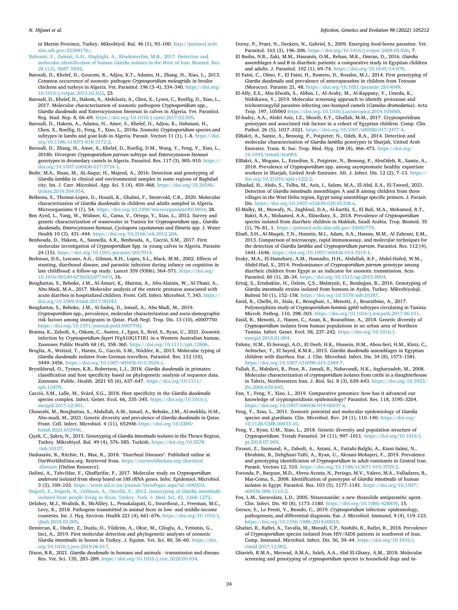#### <span id="page-23-0"></span>*N. Hijjawi et al.*

in Mersin Province, Turkey. Mikrobiyol. Bul. 46 (1), 93–100. [http://pubmed.ncbi.](http://pubmed.ncbi.nlm.nih.gov/22399176/) [nlm.nih.gov/22399176/](http://pubmed.ncbi.nlm.nih.gov/22399176/).

- [Bahrami, F., Zamini, G.H., Haghighi, A., Khademerfan, M.B., 2017. Detection and](http://refhub.elsevier.com/S1567-1348(22)00009-0/rf0165) molecular identification of human *Giardia* [isolates in the West of Iran. Biomed. Res.](http://refhub.elsevier.com/S1567-1348(22)00009-0/rf0165)  [28 \(13\), 5687](http://refhub.elsevier.com/S1567-1348(22)00009-0/rf0165)–5692.
- Baroudi, D., Khelef, D., Goucem, R., Adjou, K.T., Adamu, H., Zhang, H., Xiao, L., 2013. Common occurrence of zoonotic pathogen *Cryptosporidium meleagridis* in broiler chickens and turkeys in Algeria. Vet. Parasitol. 196 (3–4), 334–340. [https://doi.org/](https://doi.org/10.1016/j.vetpar.2013.02.022)  [10.1016/j.vetpar.2013.02.022](https://doi.org/10.1016/j.vetpar.2013.02.022), 23.
- Baroudi, D., Khelef, D., Hakem, A., Abdelaziz, A., Chen, X., Lysen, C., Roellig, D., Xiao, L., 2017. Molecular characterization of zoonotic pathogens *Cryptosporidium* spp., *Giardia duodenalis* and Enterocytozoon bieneusi in calves in Algeria. Vet. Parasitol. Reg. Stud. Rep. 8, 66–69. [https://doi.org/10.1016/j.vprsr.2017.02.005.](https://doi.org/10.1016/j.vprsr.2017.02.005)
- Baroudi, D., Hakem, A., Adamu, H., Amer, S., Khelef, D., Adjou, K., Dahmani, H., Chen, X., Roellig, D., Feng, Y., Xiao, L., 2018a. Zoonotic *Cryptosporidium* species and subtypes in lambs and goat kids in Algeria. Parasit. Vectors 11 (1), 1–8. [https://doi.](https://doi.org/10.1186/s13071-018-3172-2)  [org/10.1186/s13071-018-3172-2.](https://doi.org/10.1186/s13071-018-3172-2)
- Baroudi, D., Zhang, H., Amer, S., Khelef, D., Roellig, D.M., Wang, Y., Feng, Y., Xiao, L., 2018b. Divergent *Cryptosporidium parvum* subtype and *Enterocytozoon bieneusi*  genotypes in dromedary camels in Algeria. Parasitol. Res. 117 (3), 905–910. [https://](https://doi.org/10.1007/s00436-017-5734-1)  [doi.org/10.1007/s00436-017-5734-1.](https://doi.org/10.1007/s00436-017-5734-1)
- Bedir, M.A., Ihsan, M., AL-Saqur, H., Majeed, A., 2016. Detection and genotyping of *Giardia lamblia* in clinical and environmental samples in some regions of Baghdad city. Int. J. Curr. Microbiol. App. Sci. 5 (4), 459–468. [https://doi.org/10.20546/](https://doi.org/10.20546/ijcmas.2016.504.054)  [ijcmas.2016.504.054.](https://doi.org/10.20546/ijcmas.2016.504.054)
- Belkessa, S., Thomas-Lopez, D., Houali, K., Ghalmi, F., Stensvold, C.R., 2020. Molecular characterization of *Giardia duodenalis* in children and adults sampled in Algeria. Microorganisms 9 (1), 54. [https://doi.org/10.3390/microorganisms9010054,](https://doi.org/10.3390/microorganisms9010054) 28.
- Ben Ayed, L., Yang, W., Widmer, G., Cama, V., Ortega, Y., Xiao, L., 2012. Survey and genetic characterization of wastewater in Tunisia for *Cryptosporidium* spp., *Giardia duodenalis*, *Enterocytozoon bieneusi*, *Cyclospora cayetanensis* and *Eimeria* spp. J. Water Health 10 (3), 431–444. [https://doi.org/10.2166/wh.2012.204.](https://doi.org/10.2166/wh.2012.204)
- Benhouda, D., Hakem, A., Sannella, A.R., Benhouda, A., Cacciò, S.M., 2017. First molecular investigation of *Cryptosporidium* Spp. in young calves in Algeria. Parasite 24 (15). <https://doi.org/10.1051/parasite/2017014>.
- Berkman, D.S., Lescano, A.G., Gilman, R.H., Lopez, S.L., Black, M.M., 2002. Effects of stunting, diarrhoeal disease, and parasitic infection during infancy on cognition in late childhood: a follow-up study. Lancet 359 (9306), 564–571. [https://doi.org/](https://doi.org/10.1016/S0140-6736(02)07744-9)  [10.1016/S0140-6736\(02\)07744-9,](https://doi.org/10.1016/S0140-6736(02)07744-9) 16.
- Boughattas, S., Behnke, J.M., Al-Ansari, K., Sharma, A., Abu-Alainin, W., Al-Thani, A., Abu-Madi, M.A., 2017. Molecular analysis of the enteric protozoa associated with acute diarrhea in hospitalized children. Front. Cell. Infect. Microbiol. 7, 343. [https://](https://doi.org/10.3389/fcimb.2017.00343)  [doi.org/10.3389/fcimb.2017.00343](https://doi.org/10.3389/fcimb.2017.00343).
- Boughattas, S., Behnke, J.M., Al-Sadeq, D., Ismail, A., Abu-Madi, M., 2019. *Cryptosporidium* spp., prevalence, molecular characterisation and socio-demographic risk factors among immigrants in Qatar. PLoS Negl. Trop. Dis. 13 (10), e0007750 <https://doi.org/10.1371/journal.pntd.0007750>.
- Braima, K., Zahedi, A., Oskam, C., Austen, J., Egan, S., Reid, S., Ryan, U., 2021. Zoonotic infection by *Cryptosporidium fayeri* IVgA10G1T1R1 in a Western Australian human. Zoonoses Public Health 68 (4), 358–360. <https://doi.org/10.1111/zph.12806>.
- Broglia, A., Weitzel, T., Harms, G., Cacció, S.M., Nöckler, K., 2013. Molecular typing of *Giardia duodenalis* isolates from German travellers. Parasitol. Res. 112 (10), 3449–3456.<https://doi.org/10.1007/s00436-013-3524-y>.
- Brynildsrud, O., Tysnes, K.R., Robertson, L.J., 2018. *Giardia duodenalis* in primates: classification and host specificity based on phylogenetic analysis of sequence data. Zoonoses. Public. Health. 2021 65 (6), 637–647. [https://doi.org/10.1111/](https://doi.org/10.1111/zph.12470) [zph.12470](https://doi.org/10.1111/zph.12470).
- Cacciò, S.M., Lalle, M., Svärd, S.G., 2018. Host specificity in the *Giardia duodenalis* species complex. Infect. Genet. Evol. 66, 335–345. [https://doi.org/10.1016/j.](https://doi.org/10.1016/j.meegid.2017.12.001)  [meegid.2017.12.001.](https://doi.org/10.1016/j.meegid.2017.12.001)
- Chourabi, M., Boughattas, S., Abdallah, A.M., Ismail, A., Behnke, J.M., Al-mekhla, H.M., Abu-madi, M., 2021. Genetic diversity and prevalence of *Giardia duodenalis* in Qatar. Front. Cell. Infect. Microbiol. 4 (11), 652946 [https://doi.org/10.3389/](https://doi.org/10.3389/fcimb.2021.652946)  [fcimb.2021.652946.](https://doi.org/10.3389/fcimb.2021.652946)
- Çiçek, C., Şakru, N., 2015. Genotyping of *Giardia intestinalis* isolates in the Thrace Region, Turkey. Mikrobiyol. Bul. 49 (4), 576–585. Turkish. [https://doi.org/10.5578](https://doi.org/10.5578/mb.10107)  [/mb.10107](https://doi.org/10.5578/mb.10107).
- Dadonaite, B., Ritchie, H., Max, R., 2018. "Diarrheal Diseases". Published online at OurWorldInData.org. Retrieved from. [https://ourworldindata.org/diarrheal](https://ourworldindata.org/diarrheal-diseases)  [-diseases](https://ourworldindata.org/diarrheal-diseases) [Online Resource].
- Dalimi, A., Tahvildar, F., Ghaffarifar, F., 2017. Molecular study on *Cryptosporidium andersoni* isolated from sheep based on 18S rRNA genes. Infec. Epidemiol. Microbiol. 3 (3), 100–103. [https://www.sid.ir/en/journal/ViewPaper.aspx?id](https://www.sid.ir/en/journal/ViewPaper.aspx?id=690310)=690310. Değerli, S., Değerli, [N., Celiksoz, A., Ozcelik, S., 2012. Genotyping of](http://refhub.elsevier.com/S1567-1348(22)00009-0/rf0265) *Giardia intestinalis*
- [isolated from people living in Sivas, Turkey. Turk. J. Med. Sci. 42, 1268](http://refhub.elsevier.com/S1567-1348(22)00009-0/rf0265)–1272. Delahoy, M.J., Wodnik, B., McAliley, L., Penakalapati, G., Swarthout, J., Freeman, M.C.,
- Levy, K., 2018. Pathogens transmitted in animal feces in low- and middle-income countries. Int. J. Hyg. Environ. Health 221 (4), 661–676. [https://doi.org/10.1016/j.](https://doi.org/10.1016/j.ijheh.2018.03.005)  [ijheh.2018.03.005](https://doi.org/10.1016/j.ijheh.2018.03.005)
- Demircan, K., Onder, Z., Duzlu, O., Yildirim, A., Okur, M., Ciloglu, A., Yetismis, G., Inci, A., 2019. First molecular detection and phylogenetic analyses of zoonotic *Giardia intestinalis* in horses in Turkey. J. Equine. Vet. Sci. 80, 56–60. [https://doi.](https://doi.org/10.1016/j.jevs.2019.06.017)  [org/10.1016/j.jevs.2019.06.017.](https://doi.org/10.1016/j.jevs.2019.06.017)
- Dixon, B.R., 2021. *Giardia duodenalis* in humans and animals transmission and disease. Res. Vet. Sci. 135, 283–289. [https://doi.org/10.1016/j.rvsc.2020.09.034.](https://doi.org/10.1016/j.rvsc.2020.09.034)
- Dorny, P., Praet, N., Deckers, N., Gabriel, S., 2009. Emerging food-borne parasites. Vet. Parasitol. 163 (3), 196–206. [https://doi.org/10.1016/j.vetpar.2009.05.026,](https://doi.org/10.1016/j.vetpar.2009.05.026) 7.
- El Basha, N.R., Zaki, M.M., Hassanin, O.M., Rehan, M.K., Omran, D., 2016. *Giardia*  assemblages A and B in diarrheic patients: a comparative study in Egyptian children and adults. J. Parasitol. 102 (1), 69-74. https://doi.org/10.1645/14
- El Fatni, C., Olmo, F., El Fatni, H., Romero, D., Rosales, M.J., 2014. First genotyping of *Giardia duodenalis* and prevalence of enteroparasites in children from Tetouan (Morocco). Parasite 21, 48. [https://doi.org/10.1051/parasite/2014049.](https://doi.org/10.1051/parasite/2014049)
- El-Alfy, E.S., Abu-Elwafa, S., Abbas, I., Al-Araby, M., Al-Kappany, Y., Umeda, K., Nishikawa, Y., 2019. Molecular screening approach to identify protozoan and trichostrongylid parasites infecting one-humped camels (*Camelus dromedarius*). Acta Trop. 197, 105060 <https://doi.org/10.1016/j.actatropica.2019.105060>.
- El-badry, A.A., Abdel Aziz, I.Z., Shoeib, E.Y., Ghallab, M.M., 2017. Cryptosporidium genotypes and associated risk factors in a cohort of Egyptian children. Comp. Clin. Pathol. 26 (5), 1017–1021. <https://doi.org/10.1007/s00580-017-2477-4>.
- ElBakri, A., Samie, A., Bessong, P., Potgieter, N., Odeh, R.A., 2014. Detection and molecular characterisation of *Giardia lamblia* genotypes in Sharjah, United Arab Emirates. Trans. R. Soc. Trop. Med. Hyg. 108 (8), 466–473. [https://doi.org/](https://doi.org/10.1093/trstmh/tru083) [10.1093/trstmh/tru083.](https://doi.org/10.1093/trstmh/tru083)
- ElBakri, A., Mogane, L., Ezzedine, S., Potgieter, N., Bessong, P., AbuOdeh, R., Samie, A., 2018. Prevalence of *Cryptosporidium* spp. among asymptomatic healthy expatriate workers in Sharjah, United Arab Emirates. Afr. J. Infect. Dis. 12 (2), 7–13. [https://](https://doi.org/10.21010/ajid.v12i2.2)  doi.org/10.21010/ajid.v12i2.2
- Elhadad, H., Abdo, S., Tolba, M., Aziz, I., Salem, M.A., El-Abd, E.A., El-Taweel, 2021. Detection of *Giardia intestinalis* assemblages A and B among children from three villages in the West Delta region, Egypt using assemblage specific primers. J. Parasit. Dis. [https://doi.org/10.1007/s12639-020-01338-x.](https://doi.org/10.1007/s12639-020-01338-x)
- El-Malky, M., Mowafy, N., Zaghloul, D.A., Al-harthi, S., El Bali, M.A., Mohamed, R.T., Bakri, R.A., Mohamed, A.A., Elmedany, S., 2018. Prevalence of *Cryptosporidium*  species isolated from diarrheic children in Makkah, Saudi Arabia. Trop. Biomed. 35 (1), 76–81, 1. <https://pubmed.ncbi.nlm.nih.gov/33601779>.
- Elsafi, S.H., Al-Maqati, T.N., Hussein, M.I., Adam, A.A., Hassan, M.M., Al Zahrani, E.M., 2013. Comparison of microscopy, rapid immunoassay, and molecular techniques for the detection of *Giardia lamblia* and *Cryptosporidium parvum*. Parasitol. Res. 112 (4), 1641–1646.<https://doi.org/10.1007/s00436-013-3319-1>.
- Eraky, M.A., El-Hamshary, A.M., Hamadto, H.H., Abdallah, K.F., Abdel-Hafed, W.M., Abdel-Had, S., 2014. Predominance of *Cryptosporidium parvum* genotype among diarrheic children from Egypt as an indicator for zoonotic transmission. Acta Parasitol. 60 (1), 26–34. [https://doi.org/10.1515/ap-2015-0004.](https://doi.org/10.1515/ap-2015-0004)
- Ertuğ, S., Ertabaklar, H., Özlem, C.S., Malatyalı, E., Bozdoğan, B., 2016. Genotyping of *Giardia intestinalis* strains isolated from humans in Aydin, Turkey. Mikrobiyoloji. Bulteni 50 (1), 152–158. [https://doi.org/10.5578/mb.10387.](https://doi.org/10.5578/mb.10387)
- Essid, R., Chelbi, H., Siala, E., Bensghair, I., Menotti, J., Bouratbine, A., 2017. Polymorphism study of *Cryptosporidium hominis* gp60 subtypes circulating in Tunisia. Microb. Pathog. 110, 298–303.<https://doi.org/10.1016/j.micpath.2017.06.011>.
- Essid, R., Menotti, J., Hanen, C., Aoun, K., Bouratbine, A., 2018. Genetic diversity of *Cryptosporidium* isolates from human populations in an urban area of Northern Tunisia. Infect. Genet. Evol. 58, 237–242. [https://doi.org/10.1016/j.](https://doi.org/10.1016/j.meegid.2018.01.004) [meegid.2018.01.004.](https://doi.org/10.1016/j.meegid.2018.01.004)
- Fahmy, H.M., El-Serougi, A.O., El Deeb, H.K., Hussein, H.M., Abou-Seri, H.M., Klotz, C., Aebischer, T., El Sayed, K.M.K., 2015. *Giardia duodenalis* assemblages in Egyptian children with diarrhea. Eur. J. Clin. Microbiol. Infect. Dis. 34 (8), 1573–1581. [https://doi.org/10.1007/s10096-015-2389-7.](https://doi.org/10.1007/s10096-015-2389-7)
- Fallah, E., Mahdavi, B., Poor, B., Jamali, R., Nahavandi, H.K., Asgharzadeh, M., 2008. Molecular characterization of *cryptosporidium* isolates from cattle in a slaughterhouse in Tabriz, Northwestern Iran. J. Biol. Sci. 8 (3), 639–643. [https://doi.org/10.3923/](https://doi.org/10.3923/jbs.2008.639.643)  [jbs.2008.639.643.](https://doi.org/10.3923/jbs.2008.639.643)
- Fan, Y., Feng, Y., Xiao, L., 2019. Comparative genomics: how has it advanced our knowledge of cryptosporidiosis epidemiology? Parasitol. Res. 118, 3195–3204. https://doi.org/10.1007/s00436-019-06537
- Feng, Y., Xiao, L., 2011. Zoonotic potential and molecular epidemiology of *Giardia*  species and giardiasis. Clin. Microbiol. Rev. 24 (1), 110-140. [https://doi.org/](https://doi.org/10.1128/CMR.00033-10) [10.1128/CMR.00033-10.](https://doi.org/10.1128/CMR.00033-10)
- Feng, Y., Ryan, U.M., Xiao, L., 2018. Genetic diversity and population structure of *Cryptosporidium*. Trends Parasitol. 34 (11), 997–1011. [https://doi.org/10.1016/j.](https://doi.org/10.1016/j.pt.2018.07.009) [pt.2018.07.009.](https://doi.org/10.1016/j.pt.2018.07.009)
- Firoozi, Z., Sazmand, A., Zahedi, A., Astani, A., Fattahi-Bafghi, A., Kiani-Salmi, N., Ebrahimi, B., Dehghani-Tafti, A., Ryan, U., Akrami-Mohajeri, F., 2019. Prevalence and genotyping identification of *Cryptosporidium* in adult ruminants in Central Iran. Parasit. Vectors 12, 510. [https://doi.org/10.1186/s13071-019-3759-2.](https://doi.org/10.1186/s13071-019-3759-2)
- Foronda, P., Bargues, M.D., Abreu-Acosta, N., Periago, M.V., Valero, M.A., Valladares, B., Mas-Coma, S., 2008. Identification of genotypes of *Giardia intestinalis* of human isolates in Egypt. Parasitol. Res. 103 (5), 1177–1181. [https://doi.org/10.1007/](https://doi.org/10.1007/s00436-008-1113-2) [s00436-008-1113-2.](https://doi.org/10.1007/s00436-008-1113-2)
- Fox, L.M., Saravolatz, L.D., 2005. Nitazoxanide: a new thiazolide antiparasitic agent. Clin. Infect. Dis. 40 (8), 1173–1180. <https://doi.org/10.1086/428839>, 15.
- Gerace, E., Lo Presti, V., Biondo, C., 2019. *Cryptosporidium* infection: epidemiology, pathogenesis, and differential diagnosis. Eur. J. Microbiol. Immunol. 9 (4), 119–123. [https://doi.org/10.1556/1886.2019.00019.](https://doi.org/10.1556/1886.2019.00019)
- Ghafari, R., Rafiei, A., Tavalla, M., Moradi, C.P., Nashibi, R., Rafiei, R., 2018. Prevalence of *Cryptosporidium* species isolated from HIV/AIDS patients in southwest of Iran. Comp. Immunol. Microbiol. Infect. Dis. 56, 39–44. [https://doi.org/10.1016/j.](https://doi.org/10.1016/j.cimid.2017.12.002) [cimid.2017.12.002](https://doi.org/10.1016/j.cimid.2017.12.002).
- Gharieb, R.M.A., Merwad, A.M.A., Saleh, A.A., Abd El-Ghany, A.M., 2018. Molecular screening and genotyping of *cryptosporidium* species in household dogs and in-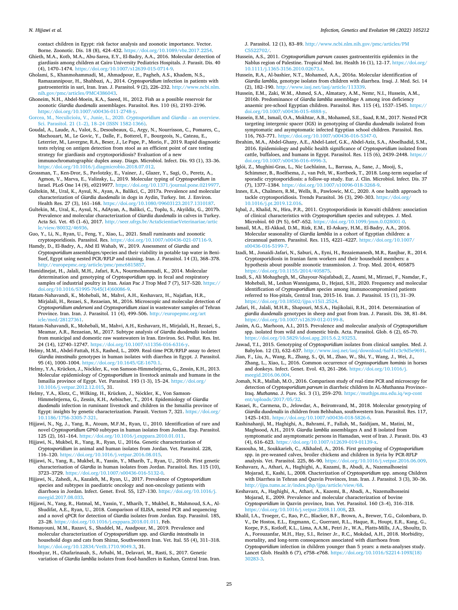<span id="page-24-0"></span>contact children in Egypt: risk factor analysis and zoonotic importance. Vector. Borne. Zoonotic. Dis. 18 (8), 424–432. [https://doi.org/10.1089/vbz.2017.2254.](https://doi.org/10.1089/vbz.2017.2254)

- Ghieth, M.A., Kotb, M.A., Abu-Sarea, E.Y., El-Badry, A.A., 2016. Molecular detection of giardiasis among children at Cairo University Pediatrics Hospitals. J. Parasit. Dis. 40 (4), 1470–1474. [https://doi.org/10.1007/s12639-015-0714-9.](https://doi.org/10.1007/s12639-015-0714-9)
- Gholami, S., Khanmohammadi, M., Ahmadpour, E., Pagheh, A.S., Khadem, N.S., Ramazannipour, H., Shahbazi, A., 2014. *Cryptosporidium* infection in patients with gastroenteritis in sari, Iran. Iran. J. Parasitol. 9 (2), 226–232. [http://www.ncbi.nlm.](http://www.ncbi.nlm.nih.gov/pmc/articles/PMC4386043)  articles/PMC4386043
- Ghoneim, N.H., Abdel-Moein, K.A., Saeed, H., 2012. Fish as a possible reservoir for zoonotic *Giardia duodenalis* assemblages. Parasitol. Res. 110 (6), 2193–2196. <https://doi.org/10.1007/s00436-011-2748-y>.
- [Gorcea, M., Neculicioiu, V., Junie, L., 2020.](http://refhub.elsevier.com/S1567-1348(22)00009-0/rf0425) *Cryptosporidium* and *Giardia*  an overview. Sci. Parasitol. 21 (1–2), 18–[24 \(ISSN 1582-1366\)](http://refhub.elsevier.com/S1567-1348(22)00009-0/rf0425).
- Goudal, A., Laude, A., Valot, S., Desoubeaux, G., Argy, N., Nourrisson, C., Pomares, C., Machouart, M., Le Govic, Y., Dalle, F., Botterel, F., Bourgeois, N., Cateau, E., Leterrier, M., Lavergne, R.A., Beser, J., Le Pape, P., Morio, F., 2019. Rapid diagnostic tests relying on antigen detection from stool as an efficient point of care testing strategy for giardiasis and cryptosporidiosis? Evaluation of a new immunochromatographic duplex assay. Diagn. Microbiol. Infect. Dis. 93 (1), 33–36. [https://doi.org/10.1016/j.diagmicrobio.2018.07.012.](https://doi.org/10.1016/j.diagmicrobio.2018.07.012)
- Grossman, T., Ken-Dror, S., Pavlotzky, E., Vainer, J., Glazer, Y., Sagi, O., Peretz, A., Agmon, V., Marva, E., Valinsky, L., 2019. Molecular typing of *Cryptosporidium* in Israel. PLoS One 14 (9), e0219977. [https://doi.org/10.1371/journal.pone.0219977.](https://doi.org/10.1371/journal.pone.0219977)
- Gultekin, M., Ural, K., Aysul, N., Ayan, A., Balikci, C., 2017a. Prevalence and molecular characterization of *Giardia duodenalis* in dogs in Aydin, Turkey. Int. J. Environ. Health Res. 27 (3), 161–168.<https://doi.org/10.1080/09603123.2017.1310187>.
- Gultekin, M., Ural, K., Aysul, N., AdAyan, A., Balikci, C., Toplu, S., Akyildiz, G., 2017b. Prevalence and molecular characterization of *Giardia duodenalis* in calves in Turkey. Acta Sci. Vet. 45 (1–6), 2017. [http://seer.ufrgs.br/ActaScientiaeVeterinariae/artic](http://seer.ufrgs.br/ActaScientiaeVeterinariae/article/view/80032/46936) v/80032/4693
- Guo, Y., Li, N., Ryan, U., Feng, Y., Xiao, L., 2021. Small ruminants and zoonotic cryptosporidiosis. Parasitol. Res. [https://doi.org/10.1007/s00436-021-07116-9.](https://doi.org/10.1007/s00436-021-07116-9)
- Hamdy, D., El-Badry, A., Abd El Wahab, W., 2019. Assessment of *Giardia* and *Cryptosporidium* assemblages/species and their viability in potable tap water in Beni-Suef, Egypt using nested PCR/RFLP and staining. Iran. J. Parasitol. 14 (3), 368–378. europepmc.org/article/pmc/pmc6815857.
- Hamidinejat, H., Jalali, M.H., Jafari, R.A., Nourmohammadi, K., 2014. Molecular determination and genotyping of *Cryptosporidium* spp. in fecal and respiratory samples of industrial poultry in Iran. Asian Pac J Trop Med 7 (7), 517–520. [https://](https://doi.org/10.1016/S1995-7645(14)60086-9)  [doi.org/10.1016/S1995-7645\(14\)60086-9.](https://doi.org/10.1016/S1995-7645(14)60086-9)
- Hatam-Nahavandi, K., Mohebali, M., Mahvi, A.H., Keshavarz, H., Najafian, H.R., Mirjalali, H., Rezaei, S., Rezaeian, M., 2016. Microscopic and molecular detection of *Cryptosporidium andersoni* and *Cryptosporidium xiaoi* in wastewater samples of Tehran Province. Iran. Iran. J. Parasitol. 11 (4), 499–506. [http://europepmc.org/art](http://europepmc.org/article/med/28127361)  [icle/med/28127361.](http://europepmc.org/article/med/28127361)
- Hatam-Nahavandi, K., Mohebali, M., Mahvi, A.H., Keshavarz, H., Mirjalali, H., Rezaei, S., Meamar, A.R., Rezaeian, M., 2017. Subtype analysis of *Giardia duodenalis* isolates from municipal and domestic raw wastewaters in Iran. Environ. Sci. Pollut. Res. Int. 24 (14), 12740–12747. [https://doi.org/10.1007/s11356-016-6316-y.](https://doi.org/10.1007/s11356-016-6316-y)
- Helmy, M.M., Abdel-Fattah, H.S., Rashed, L., 2009. Real-time PCR/RFLP assay to detect *Giardia intestinalis* genotypes in human isolates with diarrhea in Egypt. J. Parasitol. 95 (4), 1000–1004. [https://doi.org/10.1645/GE-1670.1.](https://doi.org/10.1645/GE-1670.1)
- Helmy, Y.A., Krücken, J., Nöckler, K., von Samson-Himmelstjerna, G., Zessin, K.H., 2013. Molecular epidemiology of *Cryptosporidium* in livestock animals and humans in the Ismailia province of Egypt. Vet. Parasitol. 193 (1-3), 15–24. [https://doi.org/](https://doi.org/10.1016/j.vetpar.2012.12.015) [10.1016/j.vetpar.2012.12.015](https://doi.org/10.1016/j.vetpar.2012.12.015), 31.
- Helmy, Y.A., Klotz, C., Wilking, H., Krücken, J., Nöckler, K., Von Samson-Himmelstjerna, G., Zessin, K.H., Aebischer, T., 2014. Epidemiology of *Giardia duodenalis* infection in ruminant livestock and children in the Ismailia province of Egypt: insights by genetic characterization. Parasit. Vectors 7, 321. [https://doi.org/](https://doi.org/10.1186/1756-3305-7-321)  [10.1186/1756-3305-7-321](https://doi.org/10.1186/1756-3305-7-321).
- Hijjawi, N., Ng, J., Yang, R., Atoum, M.F.M., Ryan, U., 2010. Identification of rare and novel *Cryptosporidium* GP60 subtypes in human isolates from Jordan. Exp. Parasitol. 125 (2), 161–164. [https://doi.org/10.1016/j.exppara.2010.01.011.](https://doi.org/10.1016/j.exppara.2010.01.011)
- Hijjawi, N., Mukbel, R., Yang, R., Ryan, U., 2016a. Genetic characterization of *Cryptosporidium* in animal and human isolates from Jordan. Vet. Parasitol. 228, 116–120. <https://doi.org/10.1016/j.vetpar.2016.08.015>.
- Hijjawi, N., Yang, R., Mukbel, R., Yassin, Y., Mharib, T., Ryan, U., 2016b. First genetic characterisation of *Giardia* in human isolates from Jordan. Parasitol. Res. 115 (10), 3723–3729.<https://doi.org/10.1007/s00436-016-5132-0>.
- Hijjawi, N., Zahedi, A., Kazaleh, M., Ryan, U., 2017. Prevalence of *Cryptosporidium*  species and subtypes in paediatric oncology and non-oncology patients with diarrhoea in Jordan. Infect. Genet. Evol. 55, 127–130. [https://doi.org/10.1016/j.](https://doi.org/10.1016/j.meegid.2017.08.033)  [meegid.2017.08.033.](https://doi.org/10.1016/j.meegid.2017.08.033)
- Hijjawi, N., Yang, R., Hatmal, M., Yassin, Y., Mharib, T., Mukbel, R., Mahmoud, S.A., Al-Shudifat, A.E., Ryan, U., 2018. Comparison of ELISA, nested PCR and sequencing and a novel qPCR for detection of *Giardia* isolates from Jordan. Exp. Parasitol. 185, 23–28. [https://doi.org/10.1016/j.exppara.2018.01.011.](https://doi.org/10.1016/j.exppara.2018.01.011) Feb.
- Homayouni, M.M., Razavi, S., Shaddel, M., Asadpour, M., 2019. Prevalence and molecular characterization of *Cryptosporidium* spp. and *Giardia intestinalis* in household dogs and cats from Shiraz, Southwestern Iran. Vet. Ital. 55 (4), 311–318. <https://doi.org/10.12834/VetIt.1710.9049.3>, 31.
- Hooshyar, H., Ghafarinasab, S., Arbabi, M., Delavari, M., Rasti, S., 2017. Genetic variation of *Giardia lamblia* isolates from food-handlers in Kashan, Central Iran. Iran.

J. Parasitol. 12 (1), 83–89. [http://www.ncbi.nlm.nih.gov/pmc/articles/PM](http://www.ncbi.nlm.nih.gov/pmc/articles/PMC5522702/) C5522702

- Hussein, A.S., 2011. *Cryptosporidium parvum* causes gastroenteritis epidemics in the Nablus region of Palestine. Tropical Med. Int. Health 16 (1), 12–17. [https://doi.org/](https://doi.org/10.1111/j.1365-3156.2010.02673.x)  [10.1111/j.1365-3156.2010.02673.x](https://doi.org/10.1111/j.1365-3156.2010.02673.x).
- Hussein, R.A., Al-bashier, N.T., Mohamed, A.A., 2016a. Molecular identification of *Giardia lamblia*, genotype isolates from children with diarrhea. Iraqi. J. Med. Sci. 14 (2), 182–190.<http://www.iasj.net/iasj/article/113339>.
- Hussein, E.M., Zaki, W.M., Ahmed, S.A., Almatary, A.M., Nemr, N.I., Hussein, A.M., 2016b. Predominance of *Giardia lamblia* assemblage A among iron deficiency anaemic pre-school Egyptian children. Parasitol. Res. 115 (4), 1537–1545. [https://](https://doi.org/10.1007/s00436-015-4888-y) [doi.org/10.1007/s00436-015-4888-y](https://doi.org/10.1007/s00436-015-4888-y).
- Hussein, E.M., Ismail, O.A., Mokhtar, A.B., Mohamed, S.E., Saad, R.M., 2017. Nested PCR targeting intergenic spacer (IGS) in genotyping of *Giardia duodenalis* isolated from symptomatic and asymptomatic infected Egyptian school children. Parasitol. Res. 116, 763–771. [https://doi.org/10.1007/s00436-016-5347-0.](https://doi.org/10.1007/s00436-016-5347-0)
- Ibrahim, M.A., Abdel-Ghany, A.E., Abdel-Latef, G.K., Abdel-Aziz, S.A., Aboelhadid, S.M., 2016. Epidemiology and public health significance of *Cryptosporidium* isolated from cattle, buffaloes, and humans in Egypt. Parasitol. Res. 115 (6), 2439–2448. [https://](https://doi.org/10.1007/s00436-016-4996-3)  [doi.org/10.1007/s00436-016-4996-3.](https://doi.org/10.1007/s00436-016-4996-3)
- Iglói, Z., Mughini-Gras, L., Nic Lochlainn, L., Barrasa, A., Sane, J., Mooij, S., Schimmer, B., Roelfsema, J., van Pelt, W., Kortbeek, T., 2018. Long-term sequelae of sporadic cryptosporidiosis: a follow-up study. Eur. J. Clin. Microbiol. Infect. Dis. 37 (7), 1377–1384. [https://doi.org/10.1007/s10096-018-3268-9.](https://doi.org/10.1007/s10096-018-3268-9)
- Innes, E.A., Chalmers, R.M., Wells, B., Pawlowic, M.C., 2020. A one health approach to tackle cryptosporidiosis. Trends Parasitol. 36 (3), 290–303. [https://doi.org/](https://doi.org/10.1016/j.pt.2019.12.016)  [10.1016/j.pt.2019.12.016](https://doi.org/10.1016/j.pt.2019.12.016).
- Iqbal, J., Khalid, N., Hira, P.R., 2011. Cryptosporidiosis in Kuwaiti children: association of clinical characteristics with *Cryptosporidium* species and subtypes. J. Med. Microbiol. 60 (Pt 5), 647–652. [https://doi.org/10.1099/jmm.0.028001-0.](https://doi.org/10.1099/jmm.0.028001-0)
- Ismail, M.A., El-Akkad, D.M., Rizk, E.M., El-Askary, H.M., El-Badry, A.A., 2016. Molecular seasonality of *Giardia lamblia* in a cohort of Egyptian children: a circannual pattern. Parasitol. Res. 115, 4221–4227. [https://doi.org/10.1007/](https://doi.org/10.1007/s00436-016-5199-7) [s00436-016-5199-7.](https://doi.org/10.1007/s00436-016-5199-7)
- Izadi, M., Jonaidi-Jafari, N., Saburi, A., Eyni, H., Rezaiemanesh, M.R., Ranjbar, R., 2014. Cryptosporidiosis in Iranian farm workers and their household members: a hypothesis about possible zoonotic transmission. J. Trop. Med. 2014, 405875 <https://doi.org/10.1155/2014/405875>.
- Izadi, S., Ali Mohaghegh, M., Ghayour-Najafabadi, Z., Azami, M., Mirzaei, F., Namdar, F., Mohebali, M., Leshan Wannigama, D., Hejazi, S.H., 2020. Frequency and molecular identification of *Cryptosporidium* species among immunocompromised patients referred to Hos-pitals, Central Iran, 2015-16. Iran. J. Parasitol. 15 (1), 31–39. [https://doi.org/10.18502/ijpa.v15i1.2524.](https://doi.org/10.18502/ijpa.v15i1.2524)
- Jafari, H., Jalali, M.H.R., Shapouri, M.S.A., Hajikolaii, R.H., 2014. Determination of *giardia duodenalis* genotypes in sheep and goat from Iran. J. Parasit. Dis. 38, 81–84. [https://doi.org/10.1007/s12639-012-0199-8.](https://doi.org/10.1007/s12639-012-0199-8)
- Jasim, A.G., Marhoon, A.I., 2015. Prevalence and molecular analysis of *Cryptosporidium*  spp. isolated from wild and domestic birds. Acta. Parasitol. Glob. 6 (2), 65–70. <https://doi.org/10.5829/idosi.apg.2015.6.2.93253>.
- Jawad, T.I., 2015. Genotyping of *Cryptosporidium* isolates from clinical samples. Med. J. Babylon. 12 (3), 632–637. http://www.iasj.net/iasj/download/6af41c3c9d
- Jian, F., Liu, A., Wang, R., Zhang, S., Qi, M., Zhao, W., Shi, Y., Wang, J., Wei, J., Zhang, L., Xiao, L., 2016. Common occurrence of *Cryptosporidium hominis* in horses and donkeys. Infect. Genet. Evol. 43, 261–266. [https://doi.org/10.1016/j.](https://doi.org/10.1016/j.meegid.2016.06.004) [meegid.2016.06.004.](https://doi.org/10.1016/j.meegid.2016.06.004)
- Jomah, N.R., Mallah, M.O., 2016. Comparison study of real-time PCR and microscopy for detection of *Cryptosporidium parvum* in diarrheic children In AL-Muthanna Province– Iraq. *Muthanna*. J. Pure. Sci. 3 (1), 259–270. [https://muthjps.mu.edu.iq/wp-cont](https://muthjps.mu.edu.iq/wp-content/uploads/2017/05/32)  [ent/uploads/2017/05/32.](https://muthjps.mu.edu.iq/wp-content/uploads/2017/05/32)
- Kasaei, R., Carmena, D., Jelowdar, A., Beiromvand, M., 2018. Molecular genotyping of *Giardia duodenalis* in children from Behbahan, southwestern Iran. Parasitol. Res. 117, 1425–1431.<https://doi.org/10.1007/s00436-018-5826-6>.
- Kashinahanji, M., Haghighi, A., Bahrami, F., Fallah, M., Saidijam, M., Matini, M., Maghsood, A.H., 2019. *Giardia lamblia* assemblages A and B isolated from symptomatic and asymptomatic persons in Hamadan, west of Iran. J. Parasit. Dis. 43 (4), 616–623. [https://doi.org/10.1007/s12639-019-01139-x.](https://doi.org/10.1007/s12639-019-01139-x)
- Kassouha, M., Soukkarieh, C., Alkhaled, A., 2016. First genotyping of *Cryptosporidium*  spp. in pre-weaned calves, broiler chickens and children in Syria by PCR-RFLP analysis. Vet. Parasitol. 225, 86–90. [https://doi.org/10.1016/j.vetpar.2016.06.009.](https://doi.org/10.1016/j.vetpar.2016.06.009)
- Keshavarz, A., Athari, A., Haghighi, A., Kazami, B., Abadi, A., Nazemalhoseini Mojarad, E., Kashi, L., 2008. Chacterization of *Cryptosporidium* spp. among Children with Diarrhea in Tehran and Qazvin Provinces, Iran. Iran. J. Parasitol. 3 (3), 30–36. <http://ijpa.tums.ac.ir/index.php/ijpa/article/view/68>.
- Keshavarz, A., Haghighi, A., Athari, A., Kazemi, B., Abadi, A., Nazemalhosseini Mojarad, E., 2009. Prevalence and molecular characterization of bovine *Cryptosporidium* in Qazvin province, Iran. Vet. Parasitol. 160 (3–4), 316–318. [https://doi.org/10.1016/j.vetpar.2008.11.008,](https://doi.org/10.1016/j.vetpar.2008.11.008) 23.
- Khalil, I.A., Troeger, C., Rao, P.C., Blacker, B.F., Brown, A., Brewer, T.G., Colombara, D. V., De Hostos, E.L., Engmann, C., Guerrant, R.L., Haque, R., Houpt, E.R., Kang, G., Korpe, P.S., Kotloff, K.L., Lima, A.A.M., Petri Jr., W.A., Platts-Mills, J.A., Shoultz, D. A., Forouzanfar, M.H., Hay, S.I., Reiner Jr., R.C., Mokdad, A.H., 2018. Morbidity, mortality, and long-term consequences associated with diarrhoea from *Cryptosporidium* infection in children younger than 5 years: a meta-analyses study. Lancet Glob. Health 6 (7), e758–e768. [https://doi.org/10.1016/S2214-109X\(18\)](https://doi.org/10.1016/S2214-109X(18)30283-3)  [30283-3](https://doi.org/10.1016/S2214-109X(18)30283-3).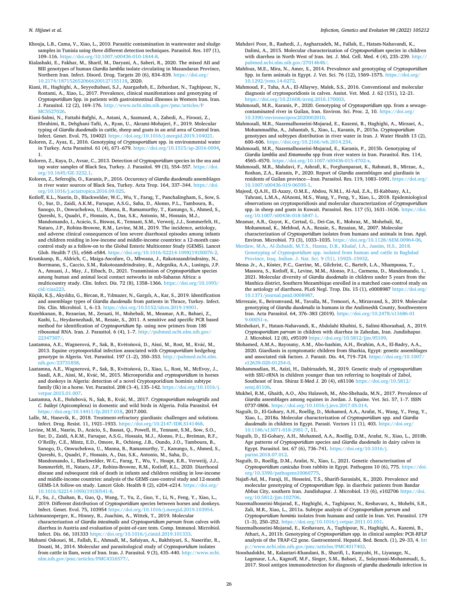- <span id="page-25-0"></span>Khouja, L.B., Cama, V., Xiao, L., 2010. Parasitic contamination in wastewater and sludge samples in Tunisia using three different detection techniques. Parasitol. Res. 107 (1), 109–116. <https://doi.org/10.1007/s00436-010-1844-8>.
- Kialashaki, E., Fakhar, M., Sharif, M., Daryani, A., Saberi, R., 2020. The mixed AII and BIII genotypes of human *Giardia lamblia* isolate circulating in Mazandaran Province, Northern Iran. Infect. Disord. Drug. Targets 20 (6), 834–839. [https://doi.org/](https://doi.org/10.2174/1871526520666200127155118) [10.2174/1871526520666200127155118,](https://doi.org/10.2174/1871526520666200127155118) 2020.
- Kiani, H., Haghighi, A., Seyyedtabaei, S.J., Azargashsb, E., Zebardast, N., Taghipour, N., Rostami, A., Xiao, L., 2017. Prevalence, clinical manifestations and genotyping of *Cryptosporidium* Spp. in patients with gastrointestinal illnesses in Western Iran. Iran. J. Parasitol. 12 (2), 169-176. http://www.ncbi.nlm.nih.gov/pmc/article
- [MC5527026](http://www.ncbi.nlm.nih.gov/pmc/articles/PMC5527026). Kiani-Salmi, N., Fattahi-Bafghi, A., Astani, A., Sazmand, A., Zahedi, A., Firoozi, Z., Ebrahimi, B., Dehghani-Tafti, A., Ryan, U., Akrami-Mohajeri, F., 2019. Molecular typing of *Giardia duodenalis* in cattle, sheep and goats in an arid area of Central Iran. Infect. Genet. Evol. 75, 104021 <https://doi.org/10.1016/j.meegid.2019.104021>.
- Koloren, Z., Ayaz, E., 2016. Genotyping of *Cryptosporidium* spp. in environmental water in Turkey. Acta Parasitol. 61 (4), 671–679. [https://doi.org/10.1515/ap-2016-0094,](https://doi.org/10.1515/ap-2016-0094) 1.
- Koloren, Z., Kaya, D., Avsar, C., 2013. Detection of *Cryptosporidium* species in the sea and tap water samples of Black Sea, Turkey. J. Parasitol. 99 (3), 554–557. https://doi. [org/10.1645/GE-3232.1](https://doi.org/10.1645/GE-3232.1).
- Koloren, Z., Seferoğlu, O., Karanis, P., 2016. Occurency of *Giardia duodenalis* assemblages in river water sources of Black Sea, Turkey. Acta Trop. 164, 337–344. [https://doi.](https://doi.org/10.1016/j.actatropica.2016.09.025)  [org/10.1016/j.actatropica.2016.09.025](https://doi.org/10.1016/j.actatropica.2016.09.025).
- Kotloff, K.L., Nasrin, D., Blackwelder, W.C., Wu, Y., Farag, T., Panchalingham, S., Sow, S. O., Sur, D., Zaidi, A.K.M., Faruque, A.S.G., Saha, D., Alonso, P.L., Tamboura, B., Sanogo, D., Onwuchekwa, U., Manna, B., Ramamurthy, T., Kanungo, S., Ahmed, S., Qureshi, S., Quadri, F., Hossain, A., Das, S.K., Antonio, M., Hossain, M.J., Mandomando, I., Acácio, S., Biswas, K., Tennant, S.M., Verweij, J.J., Sommerfelt, H., Nataro, J.P., Robins-Browne, R.M., Levine, M.M., 2019. The incidence, aetiology,
- and adverse clinical consequences of less severe diarrhoeal episodes among infants and children residing in low-income and middle-income countries: a 12-month casecontrol study as a follow-on to the Global Enteric Multicenter Study (GEMS). Lancet Glob. Health 7 (5), e568–e584. [https://doi.org/10.1016/S2214-109X\(19\)30076-2.](https://doi.org/10.1016/S2214-109X(19)30076-2)
- Krumkamp, R., Aldrich, C., Maiga-Ascofare, O., Mbwana, J., Rakotozandrindrainy, N., Borrmann, S., Caccio, S.M., Rakotozandrindrainy, R., Adegnika, A.A., Lusingu, J.P. A., Amuasi, J., May, J., Eibach, D., 2021. Transmission of *Cryptosporidium* species among human and animal local contact networks in sub-Saharan Africa: a multicountry study. Clin. Infect. Dis. 72 (8), 1358–1366. [https://doi.org/10.1093/](https://doi.org/10.1093/cid/ciaa223) [cid/ciaa223](https://doi.org/10.1093/cid/ciaa223).
- Küçük, K.S¸ ., Akyıldız, G., Bircan, R., Yılmazer, N., Gargılı, A., Kar, S., 2019. Identification and assemblage types of *Giardia duodenalis* from patients in Thrace, Turkey. Infect. Dis. Clin. Microbiol. 1, 6–13. [https://doi.org/10.5152/idcm.2019.19001.](https://doi.org/10.5152/idcm.2019.19001)
- Kuzehkanan, B., Rezaeian, M., Zeraati, H., Mohebali, M., Meamar, A.R., Babaei, Z., Kashi, L., Heydarnezhadi, M., Rezaie, S., 2011. A sensitive and specific PCR based method for identification of *Cryptosporidium* Sp. using new primers from 18S ribosomal RNA. Iran. J. Parasitol. 6 (4), 1–7. [http://pubmed.ncbi.nlm.nih.gov/](http://pubmed.ncbi.nlm.nih.gov/22347307/)  22347307
- Laatamna, A.E., Wagnerová, P., Sak, B., Květoňová, D., Aissi, M., Rost, M., Kváč, M., 2013. Equine cryptosporidial infection associated with *Cryptosporidium* hedgehog genotype in Algeria. Vet. Parasitol. 197 (1–2), 350–353. [http://pubmed.ncbi.nlm.](http://pubmed.ncbi.nlm.nih.gov/23731858)  [nih.gov/23731858.](http://pubmed.ncbi.nlm.nih.gov/23731858)
- Laatamna, A.E., Wagnerová, P., Sak, B., Květoňová, D., Xiao, L., Rost, M., McEvoy, J., Saadi, A.R., Aissi, M., Kváč, M., 2015. Microsporidia and *cryptosporidium* in horses and donkeys in Algeria: detection of a novel Cryptosporidium hominis subtype family (Ik) in a horse. Vet. Parasitol. 208 (3–4), 135–142. [https://doi.org/10.1016/j.](https://doi.org/10.1016/j.vetpar.2015.01.007)  [vetpar.2015.01.007](https://doi.org/10.1016/j.vetpar.2015.01.007).
- Laatamna, A.E., Holubová, N., Sak, B., Kváč, M., 2017. *Cryptosporidium meleagridis* and *C. baileyi* (Apicomplexa) in domestic and wild birds in Algeria. Folia Parasitol. 64 <https://doi.org/10.14411/fp.2017.018>, 2017.000.
- Lalle, M., Hanevik, K., 2018. Treatment-refractory giardiasis: challenges and solutions. Infect. Drug. Resist. 11, 1921–1933. [https://doi.org/10.2147/IDR.S141468.](https://doi.org/10.2147/IDR.S141468)
- Levine, M.M., Nasrin, D., Acácio, S., Bassat, Q., Powell, H., Tennant, S.M., Sow, S.O., Sur, D., Zaidi, A.K.M., Faruque, A.S.G., Hossain, M.J., Alonso, P.L., Breiman, R.F., O'Reilly, C.E., Mintz, E.D., Omore, R., Ochieng, J.B., Oundo, J.O., Tamboura, B., Sanogo, D., Onwuchekwa, U., Manna, B., Ramamurthy, T., Kanungo, S., Ahmed, S., Qureshi, S., Quadri, F., Hossain, A., Das, S.K., Antonio, M., Saha, D., Mandomando, I., Blackwelder, W.C., Farag, T., Wu, Y., Houpt, E.R., Verweiij, J.J., Sommerfelt, H., Nataro, J.P., Robins-Browne, R.M., Kotloff, K.L., 2020. Diarrhoeal disease and subsequent risk of death in infants and children residing in low-income and middle-income countries: analysis of the GEMS case-control study and 12-month GEMS-1A follow-on study. Lancet Glob. Health 8 (2), e204–e214. [https://doi.org/](https://doi.org/10.1016/S2214-109X(19)30541-8)  [10.1016/S2214-109X\(19\)30541-8](https://doi.org/10.1016/S2214-109X(19)30541-8).
- Li, F., Su, J., Chahan, B., Guo, Q., Wang, T., Yu, Z., Guo, Y., Li, N., Feng, Y., Xiao, L., 2019. Different distribution of *Cryptosporidium* species between horses and donkeys. Infect. Genet. Evol. 75, 103954 <https://doi.org/10.1016/j.meegid.2019.103954>.
- Lichtmannsperger, K., Hinney, B., Joachim, A., Wittek, T., 2019. Molecular characterization of *Giardia intestinalis* and *Cryptosporidium parvum* from calves with diarrhea in Austria and evaluation of point-of-care tests. Comp. Immunol. Microbiol. Infect. Dis. 66, 101333 [https://doi.org/10.1016/j.cimid.2019.101333.](https://doi.org/10.1016/j.cimid.2019.101333)
- Mahami Oskouei, M., Fallah, E., Ahmadi, M., Safaiyan, A., Bakhtiyari, S., Naserifar, R., Dousti, M., 2014. Molecular and parasitological study of *Cryptosporidium* isolates from cattle in Ilam, west of Iran. Iran. J. Parasitol. 9 (3), 435-440. http://www.ncbi. [nlm.nih.gov/pmc/articles/PMC4316577/.](http://www.ncbi.nlm.nih.gov/pmc/articles/PMC4316577/)
- Mahdavi Poor, B., Rashedi, J., Asgharzadeh, M., Fallah, E., Hatam-Nahavandi, K., Dalimi, A., 2015. Molecular characterization of *Cryptosporidium* species in children with diarrhea in North West of Iran. Int. J. Mol. Cell. Med. 4 (4), 235-239. http: [pubmed.ncbi.nlm.nih.gov/27014648/.](http://pubmed.ncbi.nlm.nih.gov/27014648/)
- Mahfouz, M.E., Mira, N., Amer, S., 2014. Prevalence and genotyping of *Cryptosporidium*  Spp. in farm animals in Egypt. J. Vet. Sci. 76 (12), 1569–1575. [https://doi.org/](https://doi.org/10.1292/jvms.14-0272)  [10.1292/jvms.14-0272.](https://doi.org/10.1292/jvms.14-0272)
- Mahmoud, F., Taha, A.A., El-Allaywy, Malek, S.S., 2016. Conventional and molecular diagnosis of cryptosporidiosis in calves. Assiut. Vet. Med. J. 62 (151), 12–21. <https://doi.org/10.21608/avmj.2016.170003>.
- Mahmoudi, M.R., Karanis, P., 2020. Genotyping of *Cryptosporidium* spp. from a sewagecontaminated river in Guilan, Iran. Environ. Sci. Proc. 2, 10. [https://doi.org/](https://doi.org/10.3390/environsciproc2020002010) [10.3390/environsciproc2020002010](https://doi.org/10.3390/environsciproc2020002010).
- Mahmoudi, M.R., Nazemalhosseini-Mojarad, E., Kazemi, B., Haghighi, A., Mirzaei, A., Mohammadiha, A., Jahantab, S., Xiao, L., Karanis, P., 2015a. *Cryptosporidium*  genotypes and subtypes distribution in river water in Iran. J. Water Health 13 (2), 600–606. <https://doi.org/10.2166/wh.2014.234>.
- Mahmoudi, M.R., Nazemalhosseini-Mojarad, E., Karanis, P., 2015b. Genotyping of *Giardia lamblia* and *Entamoeba* spp from river waters in Iran. Parasitol. Res. 114, 4565–4570.<https://doi.org/10.1007/s00436-015-4702-x>.
- Mahmoudi, M.R., Mahdavi, F., Ashrafi, K., Forghanparast, K., Rahmati, B., Mirzae, A., Roshan, Z.A., Karanis, P., 2020. Report of *Giardia* assemblages and giardiasis in residents of Guilan province—Iran. Parasitol. Res. 119, 1083–1091. [https://doi.org/](https://doi.org/10.1007/s00436-019-06595-1)  [10.1007/s00436-019-06595-1.](https://doi.org/10.1007/s00436-019-06595-1)
- Majeed, Q.A.H., El-Azazy, O.M.E., Abdou, N.M.I., Al-Aal, Z.A., El-Kabbany, A.I., Tahrani, L.M.A., AlAzemi, M.S., Wang, Y., Feng, Y., Xiao, L., 2018. Epidemiological observations on cryptosporidiosis and molecular characterization of *Cryptosporidium*  spp. in sheep and goats in Kuwait. Parasitol. Res. 117 (5), 1631–1636. [https://doi.](https://doi.org/10.1007/s00436-018-5847-1) [org/10.1007/s00436-018-5847-1.](https://doi.org/10.1007/s00436-018-5847-1)
- Meamar, A.R., Guyot, K., Certad, G., Dei-Cas, E., Mohraz, M., Mohebali, M., Mohammad, K., Mehbod, A.A., Rezaie, S., Rezaian, M., 2007. Molecular characterization of *Cryptosporidium* isolates from humans and animals in Iran. Appl. Environ. Microbiol. 73 (3), 1033–1035. [https://doi.org/10.1128/AEM.00964-06.](https://doi.org/10.1128/AEM.00964-06)
- [Merdaw, M.A., Al-Zubaidi, M.T.S., Hanna, D.B., Khalaf, I.A., Jassim, H.S., 2018.](http://refhub.elsevier.com/S1567-1348(22)00009-0/rf0775) Genotyping of *Cryptosporidium* [spp. isolated from human and cattle in Baghdad](http://refhub.elsevier.com/S1567-1348(22)00009-0/rf0775)  [Province, Iraq. Indian. J. Nat. Sci. 9 \(51\), 15925](http://refhub.elsevier.com/S1567-1348(22)00009-0/rf0775)–15932.
- Messa Jr., A., Köster, P.C., Garrine, M., Gilchrist, C., Bartelt, L.A., Nhampossa, T., Massora, S., Kotloff, K., Levine, M.M., Alonso, P.L., Carmena, D., Mandomando, I., 2021. Molecular diversity of *Giardia duodenalis* in children under 5 years from the Manhica district, Southern Mozambique enrolled in a matched case-control study on the aetiology of diarrhoea. PLoS Negl. Trop. Dis. 15 (1), e0008987 https://doi.org/ [10.1371/journal.pntd.0008987.](https://doi.org/10.1371/journal.pntd.0008987)
- Mirrezaie, E., Beiromvand, M., Tavalla, M., Temoori, A., Mirzavand, S., 2019. Molecular genotyping of *Giardia duodenalis* in humans in the Andimeshk County, Southwestern Iran. Acta Parasitol. 64, 376–383 (2019). [https://doi.org/10.2478/s11686-01](https://doi.org/10.2478/s11686-019-00051-x)  [9-00051-x](https://doi.org/10.2478/s11686-019-00051-x).
- Mirshekari, F., Hatam-Nahavandi, K., Abdolahi Khabisi, S., Salimi-Khorashad, A., 2019. *Cryptosporidium parvum* in children with diarrhea in Zahedan, Iran. Jundishapur. J. Microbiol. 12 (8), e95109 <https://doi.org/10.5812/jjm.95109>.
- Mohamed, A.M.A., Bayoumy, A.M., Abo-hashim, A.H., Ibrahim, A.A., El-Badry, A.A., 2020. Giardiasis in symptomatic children from Sharkia, Egypt: genetic assemblages and associated risk factors. J. Parasit. Dis. 44, 719–724. [https://doi.org/10.1007/](https://doi.org/10.1007/s12639-020-01254-0)  [s12639-020-01254-0](https://doi.org/10.1007/s12639-020-01254-0).
- Mohammadian, H., Azizi, H., Dabirzadeh, M., 2019. Genetic study of *cryptosporidium*  with SSU-rRNA in children younger than ten referring to hospitals of Zabol, Southeast of Iran. Shiraz E-Med J. 20 (4), e81106 [https://doi.org/10.5812/](https://doi.org/10.5812/semj.81106)  [semj.81106](https://doi.org/10.5812/semj.81106).
- Mukbel, R.M., Ghaith, A.O., Abu Halaweh, M., Abo-Shehada, M.N., 2017. Prevalence of *Giardia* assemblages among equines in Jordan. J. Equine. Vet. Sci. 57, 1–7. ISSN 0737-0806. <https://doi.org/10.1016/j.jevs.2017.05.014>.
- Naguib, D., El-Gohary, A.H., Roellig, D., Mohamed, A.A., Arafat, N., Wang, Y., Feng, Y., Xiao, L., 2018a. Molecular characterization of *Cryptosporidium* spp. and *Giardia duodenalis* in children in Egypt. Parasit. Vectors 11 (1), 403. [https://doi.org/](https://doi.org/10.1186/s13071-018-2981-7) [10.1186/s13071-018-2981-7](https://doi.org/10.1186/s13071-018-2981-7), 11.
- Naguib, D., El-Gohary, A.H., Mohamed, A.A., Roellig, D.M., Arafat, N., Xiao, L., 2018b. Age patterns of *Cryptosporidium* species and *Giardia duodenalis* in dairy calves in Egypt. Parasitol. Int. 67 (6), 736–741. [https://doi.org/10.1016/j.](https://doi.org/10.1016/j.parint.2018.07.012)  arint.2018.07.012
- Naguib, D., Roellig, D.M., Arafat, N., Xiao, L., 2021. Genetic characterization of *Cryptosporidium cuniculus* from rabbits in Egypt. Pathogens 10 (6), 775. [https://doi.](https://doi.org/10.3390/pathogens10060775)  [org/10.3390/pathogens10060775.](https://doi.org/10.3390/pathogens10060775)
- Najafi-Asl, M., Faraji, H., Hosseini, T.S., Sharifi-Sarasiabi, K., 2020. Prevalence and molecular genotyping of *Cryptosporidium* Spp. in diarrheic patients from Bandar Abbas City, southern Iran. Jundishapur. J. Microbiol. 13 (6), e102706 [https://doi.](https://doi.org/10.5812/jjm.102706)  [org/10.5812/jjm.102706.](https://doi.org/10.5812/jjm.102706)
- Nazemalhosseini-Mojarad, E., Haghighi, A., Taghipour, N., Keshavarz, A., Mohebi, S.R., Zali, M.R., Xiao, L., 2011a. Subtype analysis of *Cryptosporidium parvum* and *Cryptosporidium hominis* isolates from humans and cattle in Iran. Vet. Parasitol. 179 (1–3), 250–252. <https://doi.org/10.1016/j.vetpar.2011.01.051>.
- Nazemalhosseini-Mojarad, E., Keshavarz, A., Taghipour, N., Haghighi, A., Kazemi, B., Athari, A., 2011b. Genotyping of *Cryptosporidium* spp. in clinical samples: PCR-RFLP analysis of the TRAP-C2 gene. Gastroenterol. Hepatol. Bed. Bench. (1), 29–33, 4. [htt](http://www.ncbi.nlm.nih.gov/pmc/articles/PMC4017402)  [p://www.ncbi.nlm.nih.gov/pmc/articles/PMC4017402.](http://www.ncbi.nlm.nih.gov/pmc/articles/PMC4017402)
- Nooshadokht, M., Kalantari-Khandani, B., Sharifi, I., Kamyabi, H., Liyanage, N., Lagenaur, L.A., Kagnoff, M.F., Singer, S.M., Babaei, Z., Solaymani-Mohammadi, S., 2017. Stool antigen immunodetection for diagnosis of *giardia duodenalis* infection in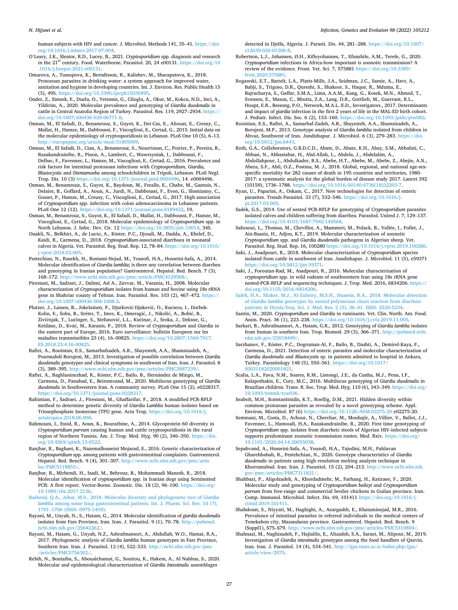#### <span id="page-26-0"></span>*N. Hijjawi et al.*

human subjects with HIV and cancer. J. Microbiol. Methods 141, 35–41. [https://doi.](https://doi.org/10.1016/j.mimet.2017.07.004)  [org/10.1016/j.mimet.2017.07.004.](https://doi.org/10.1016/j.mimet.2017.07.004)

- O'Leary, J.K., Sleator, R.D., Lucey, B., 2021. *Cryptosporidium* spp. diagnosis and research in the 21st century. Food. Waterborne. Parasitol. 20, 24 e00131. [https://doi.org/10](https://doi.org/10.1016/j.fawpar.2021.e00131)  [.1016/j.fawpar.2021.e00131](https://doi.org/10.1016/j.fawpar.2021.e00131).
- Omarova, A., Tussupova, K., Berndtsson, R., Kalishev, M., Sharapatova, K., 2018. Protozoan parasites in drinking water: a system approach for improved water, sanitation and hygiene in developing countries. Int. J. Environ. Res. Public Health 15 (3), 495. https://doi.org/10.3390/jierph15030495. (3), 495. [https://doi.org/10.3390/ijerph15030495.](https://doi.org/10.3390/ijerph15030495)
- Onder, Z., Simsek, E., Duzlu, O., Yetismis, G., Ciloglu, A., Okur, M., Kokcu, N.D., Inci, A., Yildirim, A., 2020. Molecular prevalence and genotyping of *Giardia duodenalis* in cattle in Central Anatolia Region of Turkey. Parasitol. Res. 119, 2927–2934. [https://](https://doi.org/10.1007/s00436-020-06771-8)  [doi.org/10.1007/s00436-020-06771-8](https://doi.org/10.1007/s00436-020-06771-8).

Osman, M., El Safadi, D., Benamrouz, S., Guyot, K., Dei-Cas, E., Aliouat, E., Creusy, C., Mallat, H., Hamze, M., Dabboussi, F., Viscogliosi, E., Certad, G., 2015. Initial data on the molecular epidemiology of cryptosporidiosis in Lebanon. PLoS One 10 (5), 6–13. [http://europepmc.org/article/med/31805009.](http://europepmc.org/article/med/31805009)

Osman, M., El Safadi, D., Cian, A., Benamrouz, S., Nourrisson, C., Poirier, P., Pereira, B., Razakandrainibe, R., Pinon, A., Lambert, C., Wawrzyniak, I., Dabboussi, F., Delbac, F., Favennec, L., Hamze, M., Viscogliosi, E., Certad, G., 2016. Prevalence and risk factors for intestinal protozoan infections with *Cryptosporidium*, *Giardia*, *Blastocystis* and *Dientamoeba* among schoolchildren in Tripoli, Lebanon. PLoS Negl. Trop. Dis. 10 (3)<https://doi.org/10.1371/journal.pntd.0004496>, 14. e0004496.

Osman, M., Benamrouz, S., Guyot, K., Baydoun, M., Frealle, E., Chabe, M., Gantois, N., Delaire, B., Goffard, A., Aoun, A., Jurdi, N., Dabboussi, F., Even, G., Slomianny, C., Gosset, P., Hamze, M., Creusy, C., Viscogliosi, E., Certad, G., 2017. High association of *Cryptosporidium* spp. infection with colon adenocarcinoma in Lebanese patients. PLoS One 12 (12). [https://doi.org/10.1371/journal.pone.0189422,](https://doi.org/10.1371/journal.pone.0189422) 19.

Osman, M., Benamrouz, S., Guyot, K., El Safadi, D., Mallat, H., Dabboussi, F., Hamze, M., Viscogliosi, E., Certad, G., 2018. Molecular epidemiology of *Cryptosporidium* spp. in North Lebanon. J. Infec. Dev. Ctr. 12<https://doi.org/10.3855/jidc.10014>, 34S.

Ouakli, N., Belkhiri, A., de Lucio, A., Köster, P.C., Djoudi, M., Dadda, A., Khelef, D., Kaidi, R., Carmena, D., 2018. *Cryptosporidium*-associated diarrhoea in neonatal calves in Algeria. Vet. Parasitol. Reg. Stud. Rep. 12, 78–84. [https://doi.org/10.1016/](https://doi.org/10.1016/j.vprsr.2018.02.005)  [j.vprsr.2018.02.005](https://doi.org/10.1016/j.vprsr.2018.02.005).

Pestechian, N., Rasekh, H., Rostami-Nejad, M., Yousofi, H.A., Hosseini-Safa, A., 2014. Molecular identification of *Giardia lamblia*; is there any correlation between diarrhea and genotyping in Iranian population? Gastroenterol. Hepatol. Bed. Bench. 7 (3), 168–172. [http://www.ncbi.nlm.nih.gov/pmc/article/PMC4129568/.](http://www.ncbi.nlm.nih.gov/pmc/article/PMC4129568/)

Pirestani, M., Sadraei, J., Dalimi, Asl A., Zavvar, M., Vaeznia, H., 2008. Molecular characterization of *Cryptosporidium* isolates from human and bovine using 18s rRNA gene in Shahriar county of Tehran. Iran. Parasitol. Res. 103 (2), 467–472. [https://](https://doi.org/10.1007/s00436-008-1008-2) [doi.org/10.1007/s00436-008-1008-2.](https://doi.org/10.1007/s00436-008-1008-2)

Plutzer, J., Lassen, B., Jokelainen, P., Djurković-Djaković, O., Kucsera, I., Dorbek-Kolin, E., Šoba, B., Sréter, T., Imre, K., Omeragić, J., Nikolić, A., Bobić, B.,<br>Živičnjak, T., Lučinger, S., Stefanović, L.L., Kučinar, J., Sroka, J., Deksne, G., Keidāne, D., Kváč, M., Karanis, P., 2018. Review of Cryptosporidium and Giardia in the eastern part of Europe, 2016. Euro surveillance: bulletin Europeen sur les maladies transmissibles 23 (4), 16–00825. [https://doi.org/10.2807/1560-7917.](https://doi.org/10.2807/1560-7917.ES.2018.23.4.16-00825) [ES.2018.23.4.16-00825](https://doi.org/10.2807/1560-7917.ES.2018.23.4.16-00825).

Rafiei, A., Roointan, E.S., Samarbafzadeh, A.R., Shayesteh, A.A., Shamsizadeh, A., Pourmahdi Borujeni, M., 2013. Investigation of possible correlation between *Giardia duodenalis* genotypes and clinical symptoms in southwest of Iran. Iran. J. Parasitol. 8 (3), 389–395. [http://www.ncbi.nlm.nih.gov/pmc/articles/PMC3887239/.](http://www.ncbi.nlm.nih.gov/pmc/articles/PMC3887239/)

Rafiei, A., Baghlaninezhad, R., Köster, P.C., Bailo, B., Hernández de Mingo, M., Carmena, D., Panabad, E., Beiromvand, M., 2020. Multilocus genotyping of *Giardia duodenalis* in Southwestern Iran. A community survey. PLoS One 15 (2), e0228317. <https://doi.org/10.1371/journal.pone.0228317>.

Rahimian, F., Sadraei, J., Pirestani, M., Ghaffarifar, F., 2018. A modified PCR-RFLP method to determine genetic diversity of *Giardia Lamblia* human isolates based on Triosephosphate Isomerase (TPI) gene. Acta Trop. [https://doi.org/10.1016/j.](https://doi.org/10.1016/j.actatropica.2018.06.008) [actatropica.2018.06.008.](https://doi.org/10.1016/j.actatropica.2018.06.008)

Rahmouni, I., Essid, R., Aoun, K., Bouratbine, A., 2014. Glycoprotein 60 diversity in *Cryptosporidium parvum* causing human and cattle cryptosporidiosis in the rural region of Northern Tunisia. Am. J. Trop. Med. Hyg. 90 (2), 346–350. [https://doi.](https://doi.org/10.4269/ajtmh.13-0522) [org/10.4269/ajtmh.13-0522](https://doi.org/10.4269/ajtmh.13-0522).

Ranjbar, R., Baghaei, K., Nazemalhosseini Mojarad, E., 2016. Genetic characterization of *Cryptosporidium* spp. among patients with gastrointestinal complaints. Gastroenterol. Hepatol. Bed. Bench. 9 (4), 301–307. [http://www.ncbi.nlm.nih.gov/pmc/artic](http://www.ncbi.nlm.nih.gov/pmc/articles/PMC5118855/) [les/PMC5118855/.](http://www.ncbi.nlm.nih.gov/pmc/articles/PMC5118855/)

Ranjbar, R., Mirhendi, H., Izadi, M., Behrouz, B., Mohammadi Manesh, R., 2018. Molecular identification of *cryptosporidium* spp. in Iranian dogs using Seminested PCR: A first report. Vector-Borne. Zoonotic. Dis. 18 (2), 96–100. [https://doi.org/](https://doi.org/10.1089/vbz.2017.2136)  [10.1089/vbz.2017.2136](https://doi.org/10.1089/vbz.2017.2136).

[Rasheed, Q.A., Jebur, M.S., 2018. Molecular diversity and phylogenetic tree of](http://refhub.elsevier.com/S1567-1348(22)00009-0/rf0930) *Giardia lamblia* [among some Iraqi gastrointestinal patients. Int. J. Pharm. Sci. Res. 10 \(7\),](http://refhub.elsevier.com/S1567-1348(22)00009-0/rf0930) 1701–[1706 \(ISSN: 0975-1459\)](http://refhub.elsevier.com/S1567-1348(22)00009-0/rf0930).

Rayani, M., Unyah, N., S., Hatam, G., 2014. Molecular identification of *giardia duodenalis*  isolates from Fars Province, Iran. Iran. J. Parasitol. 9 (1), 70–78. [http://pubmed.](http://pubmed.ncbi.nlm.nih.gov/25642262/)  ncbi.nlm.nih.gov/25642262

Rayani, M., Hatam, G., Unyah, N.Z., Ashrafmansori, A., Abdullah, W.O., Hamat, R.A., 2017. Phylogenetic analysis of *Giardia lamblia* human genotypes in Fars Province, Southern Iran. Iran. J. Parasitol. 12 (4), 522–533. [http://ncbi.nlm.nih.gov/pmc](http://ncbi.nlm.nih.gov/pmc/articles/PMC5756302/) articles/PMC5756302

Rebih, N., Boutaiba, S., Aboualchamat, G., Souttou, K., Hakem, A., Al Nahhas, S., 2020. Molecular and epidemiological characterization of *Giardia Intestinalis* assemblages

detected in Djelfa, Algeria. J. Parasit. Dis. 44, 281–288. [https://doi.org/10.1007/](https://doi.org/10.1007/s12639-020-01206-8)  [s12639-020-01206-8](https://doi.org/10.1007/s12639-020-01206-8)

Robertson, L.J., Johansen, Ø.H., Kifleyohannes, T., Efunshile, A.M., Terefe, G., 2020. *Cryptosporidium* infections in Africa-how important is zoonotic transmission? A review of the evidence. Front. Vet. Sci. 7, 575881 [https://doi.org/10.3389/](https://doi.org/10.3389/fvets.2020.575881)  [fvets.2020.575881](https://doi.org/10.3389/fvets.2020.575881).

Rogawski, E.T., Bartelt, L.A., Platts-Mills, J.A., Seidman, J.C., Samie, A., Havt, A., Babji, S., Trigoso, D.R., Qureshi, S., Shakoor, S., Haque, R., Mduma, E., Bajracharya, S., Gaffar, S.M.A., Lima, A.A.M., Kang, G., Kosek, M.N., Ahmed, T., Svensen, E., Mason, C., Bhutta, Z.A., Lang, D.R., Gottlieb, M., Guerrant, R.L., Houpt, E.R., Bessong, P.O., Network, M.A.L.-E.D., Investigators., 2017. Determinants and impact of *giardia* infection in the first 2 years of life in the MAL-ED birth cohort. J. Pediatr. Infect. Dis. Soc. 6 (2), 153–160. <https://doi.org/10.1093/jpids/piw082>.

Roointan, E.S., Rafiei, A., Samarbaf-Zadeh, A.R., Shayesteh, A.A., Shamsizadeh, A., Borujeni, M.P., 2013. Genotype analysis of *Giardia lamblia* isolated from children in Ahvaz, Southwest of Iran. Jundishapur. J. Microbiol. 6 (3), 279–283. [https://doi.](https://doi.org/10.5812/jjm.6443)  [org/10.5812/jjm.6443.](https://doi.org/10.5812/jjm.6443)

Roth, G.A., Collaborators, G.B.D.C.D., Abate, D., Abate, K.H., Abay, S.M., Abbafati, C., Abbasi, N., Abbastabar, H., Abd-Allah, L., Abdela, J., Abdelalim, A., Abdollahpour, I., Abdulkader, R.S., Abebe, H.T., Abebe, M., Abebe, Z., Abejie, A.N., Abera, S.F., Abil, O.Z., Postma, M. J., 2018. Global, regional, and national age-sexspecific mortality for 282 causes of death in 195 countries and territories, 1980- 2017: a systematic analysis for the global burden of disease study 2017. Lancet 392 (10159), 1736–1788. [https://doi.org/10.1016/S0140-6736\(18\)32203-7](https://doi.org/10.1016/S0140-6736(18)32203-7).

Ryan, U., Paparini, A., Oskam, C., 2017. New technologies for detection of enteric parasites. Trends Parasitol. 33 (7), 532–546. [https://doi.org/10.1016/j.](https://doi.org/10.1016/j.pt.2017.03.005)  [pt.2017.03.005.](https://doi.org/10.1016/j.pt.2017.03.005)

Sadek, G.S., 2014. Use of nested PCR-RFLP for genotyping of *Cryptosporidium* parasites isolated calves and children suffering from diarrhea. Parasitol. United J. 7, 129–137. <https://doi.org/10.4103/1687-7942.149568>.

Sahraoui, L., Thomas, M., Chevillot, A., Mammeri, M., Polack, B., Vallée, I., Follet, J., Ain-Baaziz, H., Adjou, K.T., 2019. Molecular characterization of zoonotic *Cryptosporidium* spp. and *Giardia duodenalis* pathogens in Algerian sheep. Vet. Parasitol. Reg. Stud. Rep. 16, 100280 [https://doi.org/10.1016/j.vprsr.2019.100280.](https://doi.org/10.1016/j.vprsr.2019.100280)

Saki, J., Asadpouri, R., 2018. Molecular characterization of *Cryptosporidium* species isolated from cattle in southwest of Iran. Jundishapur. J. Microbiol. 11 (5), e59371 <https://doi.org/10.5812/jjm.59371>.

Saki, J., Foroutan-Rad, M., Asadpouri, R., 2016. Molecular characterization of *cryptosporidium* spp. in wild rodents of southwestern Iran using 18s rRNA gene nested-PCR-RFLP and sequencing techniques. J. Trop. Med. 2016, 6834206. [https://](https://doi.org/10.1155/2016/6834206)  [doi.org/10.1155/2016/6834206.](https://doi.org/10.1155/2016/6834206)

[Saleh, H.A., Shaker, M.J., Al-Zuheiry, M.S.H., Hussein, R.A., 2018. Molecular detection](http://refhub.elsevier.com/S1567-1348(22)00009-0/rf0995) of *Giardia lamblia* [genotypes by nested polymerase chain reaction from diarrheic](http://refhub.elsevier.com/S1567-1348(22)00009-0/rf0995) [patients in Diyala/Iraq. Sci. J. Med. Res. 2 \(5\), 36](http://refhub.elsevier.com/S1567-1348(22)00009-0/rf0995)–41. ISSN: 2520-5234.

Santin, M., 2020. *Cryptosporidium* and *Giardia* in ruminants. Vet. Clin. North. Am. Food. Anim. Pract. 36 (1), 223–238.<https://doi.org/10.1016/j.cvfa.2019.11.005>.

Sarkari, B., Ashrafmansori, A., Hatam, G.R., 2012. Genotyping of *Giardia lamblia* isolates from human in southern Iran. Trop. Biomed. 29 (3), 366–371. [http://pubmed.ncbi.](http://pubmed.ncbi.nlm.nih.gov/23018499/)  [nlm.nih.gov/23018499/](http://pubmed.ncbi.nlm.nih.gov/23018499/).

Sarzhanov, F., Köster, P.C., Dogruman-Al, F., Bailo, B., Dashti, A., Demirel-Kaya, F., Carmena, D., 2021. Detection of enteric parasites and molecular characterization of *Giardia duodenalis* and *Blastocystis* sp. in patients admitted to hospital in Ankara, Turkey. Parasitology 148 (5), 550–561. [https://doi.org/10.1017/](https://doi.org/10.1017/S0031182020001821)  [S0031182020001821](https://doi.org/10.1017/S0031182020001821).

Scalia, L.A., Fava, N.M., Soares, R.M., Limongi, J.E., da Cunha, M.J., Pena, I.F., Kalapothakis, E., Cury, M.C., 2016. Multilocus genotyping of *Giardia duodenalis* in Brazilian children. Trans. R. Soc. Trop. Med. Hyg. 110 (6), 343–349. https://doi.org/ [10.1093/trstmh/trw036.](https://doi.org/10.1093/trstmh/trw036)

Seabolt, M.H., Konstantinidis, K.T., Roellig, D.M., 2021. Hidden diversity within common protozoan parasites as revealed by a novel genotyping scheme. Appl. Environ. Microbiol. 87 (6) <https://doi.org/10.1128/AEM.02275-20> e02275-20.

Semmani, M., Costa, D., Achour, N., Cherchar, M., Mouhajir, A., Villier, V., Ballet, J.J., Favennec, L., Hamoudi, H.A., Razakandrainibe, R., 2020. First time genotyping of *Cryptosporidium* spp. isolates from diarrheic stools of Algerian HIV-infected subjects supports predominant zoonotic transmission routes. Med. Rxiv. [https://doi.org/](https://doi.org/10.1101/2020.04.14.20055038) [10.1101/2020.04.14.20055038.](https://doi.org/10.1101/2020.04.14.20055038)

Sepahvand, A., Hosseini-Safa, A., Yousofi, H.A., Tajedini, M.H., Pahlavan Gharehbabah, R., Pestehchian, N., 2020. Genotype characteristics of *Giardia duodenalis* in patients using high resolution melting analysis technique in Khorramabad. Iran. Iran. J. Parasitol. 15 (2), 204-213. [http://www.ncbi.nlm.nih.](http://www.ncbi.nlm.nih.gov/pmc/articles/PMC7311821/) [gov/pmc/articles/PMC7311821/.](http://www.ncbi.nlm.nih.gov/pmc/articles/PMC7311821/)

Shahbazi, P., Aligolzadeh, A., Khordadmehr, M., Farhang, H., Katiraee, F., 2020. Molecular study and genotyping of *Cryptosporidium baileyi* and *Cryptosporidium parvum* from free-range and commercial broiler chickens in Guilan province. Iran. Comp. Immunol. Microbiol. Infect. Dis. 69, 101411 [https://doi.org/10.1016/j.](https://doi.org/10.1016/j.cimid.2019.101411)  [cimid.2019.101411.](https://doi.org/10.1016/j.cimid.2019.101411)

Shahdoust, S., Niyyati, M., Haghighi, A., Azargashb, E., Khataminejad, M.R., 2016. Prevalence of intestinal parasites in referred individuals to the medical centers of Tonekabon city, Mazandaran province. Gastroenterol. Hepatol. Bed. Bench. 9 (Suppl1), S75–S79. <http://www.ncbi.nlm.nih.gov/pmc/articles/PMC5310804/>.

Shahnazi, M., Naghizadeh, F., Hajialilo, E., Alizadeh, S.A., Saraei, M., Alipour, M., 2019. Investigation of *Giardia intestinalis* genotypes among the food handlers of Qazvin, Iran. Iran. J. Parasitol. 14 (4), 534–541. [http://ijpa.tums.ac.ir/index.php/ijpa/](http://ijpa.tums.ac.ir/index.php/ijpa/article/view/2075) [article/view/2075](http://ijpa.tums.ac.ir/index.php/ijpa/article/view/2075).